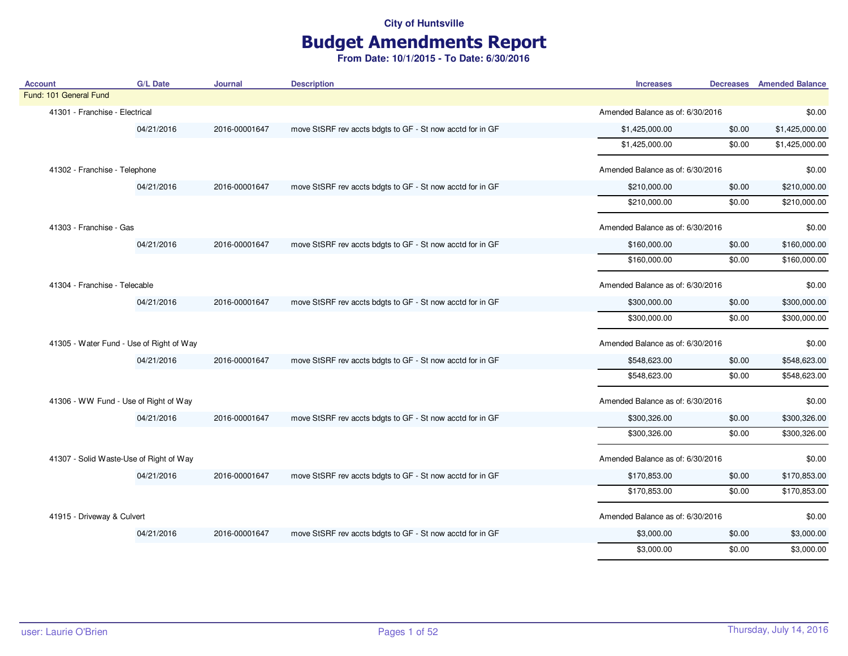# Budget Amendments Report

| <b>Account</b>                           | <b>G/L Date</b>               | <b>Journal</b> | <b>Description</b>                                        | <b>Increases</b>                 | <b>Decreases</b> Amended Balance |
|------------------------------------------|-------------------------------|----------------|-----------------------------------------------------------|----------------------------------|----------------------------------|
| Fund: 101 General Fund                   |                               |                |                                                           |                                  |                                  |
| 41301 - Franchise - Electrical           |                               |                |                                                           | Amended Balance as of: 6/30/2016 | \$0.00                           |
|                                          | 04/21/2016                    | 2016-00001647  | move StSRF rev accts bdgts to GF - St now acctd for in GF | \$1,425,000.00<br>\$0.00         | \$1,425,000.00                   |
|                                          |                               |                |                                                           | \$1,425,000.00<br>\$0.00         | \$1,425,000.00                   |
| 41302 - Franchise - Telephone            |                               |                |                                                           | Amended Balance as of: 6/30/2016 | \$0.00                           |
|                                          | 04/21/2016                    | 2016-00001647  | move StSRF rev accts bdgts to GF - St now acctd for in GF | \$210,000.00<br>\$0.00           | \$210,000.00                     |
|                                          |                               |                |                                                           | \$210,000.00<br>\$0.00           | \$210,000.00                     |
| 41303 - Franchise - Gas                  |                               |                |                                                           | Amended Balance as of: 6/30/2016 | \$0.00                           |
|                                          | 04/21/2016                    | 2016-00001647  | move StSRF rev accts bdgts to GF - St now acctd for in GF | \$160,000.00<br>\$0.00           | \$160,000.00                     |
|                                          |                               |                |                                                           | \$160,000.00<br>\$0.00           | \$160,000.00                     |
|                                          | 41304 - Franchise - Telecable |                |                                                           | Amended Balance as of: 6/30/2016 | \$0.00                           |
| 04/21/2016                               |                               | 2016-00001647  | move StSRF rev accts bdgts to GF - St now acctd for in GF | \$300,000.00<br>\$0.00           | \$300,000.00                     |
|                                          |                               |                |                                                           | \$300,000.00<br>\$0.00           | \$300,000.00                     |
| 41305 - Water Fund - Use of Right of Way |                               |                |                                                           | Amended Balance as of: 6/30/2016 | \$0.00                           |
|                                          | 04/21/2016                    | 2016-00001647  | move StSRF rev accts bdgts to GF - St now acctd for in GF | \$548,623.00<br>\$0.00           | \$548,623.00                     |
|                                          |                               |                |                                                           | \$548,623.00<br>\$0.00           | \$548,623.00                     |
| 41306 - WW Fund - Use of Right of Way    |                               |                |                                                           | Amended Balance as of: 6/30/2016 | \$0.00                           |
|                                          | 04/21/2016                    | 2016-00001647  | move StSRF rev accts bdgts to GF - St now acctd for in GF | \$300,326.00<br>\$0.00           | \$300,326.00                     |
|                                          |                               |                |                                                           | \$300,326.00<br>\$0.00           | \$300,326.00                     |
| 41307 - Solid Waste-Use of Right of Way  |                               |                |                                                           | Amended Balance as of: 6/30/2016 | \$0.00                           |
|                                          | 04/21/2016                    | 2016-00001647  | move StSRF rev accts bdgts to GF - St now acctd for in GF | \$170,853.00<br>\$0.00           | \$170,853.00                     |
|                                          |                               |                |                                                           | \$170,853.00<br>\$0.00           | \$170,853.00                     |
| 41915 - Driveway & Culvert               |                               |                |                                                           | Amended Balance as of: 6/30/2016 | \$0.00                           |
|                                          | 04/21/2016                    | 2016-00001647  | move StSRF rev accts bdgts to GF - St now acctd for in GF | \$3,000.00<br>\$0.00             | \$3,000.00                       |
|                                          |                               |                |                                                           | \$0.00<br>\$3,000.00             | \$3,000.00                       |
|                                          |                               |                |                                                           |                                  |                                  |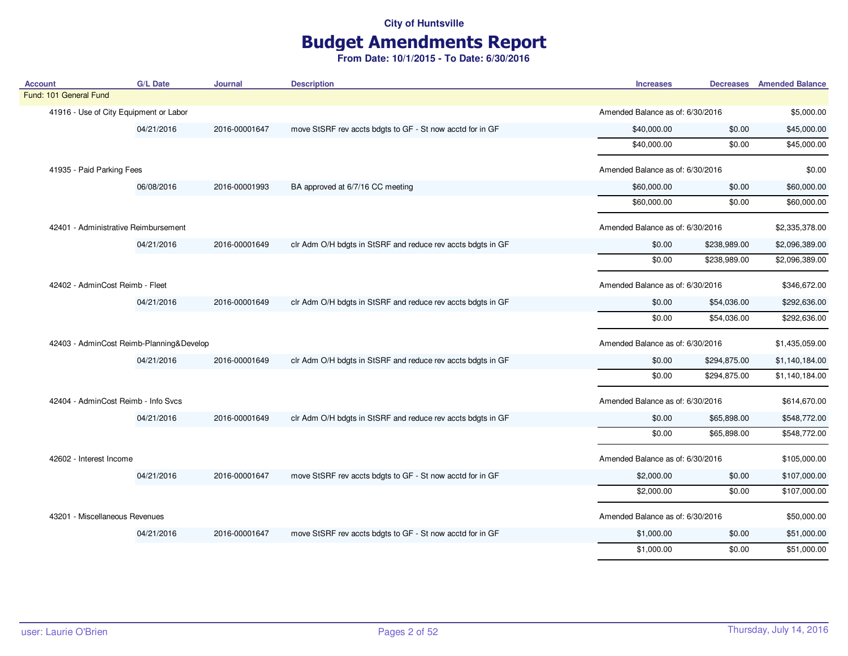## Budget Amendments Report

| <b>Account</b>                           | <b>G/L Date</b> | Journal       | <b>Description</b>                                          | <b>Increases</b>                 |              | <b>Decreases</b> Amended Balance |
|------------------------------------------|-----------------|---------------|-------------------------------------------------------------|----------------------------------|--------------|----------------------------------|
| Fund: 101 General Fund                   |                 |               |                                                             |                                  |              |                                  |
| 41916 - Use of City Equipment or Labor   |                 |               |                                                             | Amended Balance as of: 6/30/2016 |              | \$5,000.00                       |
|                                          | 04/21/2016      | 2016-00001647 | move StSRF rev accts bdgts to GF - St now acctd for in GF   | \$40,000.00                      | \$0.00       | \$45,000.00                      |
|                                          |                 |               |                                                             | \$40,000.00                      | \$0.00       | \$45,000.00                      |
| 41935 - Paid Parking Fees                |                 |               |                                                             | Amended Balance as of: 6/30/2016 |              | \$0.00                           |
|                                          | 06/08/2016      | 2016-00001993 | BA approved at 6/7/16 CC meeting                            | \$60,000.00                      | \$0.00       | \$60,000.00                      |
|                                          |                 |               |                                                             | \$60,000.00                      | \$0.00       | \$60,000.00                      |
| 42401 - Administrative Reimbursement     |                 |               |                                                             | Amended Balance as of: 6/30/2016 |              | \$2,335,378.00                   |
|                                          | 04/21/2016      | 2016-00001649 | clr Adm O/H bdgts in StSRF and reduce rev accts bdgts in GF | \$0.00                           | \$238,989.00 | \$2,096,389.00                   |
|                                          |                 |               |                                                             | \$0.00                           | \$238,989.00 | \$2,096,389.00                   |
| 42402 - AdminCost Reimb - Fleet          |                 |               |                                                             | Amended Balance as of: 6/30/2016 |              | \$346,672.00                     |
|                                          | 04/21/2016      | 2016-00001649 | clr Adm O/H bdgts in StSRF and reduce rev accts bdgts in GF | \$0.00                           | \$54,036.00  | \$292,636.00                     |
|                                          |                 |               |                                                             | \$0.00                           | \$54,036.00  | \$292,636.00                     |
| 42403 - AdminCost Reimb-Planning&Develop |                 |               |                                                             | Amended Balance as of: 6/30/2016 |              | \$1,435,059.00                   |
|                                          | 04/21/2016      | 2016-00001649 | clr Adm O/H bdgts in StSRF and reduce rev accts bdgts in GF | \$0.00                           | \$294,875.00 | \$1,140,184.00                   |
|                                          |                 |               |                                                             | \$0.00                           | \$294,875.00 | \$1,140,184.00                   |
| 42404 - AdminCost Reimb - Info Svcs      |                 |               |                                                             | Amended Balance as of: 6/30/2016 |              | \$614,670.00                     |
|                                          | 04/21/2016      | 2016-00001649 | clr Adm O/H bdgts in StSRF and reduce rev accts bdgts in GF | \$0.00                           | \$65,898.00  | \$548,772.00                     |
|                                          |                 |               |                                                             | \$0.00                           | \$65,898.00  | \$548,772.00                     |
| 42602 - Interest Income                  |                 |               |                                                             | Amended Balance as of: 6/30/2016 |              | \$105,000.00                     |
|                                          | 04/21/2016      | 2016-00001647 | move StSRF rev accts bdgts to GF - St now acctd for in GF   | \$2,000.00                       | \$0.00       | \$107,000.00                     |
|                                          |                 |               |                                                             | \$2,000.00                       | \$0.00       | \$107,000.00                     |
| 43201 - Miscellaneous Revenues           |                 |               |                                                             | Amended Balance as of: 6/30/2016 |              | \$50,000.00                      |
|                                          | 04/21/2016      | 2016-00001647 | move StSRF rev accts bdgts to GF - St now acctd for in GF   | \$1,000.00                       | \$0.00       | \$51,000.00                      |
|                                          |                 |               |                                                             | \$1,000.00                       | \$0.00       | \$51,000.00                      |
|                                          |                 |               |                                                             |                                  |              |                                  |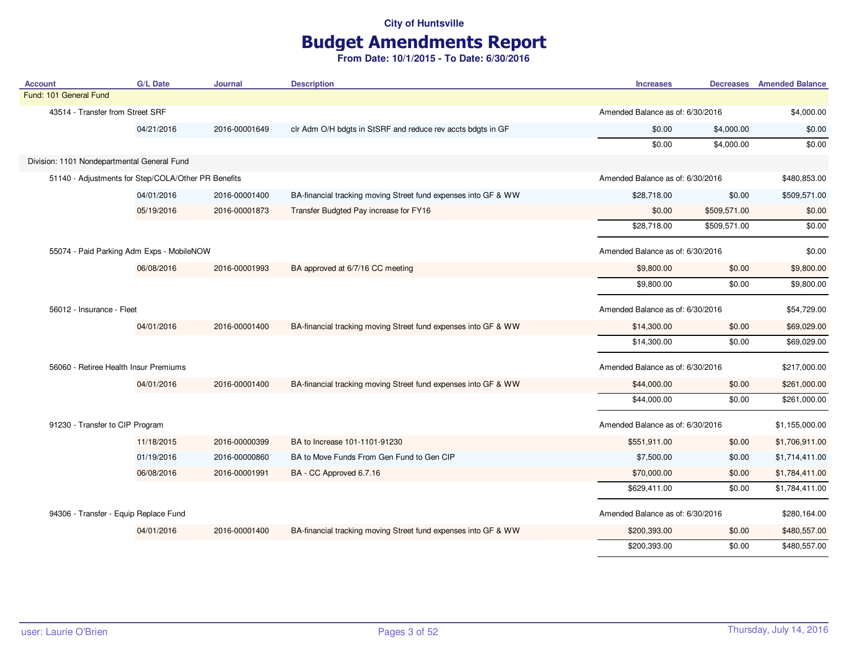# Budget Amendments Report

| <b>Account</b>                                      | <b>G/L Date</b> | <b>Journal</b> | <b>Description</b>                                             | <b>Increases</b>                 |              | <b>Decreases</b> Amended Balance |
|-----------------------------------------------------|-----------------|----------------|----------------------------------------------------------------|----------------------------------|--------------|----------------------------------|
| Fund: 101 General Fund                              |                 |                |                                                                |                                  |              |                                  |
| 43514 - Transfer from Street SRF                    |                 |                |                                                                | Amended Balance as of: 6/30/2016 |              | \$4,000.00                       |
|                                                     | 04/21/2016      | 2016-00001649  | clr Adm O/H bdgts in StSRF and reduce rev accts bdgts in GF    | \$0.00                           | \$4,000.00   | \$0.00                           |
|                                                     |                 |                |                                                                | \$0.00                           | \$4,000.00   | \$0.00                           |
| Division: 1101 Nondepartmental General Fund         |                 |                |                                                                |                                  |              |                                  |
| 51140 - Adjustments for Step/COLA/Other PR Benefits |                 |                |                                                                | Amended Balance as of: 6/30/2016 |              | \$480,853.00                     |
|                                                     | 04/01/2016      | 2016-00001400  | BA-financial tracking moving Street fund expenses into GF & WW | \$28,718.00                      | \$0.00       | \$509,571.00                     |
|                                                     | 05/19/2016      | 2016-00001873  | Transfer Budgted Pay increase for FY16                         | \$0.00                           | \$509,571.00 | \$0.00                           |
|                                                     |                 |                |                                                                | \$28,718.00                      | \$509,571.00 | \$0.00                           |
| 55074 - Paid Parking Adm Exps - MobileNOW           |                 |                |                                                                | Amended Balance as of: 6/30/2016 |              | \$0.00                           |
|                                                     | 06/08/2016      | 2016-00001993  | BA approved at 6/7/16 CC meeting                               | \$9,800.00                       | \$0.00       | \$9,800.00                       |
|                                                     |                 |                |                                                                | \$9,800.00                       | \$0.00       | \$9,800.00                       |
| 56012 - Insurance - Fleet                           |                 |                | Amended Balance as of: 6/30/2016                               |                                  | \$54,729.00  |                                  |
|                                                     | 04/01/2016      | 2016-00001400  | BA-financial tracking moving Street fund expenses into GF & WW | \$14,300.00                      | \$0.00       | \$69,029.00                      |
|                                                     |                 |                |                                                                | \$14,300.00                      | \$0.00       | \$69,029.00                      |
| 56060 - Retiree Health Insur Premiums               |                 |                |                                                                | Amended Balance as of: 6/30/2016 |              | \$217,000.00                     |
|                                                     | 04/01/2016      | 2016-00001400  | BA-financial tracking moving Street fund expenses into GF & WW | \$44,000.00                      | \$0.00       | \$261,000.00                     |
|                                                     |                 |                |                                                                | \$44,000.00                      | \$0.00       | \$261,000.00                     |
| 91230 - Transfer to CIP Program                     |                 |                |                                                                | Amended Balance as of: 6/30/2016 |              | \$1,155,000.00                   |
|                                                     | 11/18/2015      | 2016-00000399  | BA to Increase 101-1101-91230                                  | \$551,911.00                     | \$0.00       | \$1,706,911.00                   |
|                                                     | 01/19/2016      | 2016-00000860  | BA to Move Funds From Gen Fund to Gen CIP                      | \$7,500.00                       | \$0.00       | \$1,714,411.00                   |
|                                                     | 06/08/2016      | 2016-00001991  | BA - CC Approved 6.7.16                                        | \$70,000.00                      | \$0.00       | \$1,784,411.00                   |
|                                                     |                 |                |                                                                | \$629,411.00                     | \$0.00       | \$1,784,411.00                   |
| 94306 - Transfer - Equip Replace Fund               |                 |                |                                                                | Amended Balance as of: 6/30/2016 |              | \$280,164.00                     |
|                                                     | 04/01/2016      | 2016-00001400  | BA-financial tracking moving Street fund expenses into GF & WW | \$200,393.00                     | \$0.00       | \$480,557.00                     |
|                                                     |                 |                |                                                                | \$200,393.00                     | \$0.00       | \$480,557.00                     |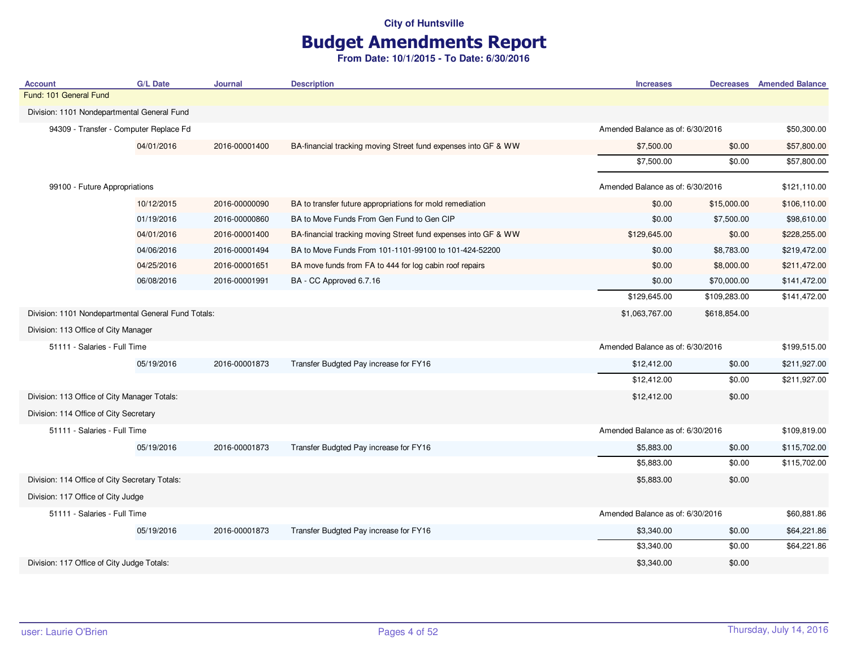# Budget Amendments Report

| <b>Account</b>                                      | <b>G/L Date</b>              | Journal        | <b>Description</b>                                             | <b>Increases</b>                 |                                  | <b>Decreases</b> Amended Balance |
|-----------------------------------------------------|------------------------------|----------------|----------------------------------------------------------------|----------------------------------|----------------------------------|----------------------------------|
| Fund: 101 General Fund                              |                              |                |                                                                |                                  |                                  |                                  |
| Division: 1101 Nondepartmental General Fund         |                              |                |                                                                |                                  |                                  |                                  |
| 94309 - Transfer - Computer Replace Fd              |                              |                |                                                                | Amended Balance as of: 6/30/2016 |                                  | \$50,300.00                      |
|                                                     | 04/01/2016                   | 2016-00001400  | BA-financial tracking moving Street fund expenses into GF & WW | \$7,500.00                       | \$0.00                           | \$57,800.00                      |
|                                                     |                              |                |                                                                | \$7,500.00                       | \$0.00                           | \$57,800.00                      |
| 99100 - Future Appropriations                       |                              |                |                                                                | Amended Balance as of: 6/30/2016 |                                  | \$121,110.00                     |
|                                                     | 10/12/2015                   | 2016-00000090  | BA to transfer future appropriations for mold remediation      | \$0.00                           | \$15,000.00                      | \$106,110.00                     |
|                                                     | 01/19/2016                   | 2016-00000860  | BA to Move Funds From Gen Fund to Gen CIP                      | \$0.00                           | \$7,500.00                       | \$98,610.00                      |
|                                                     | 04/01/2016                   | 2016-00001400  | BA-financial tracking moving Street fund expenses into GF & WW | \$129,645.00                     | \$0.00                           | \$228,255.00                     |
|                                                     | 04/06/2016                   | 2016-00001494  | BA to Move Funds From 101-1101-99100 to 101-424-52200          | \$0.00                           | \$8,783.00                       | \$219,472.00                     |
|                                                     | 04/25/2016                   | 2016-00001651  | BA move funds from FA to 444 for log cabin roof repairs        | \$0.00                           | \$8,000.00                       | \$211,472.00                     |
|                                                     | 06/08/2016                   | 2016-00001991  | BA - CC Approved 6.7.16                                        | \$0.00                           | \$70,000.00                      | \$141,472.00                     |
|                                                     |                              |                |                                                                | \$129,645.00                     | \$109,283.00                     | \$141,472.00                     |
| Division: 1101 Nondepartmental General Fund Totals: |                              | \$1,063,767.00 | \$618,854.00                                                   |                                  |                                  |                                  |
| Division: 113 Office of City Manager                |                              |                |                                                                |                                  |                                  |                                  |
|                                                     | 51111 - Salaries - Full Time |                |                                                                |                                  | Amended Balance as of: 6/30/2016 |                                  |
|                                                     | 05/19/2016                   | 2016-00001873  | Transfer Budgted Pay increase for FY16                         | \$12,412.00                      | \$0.00                           | \$211,927.00                     |
|                                                     |                              |                |                                                                | \$12,412.00                      | \$0.00                           | \$211,927.00                     |
| Division: 113 Office of City Manager Totals:        |                              |                |                                                                | \$12,412.00                      | \$0.00                           |                                  |
| Division: 114 Office of City Secretary              |                              |                |                                                                |                                  |                                  |                                  |
| 51111 - Salaries - Full Time                        |                              |                |                                                                | Amended Balance as of: 6/30/2016 |                                  | \$109,819.00                     |
|                                                     | 05/19/2016                   | 2016-00001873  | Transfer Budgted Pay increase for FY16                         | \$5,883.00                       | \$0.00                           | \$115,702.00                     |
|                                                     |                              |                |                                                                | \$5,883.00                       | \$0.00                           | \$115,702.00                     |
| Division: 114 Office of City Secretary Totals:      |                              |                |                                                                | \$5,883.00                       | \$0.00                           |                                  |
| Division: 117 Office of City Judge                  |                              |                |                                                                |                                  |                                  |                                  |
| 51111 - Salaries - Full Time                        |                              |                |                                                                | Amended Balance as of: 6/30/2016 |                                  | \$60,881.86                      |
|                                                     | 05/19/2016                   | 2016-00001873  | Transfer Budgted Pay increase for FY16                         | \$3,340.00                       | \$0.00                           | \$64,221.86                      |
|                                                     |                              |                |                                                                | \$3,340.00                       | \$0.00                           | \$64,221.86                      |
| Division: 117 Office of City Judge Totals:          |                              |                |                                                                | \$3,340.00                       | \$0.00                           |                                  |
|                                                     |                              |                |                                                                |                                  |                                  |                                  |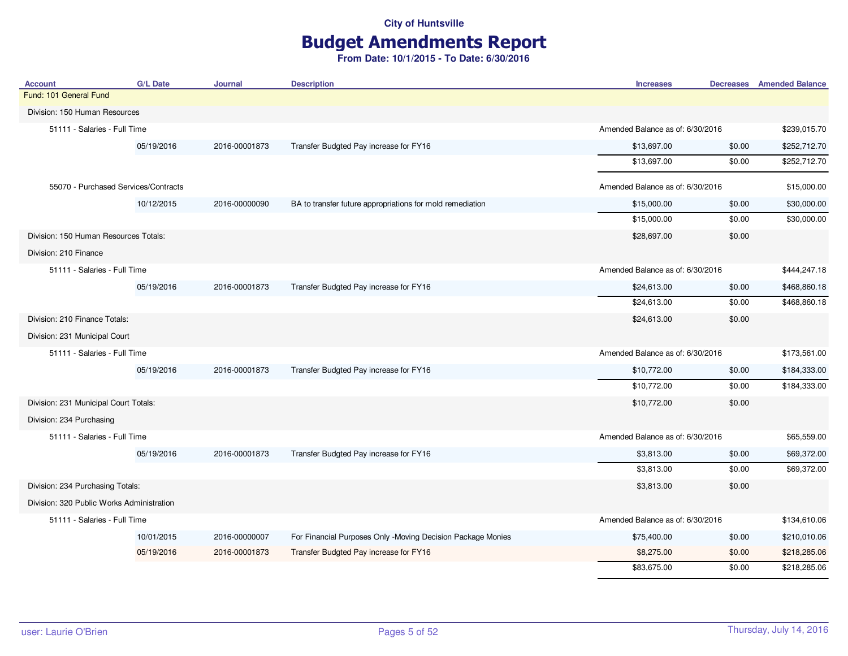# Budget Amendments Report

| <b>Account</b>                            | <b>G/L Date</b> | <b>Journal</b> | <b>Description</b>                                          | <b>Increases</b>                 | <b>Decreases</b>                 | <b>Amended Balance</b> |
|-------------------------------------------|-----------------|----------------|-------------------------------------------------------------|----------------------------------|----------------------------------|------------------------|
| Fund: 101 General Fund                    |                 |                |                                                             |                                  |                                  |                        |
| Division: 150 Human Resources             |                 |                |                                                             |                                  |                                  |                        |
| 51111 - Salaries - Full Time              |                 |                |                                                             |                                  | Amended Balance as of: 6/30/2016 |                        |
|                                           | 05/19/2016      | 2016-00001873  | Transfer Budgted Pay increase for FY16                      | \$13,697.00                      | \$0.00                           | \$252,712.70           |
|                                           |                 |                |                                                             | \$13,697.00                      | \$0.00                           | \$252,712.70           |
| 55070 - Purchased Services/Contracts      |                 |                |                                                             | Amended Balance as of: 6/30/2016 |                                  | \$15,000.00            |
|                                           | 10/12/2015      | 2016-00000090  | BA to transfer future appropriations for mold remediation   | \$15,000.00                      | \$0.00                           | \$30,000.00            |
|                                           |                 |                |                                                             | \$15,000.00                      | \$0.00                           | \$30,000.00            |
| Division: 150 Human Resources Totals:     |                 |                |                                                             | \$28,697.00                      | \$0.00                           |                        |
| Division: 210 Finance                     |                 |                |                                                             |                                  |                                  |                        |
| 51111 - Salaries - Full Time              |                 |                |                                                             | Amended Balance as of: 6/30/2016 |                                  | \$444,247.18           |
|                                           | 05/19/2016      | 2016-00001873  | Transfer Budgted Pay increase for FY16                      | \$24,613.00                      | \$0.00                           | \$468,860.18           |
|                                           |                 |                |                                                             | \$24,613.00                      | \$0.00                           | \$468,860.18           |
| Division: 210 Finance Totals:             |                 |                |                                                             | \$24,613.00                      | \$0.00                           |                        |
| Division: 231 Municipal Court             |                 |                |                                                             |                                  |                                  |                        |
| 51111 - Salaries - Full Time              |                 |                |                                                             | Amended Balance as of: 6/30/2016 |                                  | \$173,561.00           |
|                                           | 05/19/2016      | 2016-00001873  | Transfer Budgted Pay increase for FY16                      | \$10,772.00                      | \$0.00                           | \$184,333.00           |
|                                           |                 |                |                                                             | \$10,772.00                      | \$0.00                           | \$184,333.00           |
| Division: 231 Municipal Court Totals:     |                 |                |                                                             | \$10,772.00                      | \$0.00                           |                        |
| Division: 234 Purchasing                  |                 |                |                                                             |                                  |                                  |                        |
| 51111 - Salaries - Full Time              |                 |                |                                                             | Amended Balance as of: 6/30/2016 |                                  | \$65,559.00            |
|                                           | 05/19/2016      | 2016-00001873  | Transfer Budgted Pay increase for FY16                      | \$3,813.00                       | \$0.00                           | \$69,372.00            |
|                                           |                 |                |                                                             | \$3,813.00                       | \$0.00                           | \$69,372.00            |
| Division: 234 Purchasing Totals:          |                 |                |                                                             | \$3,813.00                       | \$0.00                           |                        |
| Division: 320 Public Works Administration |                 |                |                                                             |                                  |                                  |                        |
| 51111 - Salaries - Full Time              |                 |                |                                                             | Amended Balance as of: 6/30/2016 |                                  | \$134,610.06           |
|                                           | 10/01/2015      | 2016-00000007  | For Financial Purposes Only -Moving Decision Package Monies | \$75,400.00                      | \$0.00                           | \$210,010.06           |
|                                           | 05/19/2016      | 2016-00001873  | Transfer Budgted Pay increase for FY16                      | \$8,275.00                       | \$0.00                           | \$218,285.06           |
|                                           |                 |                |                                                             | \$83,675.00                      | \$0.00                           | \$218,285.06           |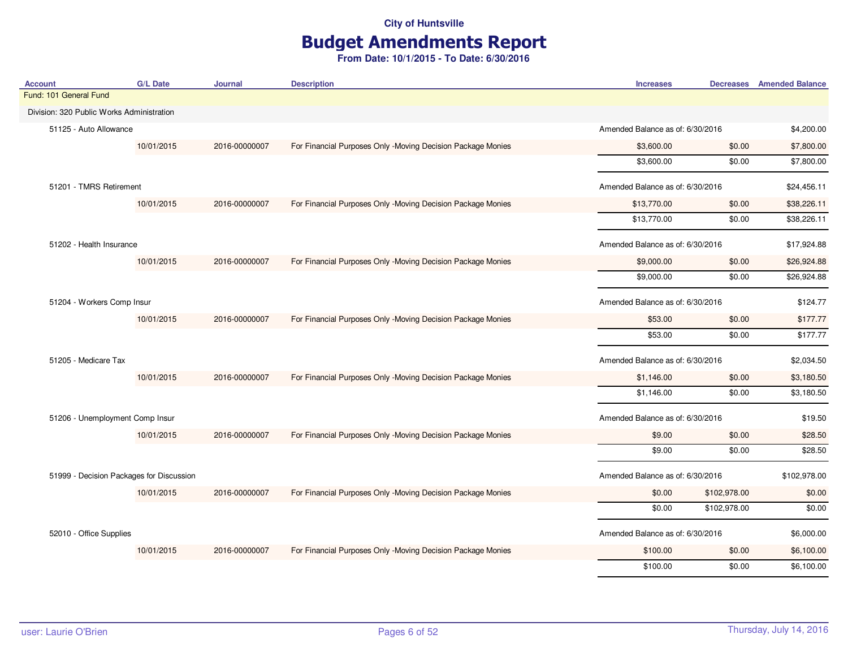# Budget Amendments Report

| <b>G/L Date</b>                           | Journal       | <b>Description</b>                                          | <b>Increases</b> |                                  | <b>Decreases</b> Amended Balance                                                                                                                                                                                                                         |
|-------------------------------------------|---------------|-------------------------------------------------------------|------------------|----------------------------------|----------------------------------------------------------------------------------------------------------------------------------------------------------------------------------------------------------------------------------------------------------|
|                                           |               |                                                             |                  |                                  |                                                                                                                                                                                                                                                          |
| Division: 320 Public Works Administration |               |                                                             |                  |                                  |                                                                                                                                                                                                                                                          |
| 51125 - Auto Allowance                    |               |                                                             |                  | Amended Balance as of: 6/30/2016 |                                                                                                                                                                                                                                                          |
| 10/01/2015                                | 2016-00000007 | For Financial Purposes Only -Moving Decision Package Monies | \$3,600.00       | \$0.00                           | \$7,800.00                                                                                                                                                                                                                                               |
|                                           |               |                                                             | \$3,600.00       | \$0.00                           | \$7,800.00                                                                                                                                                                                                                                               |
| 51201 - TMRS Retirement                   |               |                                                             |                  |                                  | \$24,456.11                                                                                                                                                                                                                                              |
| 10/01/2015                                | 2016-00000007 | For Financial Purposes Only -Moving Decision Package Monies | \$13,770.00      | \$0.00                           | \$38,226.11                                                                                                                                                                                                                                              |
|                                           |               |                                                             | \$13,770.00      | \$0.00                           | \$38,226.11                                                                                                                                                                                                                                              |
| 51202 - Health Insurance                  |               |                                                             |                  | \$17,924.88                      |                                                                                                                                                                                                                                                          |
| 10/01/2015                                | 2016-00000007 | For Financial Purposes Only -Moving Decision Package Monies | \$9,000.00       | \$0.00                           | \$26,924.88                                                                                                                                                                                                                                              |
|                                           |               |                                                             | \$9,000.00       | \$0.00                           | \$26,924.88                                                                                                                                                                                                                                              |
| 51204 - Workers Comp Insur                |               |                                                             |                  |                                  | \$124.77                                                                                                                                                                                                                                                 |
| 10/01/2015                                | 2016-00000007 | For Financial Purposes Only -Moving Decision Package Monies | \$53.00          | \$0.00                           | \$177.77                                                                                                                                                                                                                                                 |
|                                           |               |                                                             | \$53.00          | \$0.00                           | \$177.77                                                                                                                                                                                                                                                 |
|                                           |               |                                                             |                  |                                  | \$2,034.50                                                                                                                                                                                                                                               |
| 10/01/2015                                | 2016-00000007 | For Financial Purposes Only -Moving Decision Package Monies | \$1,146.00       | \$0.00                           | \$3,180.50                                                                                                                                                                                                                                               |
|                                           |               |                                                             | \$1,146.00       | \$0.00                           | \$3,180.50                                                                                                                                                                                                                                               |
| 51206 - Unemployment Comp Insur           |               |                                                             |                  |                                  | \$19.50                                                                                                                                                                                                                                                  |
| 10/01/2015                                | 2016-00000007 | For Financial Purposes Only -Moving Decision Package Monies | \$9.00           | \$0.00                           | \$28.50                                                                                                                                                                                                                                                  |
|                                           |               |                                                             | \$9.00           | \$0.00                           | \$28.50                                                                                                                                                                                                                                                  |
|                                           |               |                                                             |                  |                                  | \$102,978.00                                                                                                                                                                                                                                             |
| 10/01/2015                                | 2016-00000007 | For Financial Purposes Only -Moving Decision Package Monies | \$0.00           | \$102,978.00                     | \$0.00                                                                                                                                                                                                                                                   |
|                                           |               |                                                             | \$0.00           | \$102,978.00                     | \$0.00                                                                                                                                                                                                                                                   |
| 52010 - Office Supplies                   |               |                                                             |                  |                                  | \$6,000.00                                                                                                                                                                                                                                               |
| 10/01/2015                                | 2016-00000007 | For Financial Purposes Only -Moving Decision Package Monies | \$100.00         | \$0.00                           | \$6,100.00                                                                                                                                                                                                                                               |
|                                           |               |                                                             | \$100.00         | \$0.00                           | \$6,100.00                                                                                                                                                                                                                                               |
|                                           |               | 51999 - Decision Packages for Discussion                    |                  |                                  | Amended Balance as of: 6/30/2016<br>Amended Balance as of: 6/30/2016<br>Amended Balance as of: 6/30/2016<br>Amended Balance as of: 6/30/2016<br>Amended Balance as of: 6/30/2016<br>Amended Balance as of: 6/30/2016<br>Amended Balance as of: 6/30/2016 |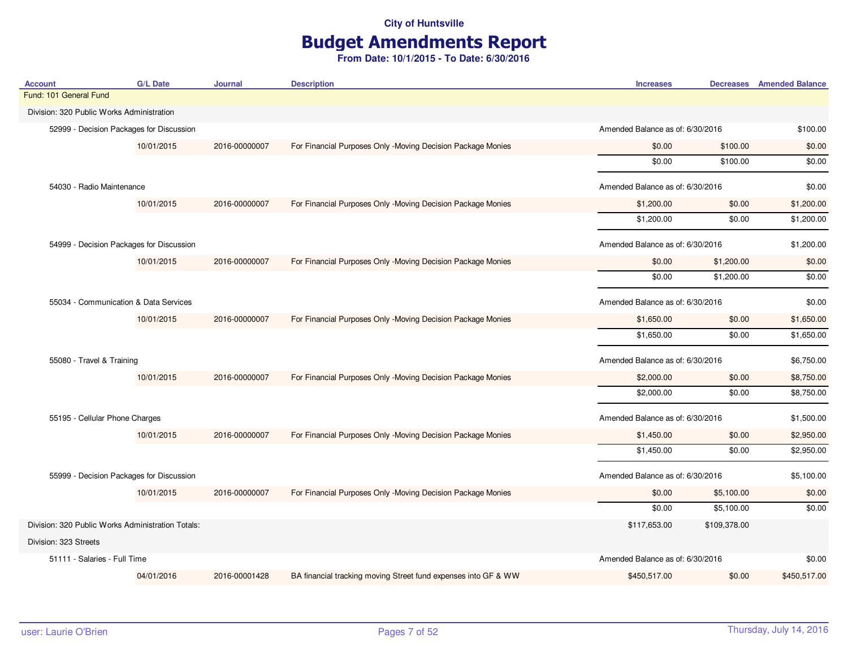# Budget Amendments Report

|                                                   |               | <b>Description</b>                                             | <b>Increases</b> |                                  | <b>Decreases</b> Amended Balance                                                                                                                                                                                                                         |
|---------------------------------------------------|---------------|----------------------------------------------------------------|------------------|----------------------------------|----------------------------------------------------------------------------------------------------------------------------------------------------------------------------------------------------------------------------------------------------------|
|                                                   |               |                                                                |                  |                                  |                                                                                                                                                                                                                                                          |
| Division: 320 Public Works Administration         |               |                                                                |                  |                                  |                                                                                                                                                                                                                                                          |
| 52999 - Decision Packages for Discussion          |               |                                                                |                  | Amended Balance as of: 6/30/2016 |                                                                                                                                                                                                                                                          |
| 10/01/2015                                        | 2016-00000007 | For Financial Purposes Only -Moving Decision Package Monies    | \$0.00           | \$100.00                         | \$0.00                                                                                                                                                                                                                                                   |
|                                                   |               |                                                                | \$0.00           | \$100.00                         | \$0.00                                                                                                                                                                                                                                                   |
| 54030 - Radio Maintenance                         |               |                                                                |                  |                                  | \$0.00                                                                                                                                                                                                                                                   |
| 10/01/2015                                        | 2016-00000007 | For Financial Purposes Only -Moving Decision Package Monies    | \$1,200.00       | \$0.00                           | \$1,200.00                                                                                                                                                                                                                                               |
|                                                   |               |                                                                | \$1,200.00       | \$0.00                           | \$1,200.00                                                                                                                                                                                                                                               |
| 54999 - Decision Packages for Discussion          |               |                                                                |                  |                                  | \$1,200.00                                                                                                                                                                                                                                               |
| 10/01/2015                                        | 2016-00000007 | For Financial Purposes Only -Moving Decision Package Monies    | \$0.00           | \$1,200.00                       | \$0.00                                                                                                                                                                                                                                                   |
|                                                   |               |                                                                | \$0.00           | \$1,200.00                       | \$0.00                                                                                                                                                                                                                                                   |
| 55034 - Communication & Data Services             |               |                                                                |                  |                                  | \$0.00                                                                                                                                                                                                                                                   |
| 10/01/2015                                        | 2016-00000007 | For Financial Purposes Only -Moving Decision Package Monies    | \$1,650.00       | \$0.00                           | \$1,650.00                                                                                                                                                                                                                                               |
|                                                   |               |                                                                | \$1,650.00       | \$0.00                           | \$1,650.00                                                                                                                                                                                                                                               |
| 55080 - Travel & Training                         |               |                                                                |                  |                                  | \$6,750.00                                                                                                                                                                                                                                               |
| 10/01/2015                                        | 2016-00000007 | For Financial Purposes Only -Moving Decision Package Monies    | \$2,000.00       | \$0.00                           | \$8,750.00                                                                                                                                                                                                                                               |
|                                                   |               |                                                                | \$2,000.00       | \$0.00                           | \$8,750.00                                                                                                                                                                                                                                               |
| 55195 - Cellular Phone Charges                    |               |                                                                |                  |                                  | \$1,500.00                                                                                                                                                                                                                                               |
| 10/01/2015                                        | 2016-00000007 | For Financial Purposes Only -Moving Decision Package Monies    | \$1,450.00       | \$0.00                           | \$2,950.00                                                                                                                                                                                                                                               |
|                                                   |               |                                                                | \$1,450.00       | \$0.00                           | \$2,950.00                                                                                                                                                                                                                                               |
| 55999 - Decision Packages for Discussion          |               |                                                                |                  |                                  | \$5,100.00                                                                                                                                                                                                                                               |
| 10/01/2015                                        | 2016-00000007 | For Financial Purposes Only -Moving Decision Package Monies    | \$0.00           | \$5,100.00                       | \$0.00                                                                                                                                                                                                                                                   |
|                                                   |               |                                                                | \$0.00           | \$5,100.00                       | \$0.00                                                                                                                                                                                                                                                   |
| Division: 320 Public Works Administration Totals: |               |                                                                | \$117,653.00     | \$109,378.00                     |                                                                                                                                                                                                                                                          |
|                                                   |               |                                                                |                  |                                  |                                                                                                                                                                                                                                                          |
| 51111 - Salaries - Full Time                      |               |                                                                |                  |                                  | \$0.00                                                                                                                                                                                                                                                   |
| 04/01/2016                                        | 2016-00001428 | BA financial tracking moving Street fund expenses into GF & WW | \$450,517.00     | \$0.00                           | \$450,517.00                                                                                                                                                                                                                                             |
|                                                   |               |                                                                |                  |                                  | Amended Balance as of: 6/30/2016<br>Amended Balance as of: 6/30/2016<br>Amended Balance as of: 6/30/2016<br>Amended Balance as of: 6/30/2016<br>Amended Balance as of: 6/30/2016<br>Amended Balance as of: 6/30/2016<br>Amended Balance as of: 6/30/2016 |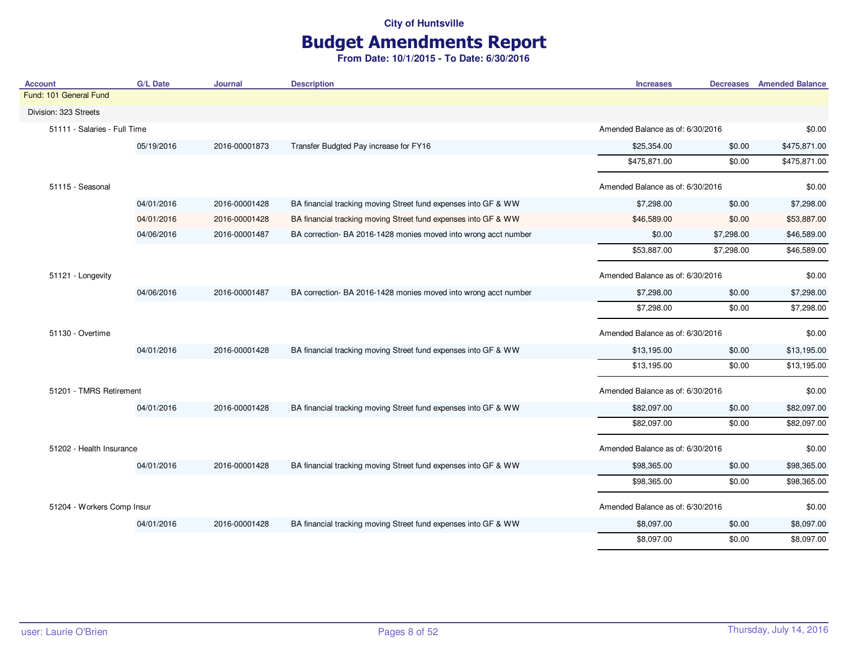# Budget Amendments Report

| <b>Account</b>               | <b>G/L Date</b> | Journal       | <b>Description</b>                                              | <b>Increases</b>                 |                                  | <b>Decreases</b> Amended Balance |
|------------------------------|-----------------|---------------|-----------------------------------------------------------------|----------------------------------|----------------------------------|----------------------------------|
| Fund: 101 General Fund       |                 |               |                                                                 |                                  |                                  |                                  |
| Division: 323 Streets        |                 |               |                                                                 |                                  |                                  |                                  |
| 51111 - Salaries - Full Time |                 |               |                                                                 |                                  | Amended Balance as of: 6/30/2016 |                                  |
|                              | 05/19/2016      | 2016-00001873 | Transfer Budgted Pay increase for FY16                          | \$25,354.00                      | \$0.00                           | \$475,871.00                     |
|                              |                 |               |                                                                 | \$475,871.00                     | \$0.00                           | \$475,871.00                     |
| 51115 - Seasonal             |                 |               |                                                                 |                                  | Amended Balance as of: 6/30/2016 |                                  |
|                              | 04/01/2016      | 2016-00001428 | BA financial tracking moving Street fund expenses into GF & WW  | \$7,298.00                       | \$0.00                           | \$7,298.00                       |
|                              | 04/01/2016      | 2016-00001428 | BA financial tracking moving Street fund expenses into GF & WW  | \$46,589.00                      | \$0.00                           | \$53,887.00                      |
|                              | 04/06/2016      | 2016-00001487 | BA correction- BA 2016-1428 monies moved into wrong acct number | \$0.00                           | \$7,298.00                       | \$46,589.00                      |
|                              |                 |               |                                                                 | \$53,887.00                      | \$7,298.00                       | \$46,589.00                      |
| 51121 - Longevity            |                 |               |                                                                 |                                  | Amended Balance as of: 6/30/2016 |                                  |
|                              | 04/06/2016      | 2016-00001487 | BA correction- BA 2016-1428 monies moved into wrong acct number | \$7,298.00                       | \$0.00                           | \$7,298.00                       |
|                              |                 |               |                                                                 | \$7,298.00                       | \$0.00                           | \$7,298.00                       |
| 51130 - Overtime             |                 |               |                                                                 | Amended Balance as of: 6/30/2016 |                                  | \$0.00                           |
|                              | 04/01/2016      | 2016-00001428 | BA financial tracking moving Street fund expenses into GF & WW  | \$13,195.00                      | \$0.00                           | \$13,195.00                      |
|                              |                 |               |                                                                 | \$13,195.00                      | \$0.00                           | \$13,195.00                      |
| 51201 - TMRS Retirement      |                 |               |                                                                 | Amended Balance as of: 6/30/2016 |                                  | \$0.00                           |
|                              | 04/01/2016      | 2016-00001428 | BA financial tracking moving Street fund expenses into GF & WW  | \$82,097.00                      | \$0.00                           | \$82,097.00                      |
|                              |                 |               |                                                                 | \$82,097.00                      | \$0.00                           | \$82,097.00                      |
| 51202 - Health Insurance     |                 |               |                                                                 | Amended Balance as of: 6/30/2016 |                                  | \$0.00                           |
|                              | 04/01/2016      | 2016-00001428 | BA financial tracking moving Street fund expenses into GF & WW  | \$98,365.00                      | \$0.00                           | \$98,365.00                      |
|                              |                 |               |                                                                 | \$98,365.00                      | \$0.00                           | \$98,365.00                      |
| 51204 - Workers Comp Insur   |                 |               |                                                                 | Amended Balance as of: 6/30/2016 |                                  | \$0.00                           |
|                              | 04/01/2016      | 2016-00001428 | BA financial tracking moving Street fund expenses into GF & WW  | \$8,097.00                       | \$0.00                           | \$8,097.00                       |
|                              |                 |               |                                                                 | \$8,097.00                       | \$0.00                           | \$8,097.00                       |
|                              |                 |               |                                                                 |                                  |                                  |                                  |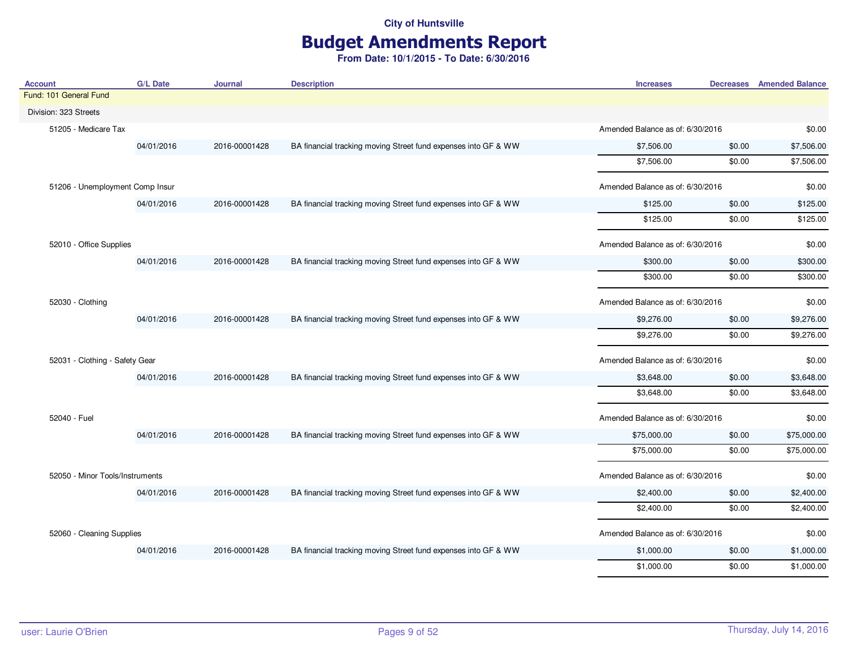# Budget Amendments Report

| <b>Account</b>                  | <b>G/L Date</b> | Journal       | <b>Description</b>                                             | <b>Increases</b>                 |                                  | <b>Decreases</b> Amended Balance |
|---------------------------------|-----------------|---------------|----------------------------------------------------------------|----------------------------------|----------------------------------|----------------------------------|
| Fund: 101 General Fund          |                 |               |                                                                |                                  |                                  |                                  |
| Division: 323 Streets           |                 |               |                                                                |                                  |                                  |                                  |
| 51205 - Medicare Tax            |                 |               |                                                                |                                  | Amended Balance as of: 6/30/2016 |                                  |
|                                 | 04/01/2016      | 2016-00001428 | BA financial tracking moving Street fund expenses into GF & WW | \$7,506.00                       | \$0.00                           | \$7,506.00                       |
|                                 |                 |               |                                                                | \$7,506.00                       | \$0.00                           | \$7,506.00                       |
| 51206 - Unemployment Comp Insur |                 |               |                                                                | Amended Balance as of: 6/30/2016 |                                  | \$0.00                           |
|                                 | 04/01/2016      | 2016-00001428 | BA financial tracking moving Street fund expenses into GF & WW | \$125.00                         | \$0.00                           | \$125.00                         |
|                                 |                 |               |                                                                | \$125.00                         | \$0.00                           | \$125.00                         |
| 52010 - Office Supplies         |                 |               |                                                                | Amended Balance as of: 6/30/2016 |                                  | \$0.00                           |
|                                 | 04/01/2016      | 2016-00001428 | BA financial tracking moving Street fund expenses into GF & WW | \$300.00                         | \$0.00                           | \$300.00                         |
|                                 |                 |               |                                                                | \$300.00                         | \$0.00                           | \$300.00                         |
| 52030 - Clothing                |                 |               |                                                                | Amended Balance as of: 6/30/2016 |                                  | \$0.00                           |
|                                 | 04/01/2016      | 2016-00001428 | BA financial tracking moving Street fund expenses into GF & WW | \$9,276.00                       | \$0.00                           | \$9,276.00                       |
|                                 |                 |               |                                                                | \$9,276.00                       | \$0.00                           | \$9,276.00                       |
| 52031 - Clothing - Safety Gear  |                 |               |                                                                | Amended Balance as of: 6/30/2016 |                                  | \$0.00                           |
|                                 | 04/01/2016      | 2016-00001428 | BA financial tracking moving Street fund expenses into GF & WW | \$3,648.00                       | \$0.00                           | \$3,648.00                       |
|                                 |                 |               |                                                                | \$3,648.00                       | \$0.00                           | \$3,648.00                       |
| 52040 - Fuel                    |                 |               |                                                                | Amended Balance as of: 6/30/2016 |                                  | \$0.00                           |
|                                 | 04/01/2016      | 2016-00001428 | BA financial tracking moving Street fund expenses into GF & WW | \$75,000.00                      | \$0.00                           | \$75,000.00                      |
|                                 |                 |               |                                                                | \$75,000.00                      | \$0.00                           | \$75,000.00                      |
| 52050 - Minor Tools/Instruments |                 |               |                                                                | Amended Balance as of: 6/30/2016 |                                  | \$0.00                           |
|                                 | 04/01/2016      | 2016-00001428 | BA financial tracking moving Street fund expenses into GF & WW | \$2,400.00                       | \$0.00                           | \$2,400.00                       |
|                                 |                 |               |                                                                | \$2,400.00                       | \$0.00                           | \$2,400.00                       |
| 52060 - Cleaning Supplies       |                 |               |                                                                | Amended Balance as of: 6/30/2016 |                                  | \$0.00                           |
|                                 | 04/01/2016      | 2016-00001428 | BA financial tracking moving Street fund expenses into GF & WW | \$1,000.00                       | \$0.00                           | \$1,000.00                       |
|                                 |                 |               |                                                                | \$1,000.00                       | \$0.00                           | \$1,000.00                       |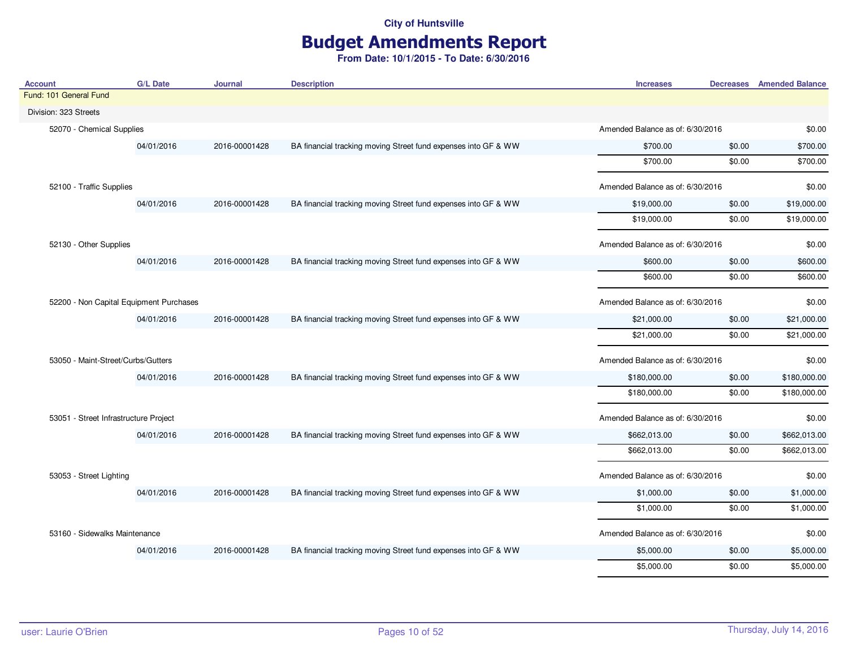# Budget Amendments Report

| <b>Account</b>                          | <b>G/L Date</b> | Journal                          | <b>Description</b>                                             | <b>Increases</b>                 |        | <b>Decreases</b> Amended Balance |
|-----------------------------------------|-----------------|----------------------------------|----------------------------------------------------------------|----------------------------------|--------|----------------------------------|
| Fund: 101 General Fund                  |                 |                                  |                                                                |                                  |        |                                  |
| Division: 323 Streets                   |                 |                                  |                                                                |                                  |        |                                  |
| 52070 - Chemical Supplies               |                 |                                  |                                                                | Amended Balance as of: 6/30/2016 |        | \$0.00                           |
|                                         | 04/01/2016      | 2016-00001428                    | BA financial tracking moving Street fund expenses into GF & WW | \$700.00                         | \$0.00 | \$700.00                         |
|                                         |                 |                                  |                                                                | \$700.00                         | \$0.00 | \$700.00                         |
| 52100 - Traffic Supplies                |                 |                                  |                                                                | Amended Balance as of: 6/30/2016 |        | \$0.00                           |
|                                         | 04/01/2016      | 2016-00001428                    | BA financial tracking moving Street fund expenses into GF & WW | \$19,000.00                      | \$0.00 | \$19,000.00                      |
|                                         |                 |                                  |                                                                | \$19,000.00                      | \$0.00 | \$19,000.00                      |
| 52130 - Other Supplies                  |                 |                                  |                                                                | Amended Balance as of: 6/30/2016 |        | \$0.00                           |
|                                         | 04/01/2016      | 2016-00001428                    | BA financial tracking moving Street fund expenses into GF & WW | \$600.00                         | \$0.00 | \$600.00                         |
|                                         |                 |                                  |                                                                | \$600.00                         | \$0.00 | \$600.00                         |
| 52200 - Non Capital Equipment Purchases |                 | Amended Balance as of: 6/30/2016 |                                                                | \$0.00                           |        |                                  |
|                                         | 04/01/2016      | 2016-00001428                    | BA financial tracking moving Street fund expenses into GF & WW | \$21,000.00                      | \$0.00 | \$21,000.00                      |
|                                         |                 |                                  |                                                                | \$21,000.00                      | \$0.00 | \$21,000.00                      |
| 53050 - Maint-Street/Curbs/Gutters      |                 |                                  |                                                                | Amended Balance as of: 6/30/2016 |        | \$0.00                           |
|                                         | 04/01/2016      | 2016-00001428                    | BA financial tracking moving Street fund expenses into GF & WW | \$180,000.00                     | \$0.00 | \$180,000.00                     |
|                                         |                 |                                  |                                                                | \$180,000.00                     | \$0.00 | \$180,000.00                     |
| 53051 - Street Infrastructure Project   |                 |                                  |                                                                | Amended Balance as of: 6/30/2016 |        | \$0.00                           |
|                                         | 04/01/2016      | 2016-00001428                    | BA financial tracking moving Street fund expenses into GF & WW | \$662,013.00                     | \$0.00 | \$662,013.00                     |
|                                         |                 |                                  |                                                                | \$662,013.00                     | \$0.00 | \$662,013.00                     |
| 53053 - Street Lighting                 |                 |                                  |                                                                | Amended Balance as of: 6/30/2016 |        | \$0.00                           |
|                                         | 04/01/2016      | 2016-00001428                    | BA financial tracking moving Street fund expenses into GF & WW | \$1,000.00                       | \$0.00 | \$1,000.00                       |
|                                         |                 |                                  |                                                                | \$1,000.00                       | \$0.00 | \$1,000.00                       |
| 53160 - Sidewalks Maintenance           |                 |                                  |                                                                | Amended Balance as of: 6/30/2016 |        | \$0.00                           |
|                                         | 04/01/2016      | 2016-00001428                    | BA financial tracking moving Street fund expenses into GF & WW | \$5,000.00                       | \$0.00 | \$5,000.00                       |
|                                         |                 |                                  |                                                                | \$5,000.00                       | \$0.00 | \$5,000.00                       |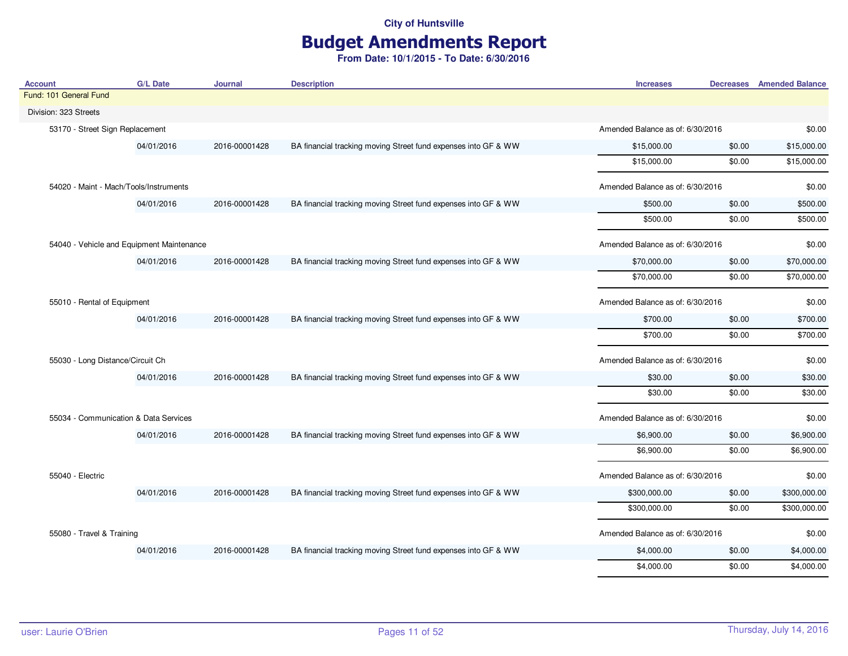# Budget Amendments Report

| <b>Account</b>                            | <b>G/L Date</b> | Journal       | <b>Description</b>                                             | <b>Increases</b>                 |        | <b>Decreases</b> Amended Balance |
|-------------------------------------------|-----------------|---------------|----------------------------------------------------------------|----------------------------------|--------|----------------------------------|
| Fund: 101 General Fund                    |                 |               |                                                                |                                  |        |                                  |
| Division: 323 Streets                     |                 |               |                                                                |                                  |        |                                  |
| 53170 - Street Sign Replacement           |                 |               |                                                                | Amended Balance as of: 6/30/2016 |        | \$0.00                           |
|                                           | 04/01/2016      | 2016-00001428 | BA financial tracking moving Street fund expenses into GF & WW | \$15,000.00                      | \$0.00 | \$15,000.00                      |
|                                           |                 |               |                                                                | \$15,000.00                      | \$0.00 | \$15,000.00                      |
| 54020 - Maint - Mach/Tools/Instruments    |                 |               |                                                                | Amended Balance as of: 6/30/2016 |        | \$0.00                           |
|                                           | 04/01/2016      | 2016-00001428 | BA financial tracking moving Street fund expenses into GF & WW | \$500.00                         | \$0.00 | \$500.00                         |
|                                           |                 |               |                                                                | \$500.00                         | \$0.00 | \$500.00                         |
| 54040 - Vehicle and Equipment Maintenance |                 |               |                                                                | Amended Balance as of: 6/30/2016 |        | \$0.00                           |
|                                           | 04/01/2016      | 2016-00001428 | BA financial tracking moving Street fund expenses into GF & WW | \$70,000.00                      | \$0.00 | \$70,000.00                      |
|                                           |                 |               |                                                                | \$70,000.00                      | \$0.00 | \$70,000.00                      |
| 55010 - Rental of Equipment               |                 |               | Amended Balance as of: 6/30/2016                               |                                  | \$0.00 |                                  |
|                                           | 04/01/2016      | 2016-00001428 | BA financial tracking moving Street fund expenses into GF & WW | \$700.00                         | \$0.00 | \$700.00                         |
|                                           |                 |               |                                                                | \$700.00                         | \$0.00 | \$700.00                         |
| 55030 - Long Distance/Circuit Ch          |                 |               |                                                                | Amended Balance as of: 6/30/2016 |        | \$0.00                           |
|                                           | 04/01/2016      | 2016-00001428 | BA financial tracking moving Street fund expenses into GF & WW | \$30.00                          | \$0.00 | \$30.00                          |
|                                           |                 |               |                                                                | \$30.00                          | \$0.00 | \$30.00                          |
| 55034 - Communication & Data Services     |                 |               |                                                                | Amended Balance as of: 6/30/2016 |        | \$0.00                           |
|                                           | 04/01/2016      | 2016-00001428 | BA financial tracking moving Street fund expenses into GF & WW | \$6,900.00                       | \$0.00 | \$6,900.00                       |
|                                           |                 |               |                                                                | \$6,900.00                       | \$0.00 | \$6,900.00                       |
| 55040 - Electric                          |                 |               |                                                                | Amended Balance as of: 6/30/2016 |        | \$0.00                           |
|                                           | 04/01/2016      | 2016-00001428 | BA financial tracking moving Street fund expenses into GF & WW | \$300,000.00                     | \$0.00 | \$300,000.00                     |
|                                           |                 |               |                                                                | \$300,000.00                     | \$0.00 | \$300,000.00                     |
| 55080 - Travel & Training                 |                 |               |                                                                | Amended Balance as of: 6/30/2016 |        | \$0.00                           |
|                                           | 04/01/2016      | 2016-00001428 | BA financial tracking moving Street fund expenses into GF & WW | \$4,000.00                       | \$0.00 | \$4,000.00                       |
|                                           |                 |               |                                                                | \$4,000.00                       | \$0.00 | \$4,000.00                       |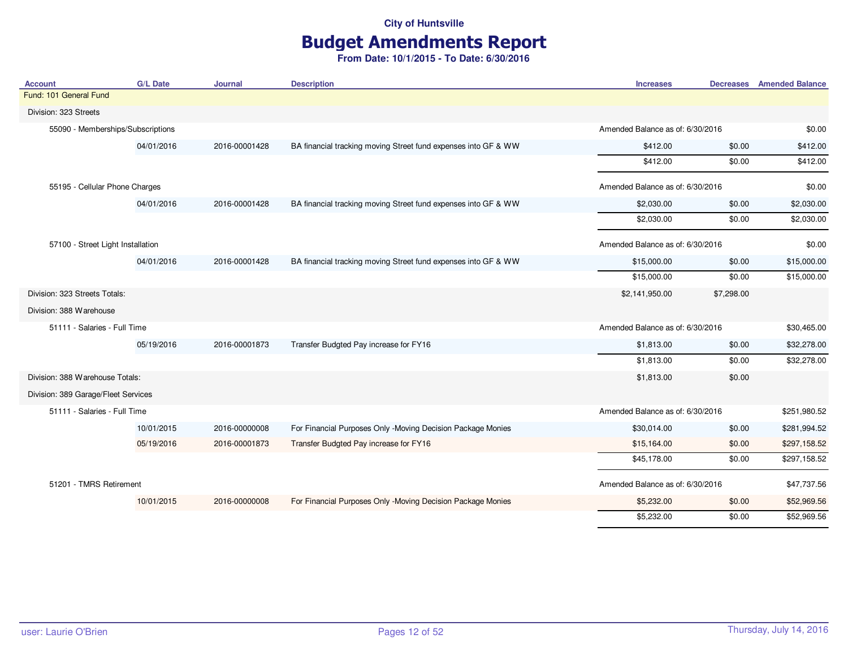# Budget Amendments Report

| <b>Account</b>                      | <b>G/L Date</b> | <b>Journal</b> | <b>Description</b>                                             | <b>Increases</b>                 | <b>Decreases</b>                 | <b>Amended Balance</b> |
|-------------------------------------|-----------------|----------------|----------------------------------------------------------------|----------------------------------|----------------------------------|------------------------|
| Fund: 101 General Fund              |                 |                |                                                                |                                  |                                  |                        |
| Division: 323 Streets               |                 |                |                                                                |                                  |                                  |                        |
| 55090 - Memberships/Subscriptions   |                 |                |                                                                | Amended Balance as of: 6/30/2016 |                                  | \$0.00                 |
|                                     | 04/01/2016      | 2016-00001428  | BA financial tracking moving Street fund expenses into GF & WW | \$412.00                         | \$0.00                           | \$412.00               |
|                                     |                 |                |                                                                | \$412.00                         | \$0.00                           | \$412.00               |
| 55195 - Cellular Phone Charges      |                 |                |                                                                | Amended Balance as of: 6/30/2016 |                                  | \$0.00                 |
|                                     | 04/01/2016      | 2016-00001428  | BA financial tracking moving Street fund expenses into GF & WW | \$2,030.00                       | \$0.00                           | \$2,030.00             |
|                                     |                 |                |                                                                | \$2,030.00                       | \$0.00                           | \$2,030.00             |
| 57100 - Street Light Installation   |                 |                |                                                                |                                  | Amended Balance as of: 6/30/2016 |                        |
|                                     | 04/01/2016      | 2016-00001428  | BA financial tracking moving Street fund expenses into GF & WW | \$15,000.00                      | \$0.00                           | \$15,000.00            |
|                                     |                 |                |                                                                | \$15,000.00                      | \$0.00                           | \$15,000.00            |
| Division: 323 Streets Totals:       |                 |                |                                                                | \$2,141,950.00                   | \$7,298.00                       |                        |
| Division: 388 Warehouse             |                 |                |                                                                |                                  |                                  |                        |
| 51111 - Salaries - Full Time        |                 |                |                                                                | Amended Balance as of: 6/30/2016 |                                  | \$30,465.00            |
|                                     | 05/19/2016      | 2016-00001873  | Transfer Budgted Pay increase for FY16                         | \$1,813.00                       | \$0.00                           | \$32,278.00            |
|                                     |                 |                |                                                                | \$1,813.00                       | \$0.00                           | \$32,278.00            |
| Division: 388 Warehouse Totals:     |                 |                |                                                                | \$1,813.00                       | \$0.00                           |                        |
| Division: 389 Garage/Fleet Services |                 |                |                                                                |                                  |                                  |                        |
| 51111 - Salaries - Full Time        |                 |                |                                                                | Amended Balance as of: 6/30/2016 |                                  | \$251,980.52           |
|                                     | 10/01/2015      | 2016-00000008  | For Financial Purposes Only -Moving Decision Package Monies    | \$30,014.00                      | \$0.00                           | \$281,994.52           |
|                                     | 05/19/2016      | 2016-00001873  | Transfer Budgted Pay increase for FY16                         | \$15,164.00                      | \$0.00                           | \$297,158.52           |
|                                     |                 |                |                                                                | \$45,178.00                      | \$0.00                           | \$297,158.52           |
| 51201 - TMRS Retirement             |                 |                |                                                                | Amended Balance as of: 6/30/2016 |                                  | \$47,737.56            |
|                                     | 10/01/2015      | 2016-00000008  | For Financial Purposes Only -Moving Decision Package Monies    | \$5,232.00                       | \$0.00                           | \$52,969.56            |
|                                     |                 |                |                                                                | \$5,232.00                       | \$0.00                           | \$52,969.56            |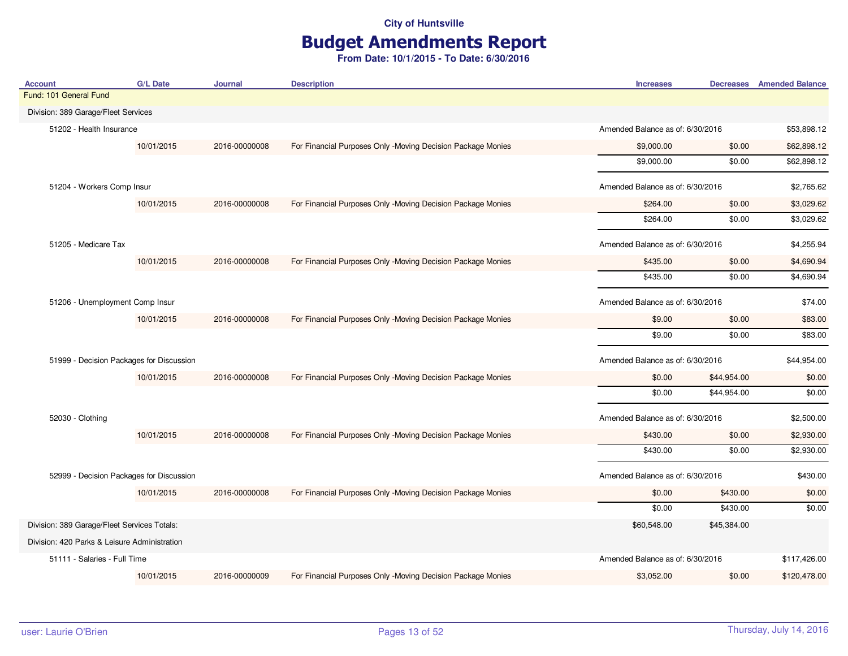# Budget Amendments Report

| <b>Account</b>                               | <b>G/L Date</b> | Journal       | <b>Description</b>                                          | <b>Increases</b>                 |                                  | <b>Decreases</b> Amended Balance |
|----------------------------------------------|-----------------|---------------|-------------------------------------------------------------|----------------------------------|----------------------------------|----------------------------------|
| Fund: 101 General Fund                       |                 |               |                                                             |                                  |                                  |                                  |
| Division: 389 Garage/Fleet Services          |                 |               |                                                             |                                  |                                  |                                  |
| 51202 - Health Insurance                     |                 |               |                                                             |                                  | Amended Balance as of: 6/30/2016 |                                  |
|                                              | 10/01/2015      | 2016-00000008 | For Financial Purposes Only -Moving Decision Package Monies | \$9,000.00                       | \$0.00                           | \$62,898.12                      |
|                                              |                 |               |                                                             | \$9,000.00                       | \$0.00                           | \$62,898.12                      |
| 51204 - Workers Comp Insur                   |                 |               |                                                             | Amended Balance as of: 6/30/2016 |                                  | \$2,765.62                       |
|                                              | 10/01/2015      | 2016-00000008 | For Financial Purposes Only -Moving Decision Package Monies | \$264.00                         | \$0.00                           | \$3,029.62                       |
|                                              |                 |               |                                                             | \$264.00                         | \$0.00                           | \$3,029.62                       |
| 51205 - Medicare Tax                         |                 |               |                                                             | Amended Balance as of: 6/30/2016 |                                  | \$4,255.94                       |
|                                              | 10/01/2015      | 2016-00000008 | For Financial Purposes Only -Moving Decision Package Monies | \$435.00                         | \$0.00                           | \$4,690.94                       |
|                                              |                 |               |                                                             | \$435.00                         | \$0.00                           | \$4,690.94                       |
| 51206 - Unemployment Comp Insur              |                 |               |                                                             | Amended Balance as of: 6/30/2016 |                                  | \$74.00                          |
|                                              | 10/01/2015      | 2016-00000008 | For Financial Purposes Only -Moving Decision Package Monies | \$9.00                           | \$0.00                           | \$83.00                          |
|                                              |                 |               |                                                             | \$9.00                           | \$0.00                           | \$83.00                          |
| 51999 - Decision Packages for Discussion     |                 |               |                                                             | Amended Balance as of: 6/30/2016 |                                  | \$44,954.00                      |
|                                              | 10/01/2015      | 2016-00000008 | For Financial Purposes Only -Moving Decision Package Monies | \$0.00                           | \$44,954.00                      | \$0.00                           |
|                                              |                 |               |                                                             | \$0.00                           | \$44,954.00                      | \$0.00                           |
| 52030 - Clothing                             |                 |               |                                                             | Amended Balance as of: 6/30/2016 |                                  | \$2,500.00                       |
|                                              | 10/01/2015      | 2016-00000008 | For Financial Purposes Only -Moving Decision Package Monies | \$430.00                         | \$0.00                           | \$2,930.00                       |
|                                              |                 |               |                                                             | \$430.00                         | \$0.00                           | \$2,930.00                       |
| 52999 - Decision Packages for Discussion     |                 |               |                                                             | Amended Balance as of: 6/30/2016 |                                  | \$430.00                         |
|                                              | 10/01/2015      | 2016-00000008 | For Financial Purposes Only -Moving Decision Package Monies | \$0.00                           | \$430.00                         | \$0.00                           |
|                                              |                 |               |                                                             | \$0.00                           | \$430.00                         | \$0.00                           |
| Division: 389 Garage/Fleet Services Totals:  |                 |               |                                                             | \$60,548.00                      | \$45,384.00                      |                                  |
| Division: 420 Parks & Leisure Administration |                 |               |                                                             |                                  |                                  |                                  |
| 51111 - Salaries - Full Time                 |                 |               |                                                             | Amended Balance as of: 6/30/2016 |                                  | \$117,426.00                     |
|                                              | 10/01/2015      | 2016-00000009 | For Financial Purposes Only -Moving Decision Package Monies | \$3,052.00                       | \$0.00                           | \$120,478.00                     |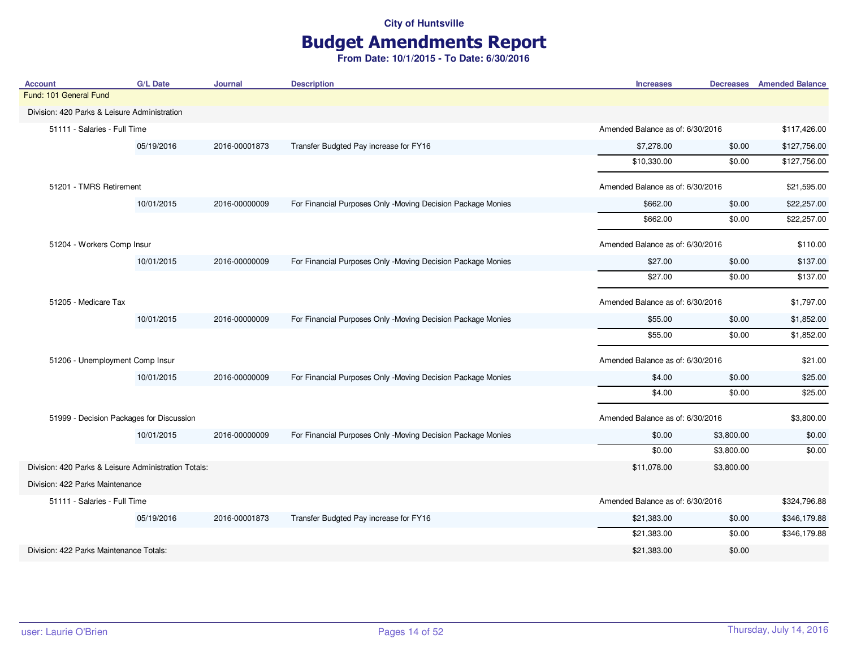# Budget Amendments Report

| <b>Account</b>                                       | <b>G/L Date</b> | <b>Journal</b> | <b>Description</b>                                          | <b>Increases</b>                 |                                  | <b>Decreases</b> Amended Balance |
|------------------------------------------------------|-----------------|----------------|-------------------------------------------------------------|----------------------------------|----------------------------------|----------------------------------|
| Fund: 101 General Fund                               |                 |                |                                                             |                                  |                                  |                                  |
| Division: 420 Parks & Leisure Administration         |                 |                |                                                             |                                  |                                  |                                  |
| 51111 - Salaries - Full Time                         |                 |                |                                                             |                                  | Amended Balance as of: 6/30/2016 |                                  |
|                                                      | 05/19/2016      | 2016-00001873  | Transfer Budgted Pay increase for FY16                      | \$7,278.00                       | \$0.00                           | \$127,756.00                     |
|                                                      |                 |                |                                                             | \$10,330.00                      | \$0.00                           | \$127,756.00                     |
| 51201 - TMRS Retirement                              |                 |                |                                                             | Amended Balance as of: 6/30/2016 |                                  | \$21,595.00                      |
|                                                      | 10/01/2015      | 2016-00000009  | For Financial Purposes Only -Moving Decision Package Monies | \$662.00                         | \$0.00                           | \$22,257.00                      |
|                                                      |                 |                |                                                             | \$662.00                         | \$0.00                           | \$22,257.00                      |
| 51204 - Workers Comp Insur                           |                 |                |                                                             | Amended Balance as of: 6/30/2016 |                                  | \$110.00                         |
|                                                      | 10/01/2015      | 2016-00000009  | For Financial Purposes Only -Moving Decision Package Monies | \$27.00                          | \$0.00                           | \$137.00                         |
|                                                      |                 |                |                                                             | \$27.00                          | \$0.00                           | \$137.00                         |
| 51205 - Medicare Tax                                 |                 |                |                                                             | Amended Balance as of: 6/30/2016 |                                  | \$1,797.00                       |
|                                                      | 10/01/2015      | 2016-00000009  | For Financial Purposes Only -Moving Decision Package Monies | \$55.00                          | \$0.00                           | \$1,852.00                       |
|                                                      |                 |                |                                                             | \$55.00                          | \$0.00                           | \$1,852.00                       |
| 51206 - Unemployment Comp Insur                      |                 |                |                                                             | Amended Balance as of: 6/30/2016 |                                  | \$21.00                          |
|                                                      | 10/01/2015      | 2016-00000009  | For Financial Purposes Only -Moving Decision Package Monies | \$4.00                           | \$0.00                           | \$25.00                          |
|                                                      |                 |                |                                                             | \$4.00                           | \$0.00                           | \$25.00                          |
| 51999 - Decision Packages for Discussion             |                 |                |                                                             | Amended Balance as of: 6/30/2016 |                                  | \$3,800.00                       |
|                                                      | 10/01/2015      | 2016-00000009  | For Financial Purposes Only -Moving Decision Package Monies | \$0.00                           | \$3,800.00                       | \$0.00                           |
|                                                      |                 |                |                                                             | \$0.00                           | \$3,800.00                       | \$0.00                           |
| Division: 420 Parks & Leisure Administration Totals: |                 |                |                                                             | \$11,078.00                      | \$3,800.00                       |                                  |
| Division: 422 Parks Maintenance                      |                 |                |                                                             |                                  |                                  |                                  |
| 51111 - Salaries - Full Time                         |                 |                |                                                             | Amended Balance as of: 6/30/2016 |                                  | \$324,796.88                     |
|                                                      | 05/19/2016      | 2016-00001873  | Transfer Budgted Pay increase for FY16                      | \$21,383.00                      | \$0.00                           | \$346,179.88                     |
|                                                      |                 |                |                                                             | \$21,383.00                      | \$0.00                           | \$346,179.88                     |
| Division: 422 Parks Maintenance Totals:              |                 |                |                                                             | \$21,383.00                      | \$0.00                           |                                  |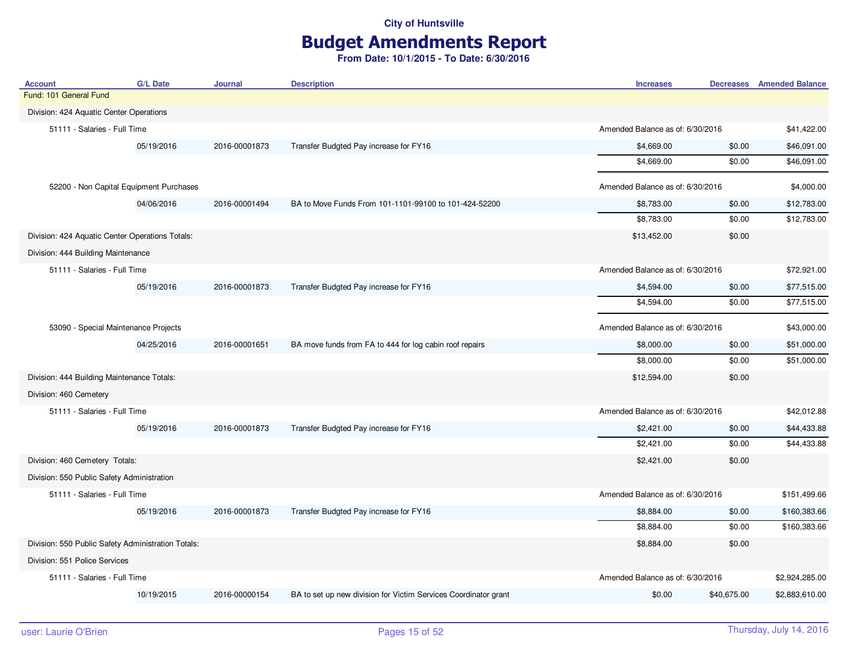# Budget Amendments Report

| <b>Account</b>                                     | <b>G/L Date</b>                         | Journal                          | <b>Description</b>                                              | <b>Increases</b>                 | <b>Decreases</b> Amended Balance |
|----------------------------------------------------|-----------------------------------------|----------------------------------|-----------------------------------------------------------------|----------------------------------|----------------------------------|
| Fund: 101 General Fund                             |                                         |                                  |                                                                 |                                  |                                  |
| Division: 424 Aquatic Center Operations            |                                         |                                  |                                                                 |                                  |                                  |
| 51111 - Salaries - Full Time                       |                                         |                                  |                                                                 | Amended Balance as of: 6/30/2016 | \$41,422.00                      |
|                                                    | 05/19/2016                              | 2016-00001873                    | Transfer Budgted Pay increase for FY16                          | \$4,669.00<br>\$0.00             | \$46,091.00                      |
|                                                    |                                         |                                  |                                                                 | \$4,669.00<br>\$0.00             | \$46,091.00                      |
|                                                    | 52200 - Non Capital Equipment Purchases |                                  |                                                                 | Amended Balance as of: 6/30/2016 | \$4,000.00                       |
|                                                    | 04/06/2016                              | 2016-00001494                    | BA to Move Funds From 101-1101-99100 to 101-424-52200           | \$8,783.00<br>\$0.00             | \$12,783.00                      |
|                                                    |                                         |                                  |                                                                 | \$8,783.00<br>\$0.00             | \$12,783.00                      |
| Division: 424 Aquatic Center Operations Totals:    |                                         |                                  |                                                                 | \$13,452.00<br>\$0.00            |                                  |
| Division: 444 Building Maintenance                 |                                         |                                  |                                                                 |                                  |                                  |
| 51111 - Salaries - Full Time                       |                                         |                                  |                                                                 | Amended Balance as of: 6/30/2016 | \$72,921.00                      |
|                                                    | 05/19/2016                              | 2016-00001873                    | Transfer Budgted Pay increase for FY16                          | \$4,594.00<br>\$0.00             | \$77,515.00                      |
|                                                    |                                         |                                  |                                                                 | \$0.00<br>\$4,594.00             | \$77,515.00                      |
| 53090 - Special Maintenance Projects               |                                         | Amended Balance as of: 6/30/2016 | \$43,000.00                                                     |                                  |                                  |
|                                                    | 04/25/2016                              | 2016-00001651                    | BA move funds from FA to 444 for log cabin roof repairs         | \$8,000.00<br>\$0.00             | \$51,000.00                      |
|                                                    |                                         |                                  |                                                                 | \$8,000.00<br>\$0.00             | \$51,000.00                      |
| Division: 444 Building Maintenance Totals:         |                                         |                                  |                                                                 | \$12,594.00<br>\$0.00            |                                  |
| Division: 460 Cemetery                             |                                         |                                  |                                                                 |                                  |                                  |
| 51111 - Salaries - Full Time                       |                                         |                                  |                                                                 | Amended Balance as of: 6/30/2016 | \$42,012.88                      |
|                                                    | 05/19/2016                              | 2016-00001873                    | Transfer Budgted Pay increase for FY16                          | \$2,421.00<br>\$0.00             | \$44,433.88                      |
|                                                    |                                         |                                  |                                                                 | \$2,421.00<br>\$0.00             | \$44,433.88                      |
| Division: 460 Cemetery Totals:                     |                                         |                                  |                                                                 | \$2,421.00<br>\$0.00             |                                  |
| Division: 550 Public Safety Administration         |                                         |                                  |                                                                 |                                  |                                  |
| 51111 - Salaries - Full Time                       |                                         |                                  |                                                                 | Amended Balance as of: 6/30/2016 | \$151,499.66                     |
|                                                    | 05/19/2016                              | 2016-00001873                    | Transfer Budgted Pay increase for FY16                          | \$8,884.00<br>\$0.00             | \$160,383.66                     |
|                                                    |                                         |                                  |                                                                 | \$0.00<br>\$8,884.00             | \$160,383.66                     |
| Division: 550 Public Safety Administration Totals: |                                         |                                  |                                                                 | \$8,884.00<br>\$0.00             |                                  |
| Division: 551 Police Services                      |                                         |                                  |                                                                 |                                  |                                  |
| 51111 - Salaries - Full Time                       |                                         |                                  |                                                                 | Amended Balance as of: 6/30/2016 | \$2,924,285.00                   |
|                                                    | 10/19/2015                              | 2016-00000154                    | BA to set up new division for Victim Services Coordinator grant | \$40,675.00<br>\$0.00            | \$2,883,610.00                   |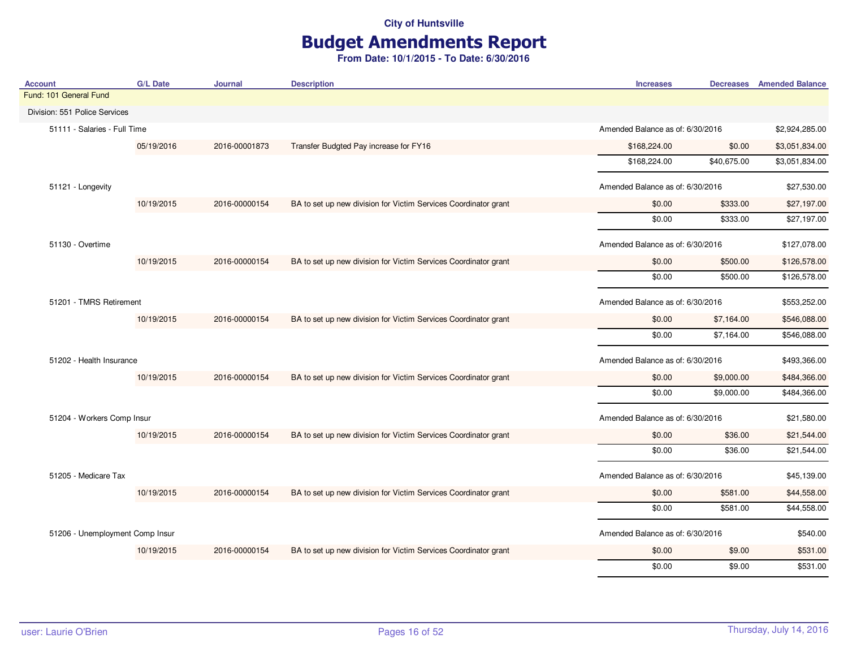# Budget Amendments Report

| <b>Account</b>                  | <b>G/L Date</b> | <b>Journal</b> | <b>Description</b>                                              | <b>Increases</b>                 |                                  | <b>Decreases</b> Amended Balance |
|---------------------------------|-----------------|----------------|-----------------------------------------------------------------|----------------------------------|----------------------------------|----------------------------------|
| Fund: 101 General Fund          |                 |                |                                                                 |                                  |                                  |                                  |
| Division: 551 Police Services   |                 |                |                                                                 |                                  |                                  |                                  |
| 51111 - Salaries - Full Time    |                 |                |                                                                 |                                  | Amended Balance as of: 6/30/2016 |                                  |
|                                 | 05/19/2016      | 2016-00001873  | Transfer Budgted Pay increase for FY16                          | \$168,224.00                     | \$0.00                           | \$3,051,834.00                   |
|                                 |                 |                |                                                                 | \$168,224.00                     | \$40,675.00                      | \$3,051,834.00                   |
| 51121 - Longevity               |                 |                |                                                                 | Amended Balance as of: 6/30/2016 |                                  | \$27,530.00                      |
|                                 | 10/19/2015      | 2016-00000154  | BA to set up new division for Victim Services Coordinator grant | \$0.00                           | \$333.00                         | \$27,197.00                      |
|                                 |                 |                |                                                                 | \$0.00                           | \$333.00                         | \$27,197.00                      |
| 51130 - Overtime                |                 |                |                                                                 | Amended Balance as of: 6/30/2016 |                                  | \$127,078.00                     |
|                                 | 10/19/2015      | 2016-00000154  | BA to set up new division for Victim Services Coordinator grant | \$0.00                           | \$500.00                         | \$126,578.00                     |
|                                 |                 |                |                                                                 | \$0.00                           | \$500.00                         | \$126,578.00                     |
| 51201 - TMRS Retirement         |                 |                | Amended Balance as of: 6/30/2016                                |                                  | \$553,252.00                     |                                  |
|                                 | 10/19/2015      | 2016-00000154  | BA to set up new division for Victim Services Coordinator grant | \$0.00                           | \$7,164.00                       | \$546,088.00                     |
|                                 |                 |                |                                                                 | \$0.00                           | \$7,164.00                       | \$546,088.00                     |
| 51202 - Health Insurance        |                 |                |                                                                 | Amended Balance as of: 6/30/2016 |                                  | \$493,366.00                     |
|                                 | 10/19/2015      | 2016-00000154  | BA to set up new division for Victim Services Coordinator grant | \$0.00                           | \$9,000.00                       | \$484,366.00                     |
|                                 |                 |                |                                                                 | \$0.00                           | \$9,000.00                       | \$484,366.00                     |
| 51204 - Workers Comp Insur      |                 |                |                                                                 | Amended Balance as of: 6/30/2016 |                                  | \$21,580.00                      |
|                                 | 10/19/2015      | 2016-00000154  | BA to set up new division for Victim Services Coordinator grant | \$0.00                           | \$36.00                          | \$21,544.00                      |
|                                 |                 |                |                                                                 | \$0.00                           | \$36.00                          | \$21,544.00                      |
| 51205 - Medicare Tax            |                 |                |                                                                 | Amended Balance as of: 6/30/2016 |                                  | \$45,139.00                      |
|                                 | 10/19/2015      | 2016-00000154  | BA to set up new division for Victim Services Coordinator grant | \$0.00                           | \$581.00                         | \$44,558.00                      |
|                                 |                 |                |                                                                 | \$0.00                           | \$581.00                         | \$44,558.00                      |
| 51206 - Unemployment Comp Insur |                 |                |                                                                 | Amended Balance as of: 6/30/2016 |                                  | \$540.00                         |
|                                 | 10/19/2015      | 2016-00000154  | BA to set up new division for Victim Services Coordinator grant | \$0.00                           | \$9.00                           | \$531.00                         |
|                                 |                 |                |                                                                 | \$0.00                           | \$9.00                           | \$531.00                         |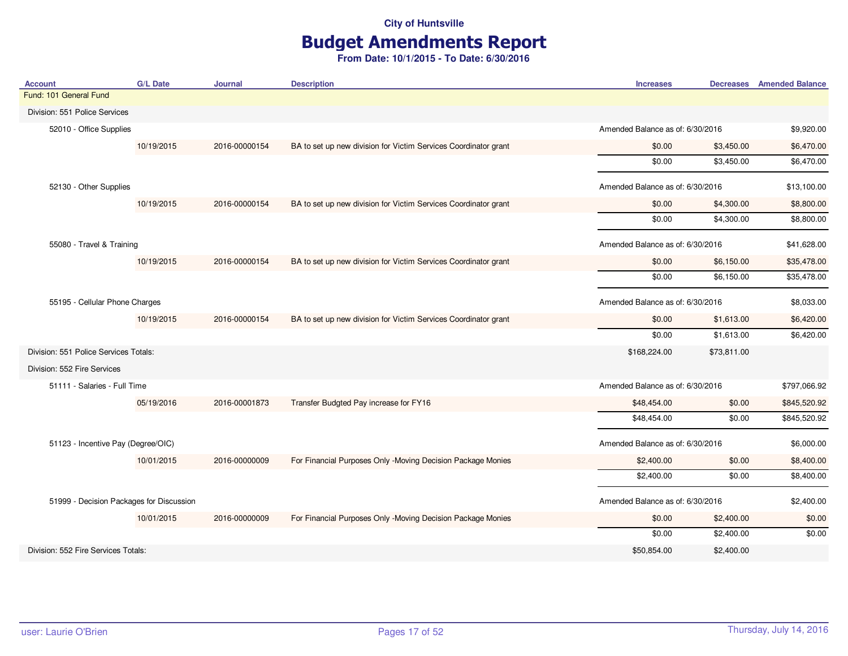# Budget Amendments Report

| <b>Account</b>                           | <b>G/L Date</b> | Journal       | <b>Description</b>                                              | <b>Increases</b>                 |             | <b>Decreases</b> Amended Balance |
|------------------------------------------|-----------------|---------------|-----------------------------------------------------------------|----------------------------------|-------------|----------------------------------|
| Fund: 101 General Fund                   |                 |               |                                                                 |                                  |             |                                  |
| Division: 551 Police Services            |                 |               |                                                                 |                                  |             |                                  |
| 52010 - Office Supplies                  |                 |               |                                                                 | Amended Balance as of: 6/30/2016 |             | \$9,920.00                       |
|                                          | 10/19/2015      | 2016-00000154 | BA to set up new division for Victim Services Coordinator grant | \$0.00                           | \$3,450.00  | \$6,470.00                       |
|                                          |                 |               |                                                                 | \$0.00                           | \$3,450.00  | \$6,470.00                       |
| 52130 - Other Supplies                   |                 |               |                                                                 | Amended Balance as of: 6/30/2016 |             | \$13,100.00                      |
|                                          | 10/19/2015      | 2016-00000154 | BA to set up new division for Victim Services Coordinator grant | \$0.00                           | \$4,300.00  | \$8,800.00                       |
|                                          |                 |               |                                                                 | \$0.00                           | \$4,300.00  | \$8,800.00                       |
| 55080 - Travel & Training                |                 |               |                                                                 | Amended Balance as of: 6/30/2016 |             | \$41,628.00                      |
|                                          | 10/19/2015      | 2016-00000154 | BA to set up new division for Victim Services Coordinator grant | \$0.00                           | \$6,150.00  | \$35,478.00                      |
|                                          |                 |               |                                                                 | \$0.00                           | \$6,150.00  | \$35,478.00                      |
| 55195 - Cellular Phone Charges           |                 |               |                                                                 | Amended Balance as of: 6/30/2016 |             | \$8,033.00                       |
|                                          | 10/19/2015      | 2016-00000154 | BA to set up new division for Victim Services Coordinator grant | \$0.00                           | \$1,613.00  | \$6,420.00                       |
|                                          |                 |               |                                                                 | \$0.00                           | \$1,613.00  | \$6,420.00                       |
| Division: 551 Police Services Totals:    |                 |               |                                                                 | \$168,224.00                     | \$73,811.00 |                                  |
| Division: 552 Fire Services              |                 |               |                                                                 |                                  |             |                                  |
| 51111 - Salaries - Full Time             |                 |               |                                                                 | Amended Balance as of: 6/30/2016 |             | \$797,066.92                     |
|                                          | 05/19/2016      | 2016-00001873 | Transfer Budgted Pay increase for FY16                          | \$48,454.00                      | \$0.00      | \$845,520.92                     |
|                                          |                 |               |                                                                 | \$48,454.00                      | \$0.00      | \$845,520.92                     |
| 51123 - Incentive Pay (Degree/OIC)       |                 |               |                                                                 | Amended Balance as of: 6/30/2016 |             | \$6,000.00                       |
|                                          | 10/01/2015      | 2016-00000009 | For Financial Purposes Only -Moving Decision Package Monies     | \$2,400.00                       | \$0.00      | \$8,400.00                       |
|                                          |                 |               |                                                                 | \$2,400.00                       | \$0.00      | \$8,400.00                       |
| 51999 - Decision Packages for Discussion |                 |               |                                                                 | Amended Balance as of: 6/30/2016 |             | \$2,400.00                       |
|                                          | 10/01/2015      | 2016-00000009 | For Financial Purposes Only -Moving Decision Package Monies     | \$0.00                           | \$2,400.00  | \$0.00                           |
|                                          |                 |               |                                                                 | \$0.00                           | \$2,400.00  | \$0.00                           |
| Division: 552 Fire Services Totals:      |                 |               |                                                                 | \$50,854.00                      | \$2,400.00  |                                  |
|                                          |                 |               |                                                                 |                                  |             |                                  |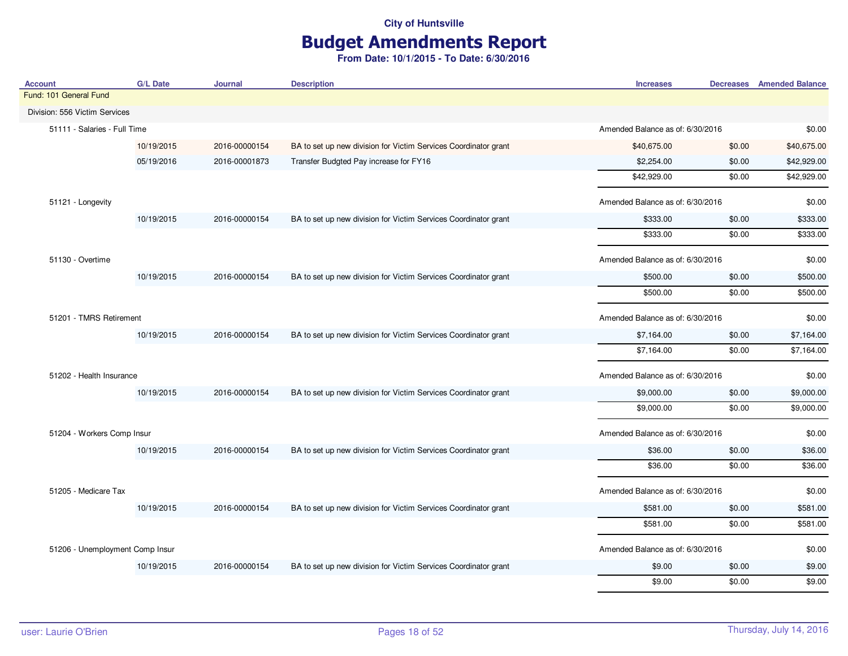# Budget Amendments Report

| <b>Account</b>                  | <b>G/L Date</b> | <b>Journal</b> | <b>Description</b>                                              | <b>Increases</b>                 |                                  | <b>Decreases</b> Amended Balance |
|---------------------------------|-----------------|----------------|-----------------------------------------------------------------|----------------------------------|----------------------------------|----------------------------------|
| Fund: 101 General Fund          |                 |                |                                                                 |                                  |                                  |                                  |
| Division: 556 Victim Services   |                 |                |                                                                 |                                  |                                  |                                  |
| 51111 - Salaries - Full Time    |                 |                |                                                                 |                                  | Amended Balance as of: 6/30/2016 |                                  |
|                                 | 10/19/2015      | 2016-00000154  | BA to set up new division for Victim Services Coordinator grant | \$40,675.00                      | \$0.00                           | \$40,675.00                      |
|                                 | 05/19/2016      | 2016-00001873  | Transfer Budgted Pay increase for FY16                          | \$2,254.00                       | \$0.00                           | \$42,929.00                      |
|                                 |                 |                |                                                                 | \$42,929.00                      | \$0.00                           | \$42,929.00                      |
| 51121 - Longevity               |                 |                |                                                                 | Amended Balance as of: 6/30/2016 |                                  | \$0.00                           |
|                                 | 10/19/2015      | 2016-00000154  | BA to set up new division for Victim Services Coordinator grant | \$333.00                         | \$0.00                           | \$333.00                         |
|                                 |                 |                |                                                                 | \$333.00                         | \$0.00                           | \$333.00                         |
| 51130 - Overtime                |                 |                |                                                                 | Amended Balance as of: 6/30/2016 |                                  | \$0.00                           |
|                                 | 10/19/2015      | 2016-00000154  | BA to set up new division for Victim Services Coordinator grant | \$500.00                         | \$0.00                           | \$500.00                         |
|                                 |                 |                |                                                                 | \$500.00                         | \$0.00                           | \$500.00                         |
| 51201 - TMRS Retirement         |                 |                | Amended Balance as of: 6/30/2016                                |                                  | \$0.00                           |                                  |
|                                 | 10/19/2015      | 2016-00000154  | BA to set up new division for Victim Services Coordinator grant | \$7,164.00                       | \$0.00                           | \$7,164.00                       |
|                                 |                 |                |                                                                 | \$7,164.00                       | \$0.00                           | \$7,164.00                       |
| 51202 - Health Insurance        |                 |                |                                                                 | Amended Balance as of: 6/30/2016 |                                  | \$0.00                           |
|                                 | 10/19/2015      | 2016-00000154  | BA to set up new division for Victim Services Coordinator grant | \$9,000.00                       | \$0.00                           | \$9,000.00                       |
|                                 |                 |                |                                                                 | \$9,000.00                       | \$0.00                           | \$9,000.00                       |
| 51204 - Workers Comp Insur      |                 |                |                                                                 | Amended Balance as of: 6/30/2016 |                                  | \$0.00                           |
|                                 | 10/19/2015      | 2016-00000154  | BA to set up new division for Victim Services Coordinator grant | \$36.00                          | \$0.00                           | \$36.00                          |
|                                 |                 |                |                                                                 | \$36.00                          | \$0.00                           | \$36.00                          |
| 51205 - Medicare Tax            |                 |                |                                                                 | Amended Balance as of: 6/30/2016 |                                  | \$0.00                           |
|                                 | 10/19/2015      | 2016-00000154  | BA to set up new division for Victim Services Coordinator grant | \$581.00                         | \$0.00                           | \$581.00                         |
|                                 |                 |                |                                                                 | \$581.00                         | \$0.00                           | \$581.00                         |
| 51206 - Unemployment Comp Insur |                 |                |                                                                 | Amended Balance as of: 6/30/2016 |                                  | \$0.00                           |
|                                 | 10/19/2015      | 2016-00000154  | BA to set up new division for Victim Services Coordinator grant | \$9.00                           | \$0.00                           | \$9.00                           |
|                                 |                 |                |                                                                 | \$9.00                           | \$0.00                           | \$9.00                           |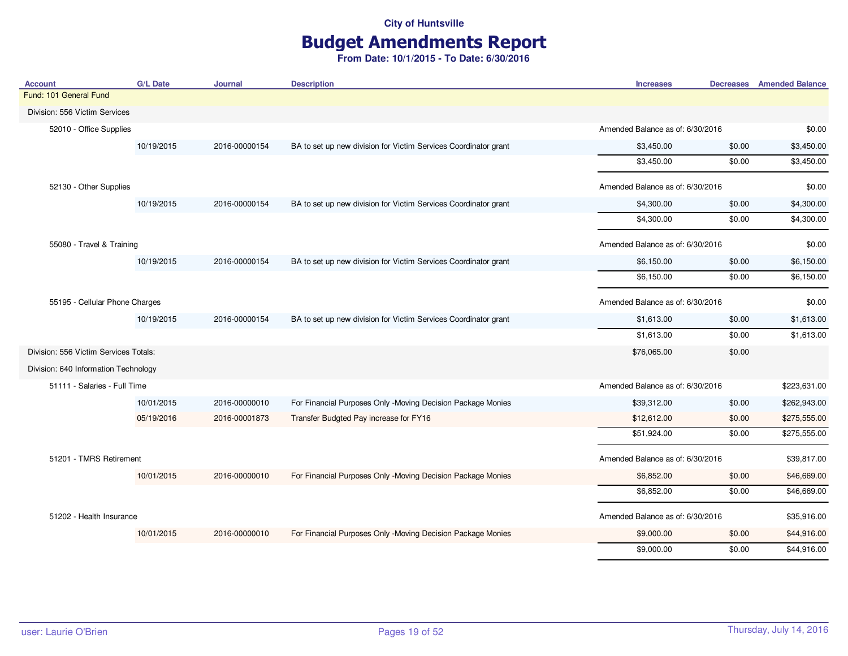# Budget Amendments Report

| <b>Account</b>                        | <b>G/L Date</b> | <b>Journal</b> | <b>Description</b>                                              | <b>Increases</b>                 | <b>Decreases</b> Amended Balance |
|---------------------------------------|-----------------|----------------|-----------------------------------------------------------------|----------------------------------|----------------------------------|
| Fund: 101 General Fund                |                 |                |                                                                 |                                  |                                  |
| Division: 556 Victim Services         |                 |                |                                                                 |                                  |                                  |
| 52010 - Office Supplies               |                 |                |                                                                 | Amended Balance as of: 6/30/2016 | \$0.00                           |
|                                       | 10/19/2015      | 2016-00000154  | BA to set up new division for Victim Services Coordinator grant | \$3,450.00                       | \$0.00<br>\$3,450.00             |
|                                       |                 |                |                                                                 | \$3,450.00                       | \$3,450.00<br>\$0.00             |
| 52130 - Other Supplies                |                 |                |                                                                 | Amended Balance as of: 6/30/2016 | \$0.00                           |
|                                       | 10/19/2015      | 2016-00000154  | BA to set up new division for Victim Services Coordinator grant | \$4,300.00                       | \$4,300.00<br>\$0.00             |
|                                       |                 |                |                                                                 | \$4,300.00                       | \$4,300.00<br>\$0.00             |
| 55080 - Travel & Training             |                 |                |                                                                 | Amended Balance as of: 6/30/2016 | \$0.00                           |
|                                       | 10/19/2015      | 2016-00000154  | BA to set up new division for Victim Services Coordinator grant | \$6,150.00                       | \$0.00<br>\$6,150.00             |
|                                       |                 |                |                                                                 | \$6,150.00                       | \$0.00<br>\$6,150.00             |
| 55195 - Cellular Phone Charges        |                 |                | Amended Balance as of: 6/30/2016                                | \$0.00                           |                                  |
|                                       | 10/19/2015      | 2016-00000154  | BA to set up new division for Victim Services Coordinator grant | \$1,613.00                       | \$0.00<br>\$1,613.00             |
|                                       |                 |                |                                                                 | \$1,613.00                       | \$0.00<br>\$1,613.00             |
| Division: 556 Victim Services Totals: |                 |                |                                                                 | \$76,065.00                      | \$0.00                           |
| Division: 640 Information Technology  |                 |                |                                                                 |                                  |                                  |
| 51111 - Salaries - Full Time          |                 |                |                                                                 | Amended Balance as of: 6/30/2016 | \$223,631.00                     |
|                                       | 10/01/2015      | 2016-00000010  | For Financial Purposes Only -Moving Decision Package Monies     | \$39,312.00                      | \$0.00<br>\$262,943.00           |
|                                       | 05/19/2016      | 2016-00001873  | Transfer Budgted Pay increase for FY16                          | \$12,612.00                      | \$0.00<br>\$275,555.00           |
|                                       |                 |                |                                                                 | \$51,924.00                      | \$275,555.00<br>\$0.00           |
| 51201 - TMRS Retirement               |                 |                |                                                                 | Amended Balance as of: 6/30/2016 | \$39,817.00                      |
|                                       | 10/01/2015      | 2016-00000010  | For Financial Purposes Only -Moving Decision Package Monies     | \$6,852.00                       | \$0.00<br>\$46,669.00            |
|                                       |                 |                |                                                                 | \$6,852.00                       | \$46,669.00<br>\$0.00            |
| 51202 - Health Insurance              |                 |                |                                                                 | Amended Balance as of: 6/30/2016 | \$35,916.00                      |
|                                       | 10/01/2015      | 2016-00000010  | For Financial Purposes Only -Moving Decision Package Monies     | \$9,000.00                       | \$44,916.00<br>\$0.00            |
|                                       |                 |                |                                                                 | \$9,000.00                       | \$0.00<br>\$44,916.00            |
|                                       |                 |                |                                                                 |                                  |                                  |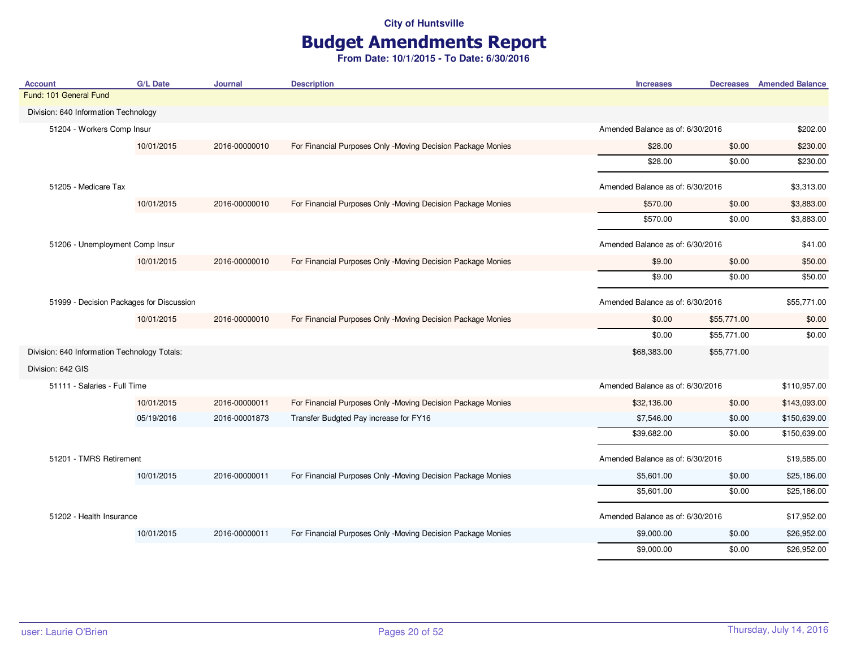# Budget Amendments Report

| <b>Account</b>                               | <b>G/L Date</b> | <b>Journal</b>                   | <b>Description</b>                                          | <b>Increases</b>                 |             | <b>Decreases</b> Amended Balance |
|----------------------------------------------|-----------------|----------------------------------|-------------------------------------------------------------|----------------------------------|-------------|----------------------------------|
| Fund: 101 General Fund                       |                 |                                  |                                                             |                                  |             |                                  |
| Division: 640 Information Technology         |                 |                                  |                                                             |                                  |             |                                  |
| 51204 - Workers Comp Insur                   |                 |                                  |                                                             | Amended Balance as of: 6/30/2016 |             | \$202.00                         |
|                                              | 10/01/2015      | 2016-00000010                    | For Financial Purposes Only -Moving Decision Package Monies | \$28.00                          | \$0.00      | \$230.00                         |
|                                              |                 |                                  |                                                             | \$28.00                          | \$0.00      | \$230.00                         |
| 51205 - Medicare Tax                         |                 |                                  |                                                             | Amended Balance as of: 6/30/2016 |             | \$3,313.00                       |
|                                              | 10/01/2015      | 2016-00000010                    | For Financial Purposes Only -Moving Decision Package Monies | \$570.00                         | \$0.00      | \$3,883.00                       |
|                                              |                 |                                  |                                                             | \$570.00                         | \$0.00      | \$3,883.00                       |
| 51206 - Unemployment Comp Insur              |                 |                                  |                                                             | Amended Balance as of: 6/30/2016 |             | \$41.00                          |
|                                              | 10/01/2015      | 2016-00000010                    | For Financial Purposes Only -Moving Decision Package Monies | \$9.00                           | \$0.00      | \$50.00                          |
|                                              |                 |                                  |                                                             | \$9.00                           | \$0.00      | \$50.00                          |
| 51999 - Decision Packages for Discussion     |                 | Amended Balance as of: 6/30/2016 |                                                             | \$55,771.00                      |             |                                  |
|                                              | 10/01/2015      | 2016-00000010                    | For Financial Purposes Only -Moving Decision Package Monies | \$0.00                           | \$55,771.00 | \$0.00                           |
|                                              |                 |                                  |                                                             | \$0.00                           | \$55,771.00 | \$0.00                           |
| Division: 640 Information Technology Totals: |                 |                                  |                                                             | \$68,383.00                      | \$55,771.00 |                                  |
| Division: 642 GIS                            |                 |                                  |                                                             |                                  |             |                                  |
| 51111 - Salaries - Full Time                 |                 |                                  |                                                             | Amended Balance as of: 6/30/2016 |             | \$110,957.00                     |
|                                              | 10/01/2015      | 2016-00000011                    | For Financial Purposes Only -Moving Decision Package Monies | \$32,136.00                      | \$0.00      | \$143,093.00                     |
|                                              | 05/19/2016      | 2016-00001873                    | Transfer Budgted Pay increase for FY16                      | \$7,546.00                       | \$0.00      | \$150,639.00                     |
|                                              |                 |                                  |                                                             | \$39,682.00                      | \$0.00      | \$150,639.00                     |
| 51201 - TMRS Retirement                      |                 |                                  |                                                             | Amended Balance as of: 6/30/2016 |             | \$19,585.00                      |
|                                              | 10/01/2015      | 2016-00000011                    | For Financial Purposes Only -Moving Decision Package Monies | \$5,601.00                       | \$0.00      | \$25,186.00                      |
|                                              |                 |                                  |                                                             | \$5,601.00                       | \$0.00      | \$25,186.00                      |
| 51202 - Health Insurance                     |                 |                                  |                                                             | Amended Balance as of: 6/30/2016 |             | \$17,952.00                      |
|                                              | 10/01/2015      | 2016-00000011                    | For Financial Purposes Only -Moving Decision Package Monies | \$9,000.00                       | \$0.00      | \$26,952.00                      |
|                                              |                 |                                  |                                                             | \$9,000.00                       | \$0.00      | \$26,952.00                      |
|                                              |                 |                                  |                                                             |                                  |             |                                  |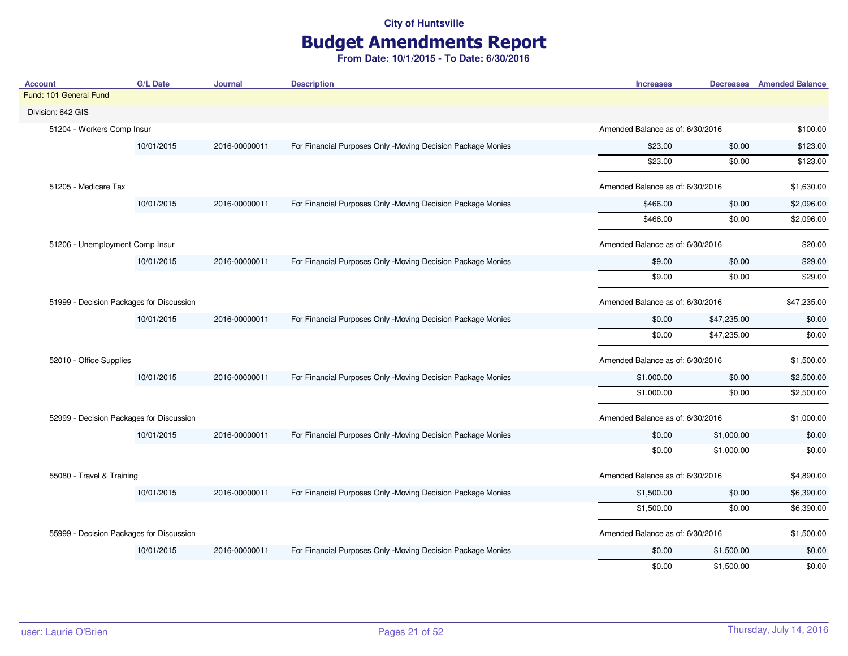# Budget Amendments Report

| <b>Account</b>                           | <b>G/L Date</b> | <b>Journal</b> | <b>Description</b>                                          | <b>Increases</b>                 |                                  | <b>Decreases</b> Amended Balance |
|------------------------------------------|-----------------|----------------|-------------------------------------------------------------|----------------------------------|----------------------------------|----------------------------------|
| Fund: 101 General Fund                   |                 |                |                                                             |                                  |                                  |                                  |
| Division: 642 GIS                        |                 |                |                                                             |                                  |                                  |                                  |
| 51204 - Workers Comp Insur               |                 |                |                                                             |                                  | Amended Balance as of: 6/30/2016 |                                  |
|                                          | 10/01/2015      | 2016-00000011  | For Financial Purposes Only -Moving Decision Package Monies | \$23.00                          | \$0.00                           | \$123.00                         |
|                                          |                 |                |                                                             | \$23.00                          | \$0.00                           | \$123.00                         |
| 51205 - Medicare Tax                     |                 |                |                                                             | Amended Balance as of: 6/30/2016 |                                  | \$1,630.00                       |
|                                          | 10/01/2015      | 2016-00000011  | For Financial Purposes Only -Moving Decision Package Monies | \$466.00                         | \$0.00                           | \$2,096.00                       |
|                                          |                 |                |                                                             | \$466.00                         | \$0.00                           | \$2,096.00                       |
| 51206 - Unemployment Comp Insur          |                 |                |                                                             | Amended Balance as of: 6/30/2016 |                                  | \$20.00                          |
|                                          | 10/01/2015      | 2016-00000011  | For Financial Purposes Only -Moving Decision Package Monies | \$9.00                           | \$0.00                           | \$29.00                          |
|                                          |                 |                |                                                             | \$9.00                           | \$0.00                           | \$29.00                          |
| 51999 - Decision Packages for Discussion |                 |                |                                                             | Amended Balance as of: 6/30/2016 |                                  | \$47,235.00                      |
|                                          | 10/01/2015      | 2016-00000011  | For Financial Purposes Only -Moving Decision Package Monies | \$0.00                           | \$47,235.00                      | \$0.00                           |
|                                          |                 |                |                                                             | \$0.00                           | \$47,235.00                      | \$0.00                           |
| 52010 - Office Supplies                  |                 |                |                                                             | Amended Balance as of: 6/30/2016 |                                  | \$1,500.00                       |
|                                          | 10/01/2015      | 2016-00000011  | For Financial Purposes Only -Moving Decision Package Monies | \$1,000.00                       | \$0.00                           | \$2,500.00                       |
|                                          |                 |                |                                                             | \$1,000.00                       | \$0.00                           | \$2,500.00                       |
| 52999 - Decision Packages for Discussion |                 |                |                                                             | Amended Balance as of: 6/30/2016 |                                  | \$1,000.00                       |
|                                          | 10/01/2015      | 2016-00000011  | For Financial Purposes Only -Moving Decision Package Monies | \$0.00                           | \$1,000.00                       | \$0.00                           |
|                                          |                 |                |                                                             | \$0.00                           | \$1,000.00                       | \$0.00                           |
| 55080 - Travel & Training                |                 |                |                                                             | Amended Balance as of: 6/30/2016 |                                  | \$4,890.00                       |
|                                          | 10/01/2015      | 2016-00000011  | For Financial Purposes Only -Moving Decision Package Monies | \$1,500.00                       | \$0.00                           | \$6,390.00                       |
|                                          |                 |                |                                                             | \$1,500.00                       | \$0.00                           | \$6,390.00                       |
| 55999 - Decision Packages for Discussion |                 |                |                                                             | Amended Balance as of: 6/30/2016 |                                  | \$1,500.00                       |
|                                          | 10/01/2015      | 2016-00000011  | For Financial Purposes Only -Moving Decision Package Monies | \$0.00                           | \$1,500.00                       | \$0.00                           |
|                                          |                 |                |                                                             | \$0.00                           | \$1,500.00                       | \$0.00                           |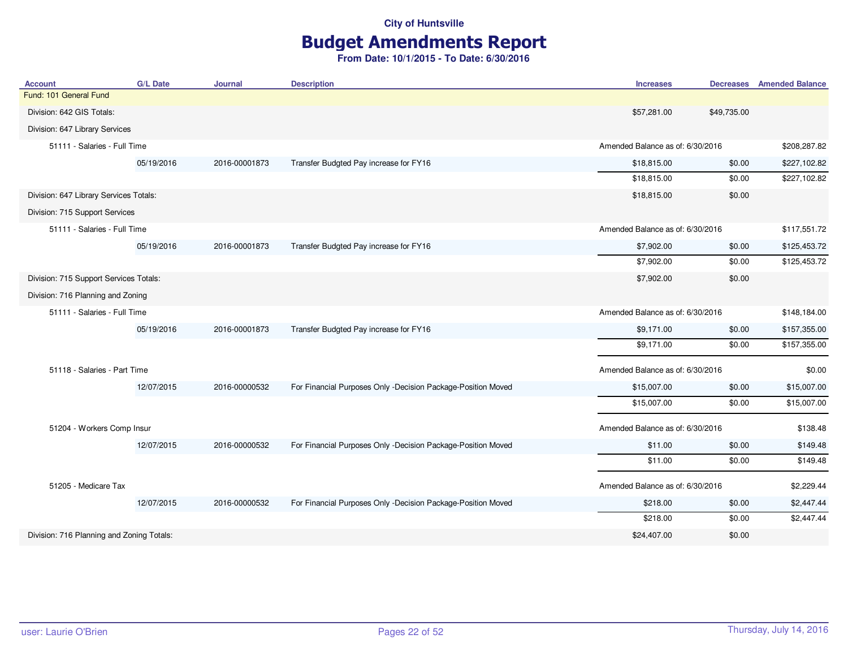# Budget Amendments Report

| <b>Account</b>                            | <b>G/L Date</b> | <b>Journal</b> | <b>Description</b>                                           | <b>Increases</b>                 |                                  | <b>Decreases</b> Amended Balance |
|-------------------------------------------|-----------------|----------------|--------------------------------------------------------------|----------------------------------|----------------------------------|----------------------------------|
| Fund: 101 General Fund                    |                 |                |                                                              |                                  |                                  |                                  |
| Division: 642 GIS Totals:                 |                 |                |                                                              | \$57,281.00                      | \$49,735.00                      |                                  |
| Division: 647 Library Services            |                 |                |                                                              |                                  |                                  |                                  |
| 51111 - Salaries - Full Time              |                 |                |                                                              | Amended Balance as of: 6/30/2016 |                                  | \$208,287.82                     |
|                                           | 05/19/2016      | 2016-00001873  | Transfer Budgted Pay increase for FY16                       | \$18,815.00                      | \$0.00                           | \$227,102.82                     |
|                                           |                 |                |                                                              | \$18,815.00                      | \$0.00                           | \$227,102.82                     |
| Division: 647 Library Services Totals:    |                 |                |                                                              | \$18,815.00                      | \$0.00                           |                                  |
| Division: 715 Support Services            |                 |                |                                                              |                                  |                                  |                                  |
| 51111 - Salaries - Full Time              |                 |                |                                                              | Amended Balance as of: 6/30/2016 |                                  | \$117,551.72                     |
|                                           | 05/19/2016      | 2016-00001873  | Transfer Budgted Pay increase for FY16                       | \$7,902.00                       | \$0.00                           | \$125,453.72                     |
|                                           |                 |                |                                                              | \$7,902.00                       | \$0.00                           | \$125,453.72                     |
| Division: 715 Support Services Totals:    |                 |                |                                                              | \$7,902.00                       | \$0.00                           |                                  |
| Division: 716 Planning and Zoning         |                 |                |                                                              |                                  |                                  |                                  |
| 51111 - Salaries - Full Time              |                 |                |                                                              |                                  | Amended Balance as of: 6/30/2016 |                                  |
|                                           | 05/19/2016      | 2016-00001873  | Transfer Budgted Pay increase for FY16                       | \$9,171.00                       | \$0.00                           | \$157,355.00                     |
|                                           |                 |                |                                                              | \$9,171.00                       | \$0.00                           | \$157,355.00                     |
| 51118 - Salaries - Part Time              |                 |                |                                                              | Amended Balance as of: 6/30/2016 |                                  | \$0.00                           |
|                                           | 12/07/2015      | 2016-00000532  | For Financial Purposes Only -Decision Package-Position Moved | \$15,007.00                      | \$0.00                           | \$15,007.00                      |
|                                           |                 |                |                                                              | \$15,007.00                      | \$0.00                           | \$15,007.00                      |
| 51204 - Workers Comp Insur                |                 |                |                                                              | Amended Balance as of: 6/30/2016 |                                  | \$138.48                         |
|                                           | 12/07/2015      | 2016-00000532  | For Financial Purposes Only -Decision Package-Position Moved | \$11.00                          | \$0.00                           | \$149.48                         |
|                                           |                 |                |                                                              | \$11.00                          | \$0.00                           | \$149.48                         |
| 51205 - Medicare Tax                      |                 |                |                                                              | Amended Balance as of: 6/30/2016 |                                  | \$2,229.44                       |
|                                           | 12/07/2015      | 2016-00000532  | For Financial Purposes Only -Decision Package-Position Moved | \$218.00                         | \$0.00                           | \$2,447.44                       |
|                                           |                 |                |                                                              | \$218.00                         | \$0.00                           | \$2,447.44                       |
| Division: 716 Planning and Zoning Totals: |                 |                |                                                              | \$24,407.00                      | \$0.00                           |                                  |
|                                           |                 |                |                                                              |                                  |                                  |                                  |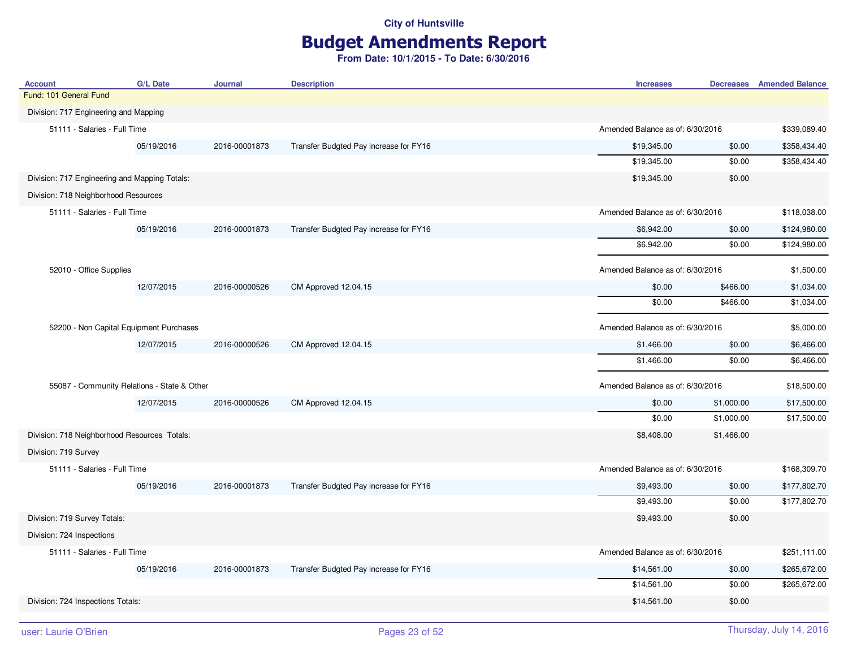### Budget Amendments Report

| <b>Account</b>                                | <b>G/L Date</b>                         | Journal       | <b>Description</b>                     | <b>Increases</b>                 |            | <b>Decreases</b> Amended Balance |
|-----------------------------------------------|-----------------------------------------|---------------|----------------------------------------|----------------------------------|------------|----------------------------------|
| Fund: 101 General Fund                        |                                         |               |                                        |                                  |            |                                  |
| Division: 717 Engineering and Mapping         |                                         |               |                                        |                                  |            |                                  |
| 51111 - Salaries - Full Time                  |                                         |               |                                        | Amended Balance as of: 6/30/2016 |            | \$339,089.40                     |
|                                               | 05/19/2016                              | 2016-00001873 | Transfer Budgted Pay increase for FY16 | \$19,345.00                      | \$0.00     | \$358,434.40                     |
|                                               |                                         |               |                                        | \$19,345.00                      | \$0.00     | \$358,434.40                     |
| Division: 717 Engineering and Mapping Totals: |                                         |               |                                        | \$19,345.00                      | \$0.00     |                                  |
| Division: 718 Neighborhood Resources          |                                         |               |                                        |                                  |            |                                  |
| 51111 - Salaries - Full Time                  |                                         |               |                                        | Amended Balance as of: 6/30/2016 |            | \$118,038.00                     |
|                                               | 05/19/2016                              | 2016-00001873 | Transfer Budgted Pay increase for FY16 | \$6,942.00                       | \$0.00     | \$124,980.00                     |
|                                               |                                         |               |                                        | \$6,942.00                       | \$0.00     | \$124,980.00                     |
| 52010 - Office Supplies                       |                                         |               |                                        | Amended Balance as of: 6/30/2016 |            | \$1,500.00                       |
|                                               | 12/07/2015                              | 2016-00000526 | CM Approved 12.04.15                   | \$0.00                           | \$466.00   | \$1,034.00                       |
|                                               |                                         |               |                                        | \$0.00                           | \$466.00   | \$1,034.00                       |
|                                               | 52200 - Non Capital Equipment Purchases |               |                                        | Amended Balance as of: 6/30/2016 |            | \$5,000.00                       |
|                                               | 12/07/2015                              | 2016-00000526 | CM Approved 12.04.15                   | \$1,466.00                       | \$0.00     | \$6,466.00                       |
|                                               |                                         |               |                                        | \$1,466.00                       | \$0.00     | \$6,466.00                       |
| 55087 - Community Relations - State & Other   |                                         |               |                                        | Amended Balance as of: 6/30/2016 |            | \$18,500.00                      |
|                                               | 12/07/2015                              | 2016-00000526 | CM Approved 12.04.15                   | \$0.00                           | \$1,000.00 | \$17,500.00                      |
|                                               |                                         |               |                                        | \$0.00                           | \$1,000.00 | \$17,500.00                      |
| Division: 718 Neighborhood Resources Totals:  |                                         |               |                                        | \$8,408.00                       | \$1,466.00 |                                  |
| Division: 719 Survey                          |                                         |               |                                        |                                  |            |                                  |
| 51111 - Salaries - Full Time                  |                                         |               |                                        | Amended Balance as of: 6/30/2016 |            | \$168,309.70                     |
|                                               | 05/19/2016                              | 2016-00001873 | Transfer Budgted Pay increase for FY16 | \$9,493.00                       | \$0.00     | \$177,802.70                     |
|                                               |                                         |               |                                        | \$9,493.00                       | \$0.00     | \$177,802.70                     |
| Division: 719 Survey Totals:                  |                                         |               |                                        | \$9,493.00                       | \$0.00     |                                  |
| Division: 724 Inspections                     |                                         |               |                                        |                                  |            |                                  |
| 51111 - Salaries - Full Time                  |                                         |               |                                        | Amended Balance as of: 6/30/2016 |            | \$251,111.00                     |
|                                               | 05/19/2016                              | 2016-00001873 | Transfer Budgted Pay increase for FY16 | \$14,561.00                      | \$0.00     | \$265,672.00                     |
|                                               |                                         |               |                                        | \$14,561.00                      | \$0.00     | \$265,672.00                     |
| Division: 724 Inspections Totals:             |                                         |               |                                        | \$14,561.00                      | \$0.00     |                                  |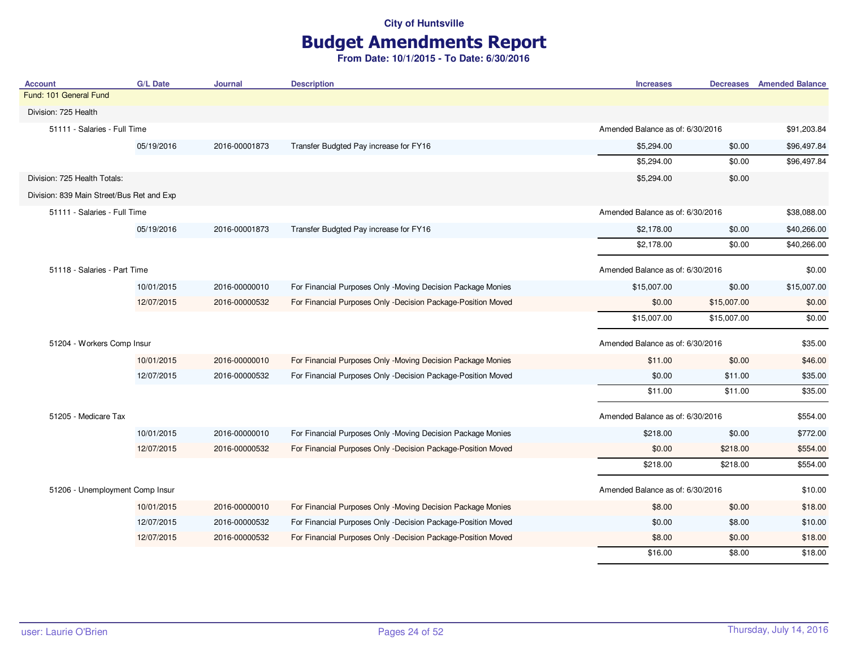# Budget Amendments Report

| <b>Account</b>                            | <b>G/L Date</b> | <b>Journal</b> | <b>Description</b>                                           | <b>Increases</b>                 |             | <b>Decreases</b> Amended Balance |
|-------------------------------------------|-----------------|----------------|--------------------------------------------------------------|----------------------------------|-------------|----------------------------------|
| Fund: 101 General Fund                    |                 |                |                                                              |                                  |             |                                  |
| Division: 725 Health                      |                 |                |                                                              |                                  |             |                                  |
| 51111 - Salaries - Full Time              |                 |                |                                                              | Amended Balance as of: 6/30/2016 |             | \$91,203.84                      |
|                                           | 05/19/2016      | 2016-00001873  | Transfer Budgted Pay increase for FY16                       | \$5,294.00                       | \$0.00      | \$96,497.84                      |
|                                           |                 |                |                                                              | \$5,294.00                       | \$0.00      | \$96,497.84                      |
| Division: 725 Health Totals:              |                 |                |                                                              | \$5,294.00                       | \$0.00      |                                  |
| Division: 839 Main Street/Bus Ret and Exp |                 |                |                                                              |                                  |             |                                  |
| 51111 - Salaries - Full Time              |                 |                |                                                              | Amended Balance as of: 6/30/2016 |             | \$38,088.00                      |
|                                           | 05/19/2016      | 2016-00001873  | Transfer Budgted Pay increase for FY16                       | \$2,178.00                       | \$0.00      | \$40,266.00                      |
|                                           |                 |                |                                                              | \$2,178.00                       | \$0.00      | \$40,266.00                      |
| 51118 - Salaries - Part Time              |                 |                |                                                              | Amended Balance as of: 6/30/2016 |             | \$0.00                           |
|                                           | 10/01/2015      | 2016-00000010  | For Financial Purposes Only -Moving Decision Package Monies  | \$15,007.00                      | \$0.00      | \$15,007.00                      |
|                                           | 12/07/2015      | 2016-00000532  | For Financial Purposes Only -Decision Package-Position Moved | \$0.00                           | \$15,007.00 | \$0.00                           |
|                                           |                 |                |                                                              | \$15,007.00                      | \$15,007.00 | \$0.00                           |
| 51204 - Workers Comp Insur                |                 |                |                                                              | Amended Balance as of: 6/30/2016 |             | \$35.00                          |
|                                           | 10/01/2015      | 2016-00000010  | For Financial Purposes Only -Moving Decision Package Monies  | \$11.00                          | \$0.00      | \$46.00                          |
|                                           | 12/07/2015      | 2016-00000532  | For Financial Purposes Only -Decision Package-Position Moved | \$0.00                           | \$11.00     | \$35.00                          |
|                                           |                 |                |                                                              | \$11.00                          | \$11.00     | \$35.00                          |
| 51205 - Medicare Tax                      |                 |                |                                                              | Amended Balance as of: 6/30/2016 |             | \$554.00                         |
|                                           | 10/01/2015      | 2016-00000010  | For Financial Purposes Only -Moving Decision Package Monies  | \$218.00                         | \$0.00      | \$772.00                         |
|                                           | 12/07/2015      | 2016-00000532  | For Financial Purposes Only -Decision Package-Position Moved | \$0.00                           | \$218.00    | \$554.00                         |
|                                           |                 |                |                                                              | \$218.00                         | \$218.00    | \$554.00                         |
| 51206 - Unemployment Comp Insur           |                 |                |                                                              | Amended Balance as of: 6/30/2016 |             | \$10.00                          |
|                                           | 10/01/2015      | 2016-00000010  | For Financial Purposes Only -Moving Decision Package Monies  | \$8.00                           | \$0.00      | \$18.00                          |
|                                           | 12/07/2015      | 2016-00000532  | For Financial Purposes Only -Decision Package-Position Moved | \$0.00                           | \$8.00      | \$10.00                          |
|                                           | 12/07/2015      | 2016-00000532  | For Financial Purposes Only -Decision Package-Position Moved | \$8.00                           | \$0.00      | \$18.00                          |
|                                           |                 |                |                                                              | \$16.00                          | \$8.00      | \$18.00                          |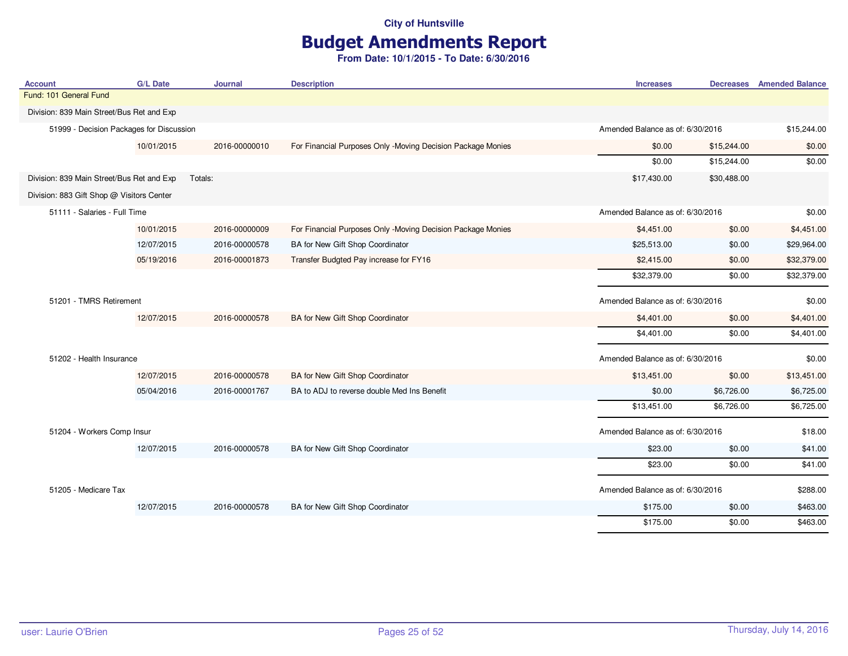# Budget Amendments Report

| <b>Account</b>                            | <b>G/L Date</b> | <b>Journal</b>                   | <b>Description</b>                                          | <b>Increases</b>                 |                                  | <b>Decreases</b> Amended Balance |
|-------------------------------------------|-----------------|----------------------------------|-------------------------------------------------------------|----------------------------------|----------------------------------|----------------------------------|
| Fund: 101 General Fund                    |                 |                                  |                                                             |                                  |                                  |                                  |
| Division: 839 Main Street/Bus Ret and Exp |                 |                                  |                                                             |                                  |                                  |                                  |
| 51999 - Decision Packages for Discussion  |                 |                                  |                                                             | Amended Balance as of: 6/30/2016 |                                  | \$15,244.00                      |
|                                           | 10/01/2015      | 2016-00000010                    | For Financial Purposes Only -Moving Decision Package Monies | \$0.00                           | \$15,244.00                      | \$0.00                           |
|                                           |                 |                                  |                                                             | \$0.00                           | \$15,244.00                      | \$0.00                           |
| Division: 839 Main Street/Bus Ret and Exp |                 | Totals:                          |                                                             | \$17,430.00                      | \$30,488.00                      |                                  |
| Division: 883 Gift Shop @ Visitors Center |                 |                                  |                                                             |                                  |                                  |                                  |
| 51111 - Salaries - Full Time              |                 |                                  |                                                             |                                  | Amended Balance as of: 6/30/2016 |                                  |
|                                           | 10/01/2015      | 2016-00000009                    | For Financial Purposes Only -Moving Decision Package Monies | \$4,451.00                       | \$0.00                           | \$4,451.00                       |
|                                           | 12/07/2015      | 2016-00000578                    | BA for New Gift Shop Coordinator                            | \$25,513.00                      | \$0.00                           | \$29,964.00                      |
|                                           | 05/19/2016      | 2016-00001873                    | Transfer Budgted Pay increase for FY16                      | \$2,415.00                       | \$0.00                           | \$32,379.00                      |
|                                           |                 |                                  |                                                             | \$32,379.00                      | \$0.00                           | \$32,379.00                      |
| 51201 - TMRS Retirement                   |                 | Amended Balance as of: 6/30/2016 |                                                             | \$0.00                           |                                  |                                  |
|                                           | 12/07/2015      | 2016-00000578                    | BA for New Gift Shop Coordinator                            | \$4,401.00                       | \$0.00                           | \$4,401.00                       |
|                                           |                 |                                  |                                                             | \$4,401.00                       | \$0.00                           | \$4,401.00                       |
| 51202 - Health Insurance                  |                 |                                  |                                                             | Amended Balance as of: 6/30/2016 |                                  | \$0.00                           |
|                                           | 12/07/2015      | 2016-00000578                    | BA for New Gift Shop Coordinator                            | \$13,451.00                      | \$0.00                           | \$13,451.00                      |
|                                           | 05/04/2016      | 2016-00001767                    | BA to ADJ to reverse double Med Ins Benefit                 | \$0.00                           | \$6,726.00                       | \$6,725.00                       |
|                                           |                 |                                  |                                                             | \$13,451.00                      | \$6,726.00                       | \$6,725.00                       |
| 51204 - Workers Comp Insur                |                 |                                  |                                                             | Amended Balance as of: 6/30/2016 |                                  | \$18.00                          |
|                                           | 12/07/2015      | 2016-00000578                    | BA for New Gift Shop Coordinator                            | \$23.00                          | \$0.00                           | \$41.00                          |
|                                           |                 |                                  |                                                             | \$23.00                          | \$0.00                           | \$41.00                          |
| 51205 - Medicare Tax                      |                 |                                  |                                                             | Amended Balance as of: 6/30/2016 |                                  | \$288.00                         |
|                                           | 12/07/2015      | 2016-00000578                    | BA for New Gift Shop Coordinator                            | \$175.00                         | \$0.00                           | \$463.00                         |
|                                           |                 |                                  |                                                             | \$175.00                         | \$0.00                           | \$463.00                         |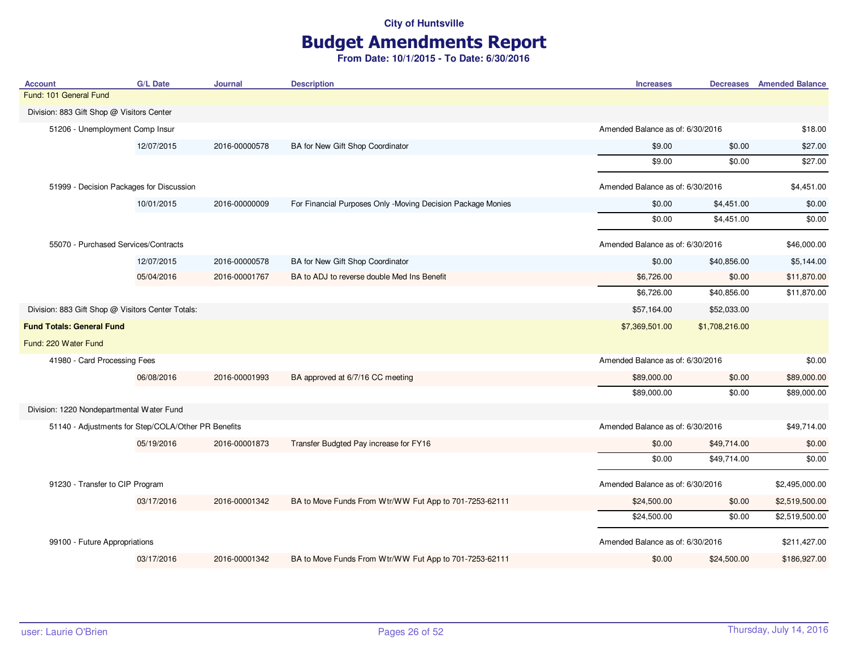# Budget Amendments Report

| <b>Account</b>                                      | <b>G/L Date</b>                      | Journal       | <b>Description</b>                                          | <b>Increases</b>                 |                | <b>Decreases</b> Amended Balance |
|-----------------------------------------------------|--------------------------------------|---------------|-------------------------------------------------------------|----------------------------------|----------------|----------------------------------|
| Fund: 101 General Fund                              |                                      |               |                                                             |                                  |                |                                  |
| Division: 883 Gift Shop @ Visitors Center           |                                      |               |                                                             |                                  |                |                                  |
| 51206 - Unemployment Comp Insur                     |                                      |               |                                                             | Amended Balance as of: 6/30/2016 |                | \$18.00                          |
|                                                     | 12/07/2015                           | 2016-00000578 | BA for New Gift Shop Coordinator                            | \$9.00                           | \$0.00         | \$27.00                          |
|                                                     |                                      |               |                                                             | \$9.00                           | \$0.00         | \$27.00                          |
| 51999 - Decision Packages for Discussion            |                                      |               |                                                             | Amended Balance as of: 6/30/2016 |                | \$4,451.00                       |
|                                                     | 10/01/2015                           | 2016-00000009 | For Financial Purposes Only -Moving Decision Package Monies | \$0.00                           | \$4,451.00     | \$0.00                           |
|                                                     |                                      |               |                                                             | \$0.00                           | \$4,451.00     | \$0.00                           |
|                                                     | 55070 - Purchased Services/Contracts |               |                                                             | Amended Balance as of: 6/30/2016 |                | \$46,000.00                      |
|                                                     | 12/07/2015                           | 2016-00000578 | BA for New Gift Shop Coordinator                            | \$0.00                           | \$40,856.00    | \$5,144.00                       |
|                                                     | 05/04/2016                           | 2016-00001767 | BA to ADJ to reverse double Med Ins Benefit                 | \$6,726.00                       | \$0.00         | \$11,870.00                      |
|                                                     |                                      |               |                                                             | \$6,726.00                       | \$40,856.00    | \$11,870.00                      |
| Division: 883 Gift Shop @ Visitors Center Totals:   |                                      |               |                                                             | \$57,164.00                      | \$52,033.00    |                                  |
| <b>Fund Totals: General Fund</b>                    |                                      |               |                                                             | \$7,369,501.00                   | \$1,708,216.00 |                                  |
| Fund: 220 Water Fund                                |                                      |               |                                                             |                                  |                |                                  |
| 41980 - Card Processing Fees                        |                                      |               |                                                             | Amended Balance as of: 6/30/2016 |                | \$0.00                           |
|                                                     | 06/08/2016                           | 2016-00001993 | BA approved at 6/7/16 CC meeting                            | \$89,000.00                      | \$0.00         | \$89,000.00                      |
|                                                     |                                      |               |                                                             | \$89,000.00                      | \$0.00         | \$89,000.00                      |
| Division: 1220 Nondepartmental Water Fund           |                                      |               |                                                             |                                  |                |                                  |
| 51140 - Adjustments for Step/COLA/Other PR Benefits |                                      |               |                                                             | Amended Balance as of: 6/30/2016 |                | \$49,714.00                      |
|                                                     | 05/19/2016                           | 2016-00001873 | Transfer Budgted Pay increase for FY16                      | \$0.00                           | \$49,714.00    | \$0.00                           |
|                                                     |                                      |               |                                                             | \$0.00                           | \$49,714.00    | \$0.00                           |
| 91230 - Transfer to CIP Program                     |                                      |               |                                                             | Amended Balance as of: 6/30/2016 |                | \$2,495,000.00                   |
|                                                     | 03/17/2016                           | 2016-00001342 | BA to Move Funds From Wtr/WW Fut App to 701-7253-62111      | \$24,500.00                      | \$0.00         | \$2,519,500.00                   |
|                                                     |                                      |               |                                                             | \$24,500.00                      | \$0.00         | \$2,519,500.00                   |
| 99100 - Future Appropriations                       |                                      |               |                                                             | Amended Balance as of: 6/30/2016 |                | \$211,427.00                     |
|                                                     | 03/17/2016                           | 2016-00001342 | BA to Move Funds From Wtr/WW Fut App to 701-7253-62111      | \$0.00                           | \$24,500.00    | \$186,927.00                     |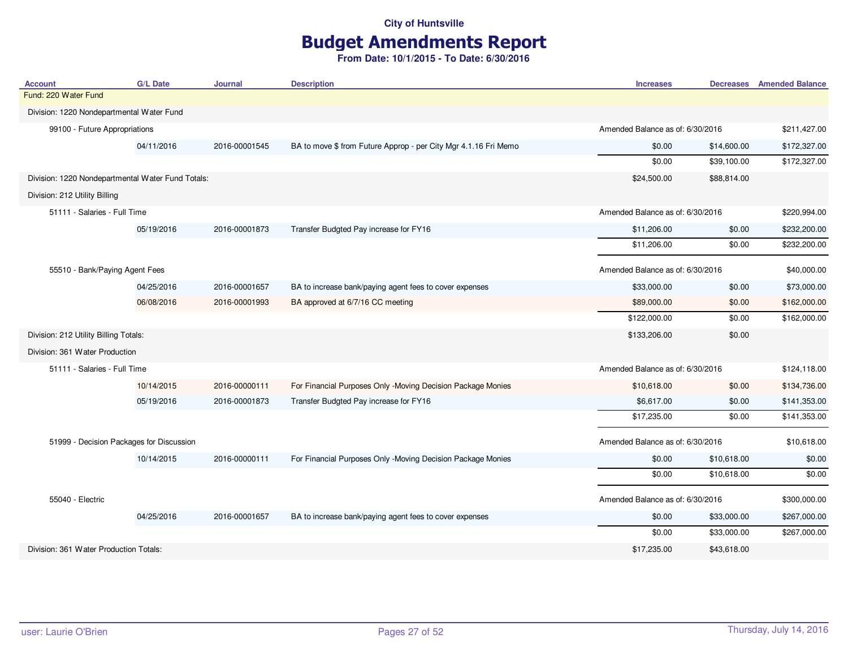# Budget Amendments Report

| <b>Account</b>                                    | <b>G/L Date</b> | <b>Journal</b> | <b>Description</b>                                              | <b>Increases</b>                 |             | <b>Decreases</b> Amended Balance |
|---------------------------------------------------|-----------------|----------------|-----------------------------------------------------------------|----------------------------------|-------------|----------------------------------|
| Fund: 220 Water Fund                              |                 |                |                                                                 |                                  |             |                                  |
| Division: 1220 Nondepartmental Water Fund         |                 |                |                                                                 |                                  |             |                                  |
| 99100 - Future Appropriations                     |                 |                |                                                                 | Amended Balance as of: 6/30/2016 |             | \$211,427.00                     |
|                                                   | 04/11/2016      | 2016-00001545  | BA to move \$ from Future Approp - per City Mgr 4.1.16 Fri Memo | \$0.00                           | \$14,600.00 | \$172,327.00                     |
|                                                   |                 |                |                                                                 | \$0.00                           | \$39,100.00 | \$172,327.00                     |
| Division: 1220 Nondepartmental Water Fund Totals: |                 |                |                                                                 | \$24,500.00                      | \$88,814.00 |                                  |
| Division: 212 Utility Billing                     |                 |                |                                                                 |                                  |             |                                  |
| 51111 - Salaries - Full Time                      |                 |                |                                                                 | Amended Balance as of: 6/30/2016 |             | \$220,994.00                     |
|                                                   | 05/19/2016      | 2016-00001873  | Transfer Budgted Pay increase for FY16                          | \$11,206.00                      | \$0.00      | \$232,200.00                     |
|                                                   |                 |                |                                                                 | \$11,206.00                      | \$0.00      | \$232,200.00                     |
| 55510 - Bank/Paying Agent Fees                    |                 |                |                                                                 | Amended Balance as of: 6/30/2016 |             | \$40,000.00                      |
|                                                   | 04/25/2016      | 2016-00001657  | BA to increase bank/paying agent fees to cover expenses         | \$33,000.00                      | \$0.00      | \$73,000.00                      |
|                                                   | 06/08/2016      | 2016-00001993  | BA approved at 6/7/16 CC meeting                                | \$89,000.00                      | \$0.00      | \$162,000.00                     |
|                                                   |                 |                |                                                                 | \$122,000.00                     | \$0.00      | \$162,000.00                     |
| Division: 212 Utility Billing Totals:             |                 |                |                                                                 | \$133,206.00                     | \$0.00      |                                  |
| Division: 361 Water Production                    |                 |                |                                                                 |                                  |             |                                  |
| 51111 - Salaries - Full Time                      |                 |                |                                                                 | Amended Balance as of: 6/30/2016 |             | \$124,118.00                     |
|                                                   | 10/14/2015      | 2016-00000111  | For Financial Purposes Only -Moving Decision Package Monies     | \$10,618.00                      | \$0.00      | \$134,736.00                     |
|                                                   | 05/19/2016      | 2016-00001873  | Transfer Budgted Pay increase for FY16                          | \$6,617.00                       | \$0.00      | \$141,353.00                     |
|                                                   |                 |                |                                                                 | \$17,235.00                      | \$0.00      | \$141,353.00                     |
| 51999 - Decision Packages for Discussion          |                 |                |                                                                 | Amended Balance as of: 6/30/2016 |             | \$10,618.00                      |
|                                                   | 10/14/2015      | 2016-00000111  | For Financial Purposes Only -Moving Decision Package Monies     | \$0.00                           | \$10,618.00 | \$0.00                           |
|                                                   |                 |                |                                                                 | \$0.00                           | \$10,618.00 | \$0.00                           |
| 55040 - Electric                                  |                 |                |                                                                 | Amended Balance as of: 6/30/2016 |             | \$300,000.00                     |
|                                                   | 04/25/2016      | 2016-00001657  | BA to increase bank/paying agent fees to cover expenses         | \$0.00                           | \$33,000.00 | \$267,000.00                     |
|                                                   |                 |                |                                                                 | \$0.00                           | \$33,000.00 | \$267,000.00                     |
| Division: 361 Water Production Totals:            |                 |                |                                                                 | \$17,235.00                      | \$43,618.00 |                                  |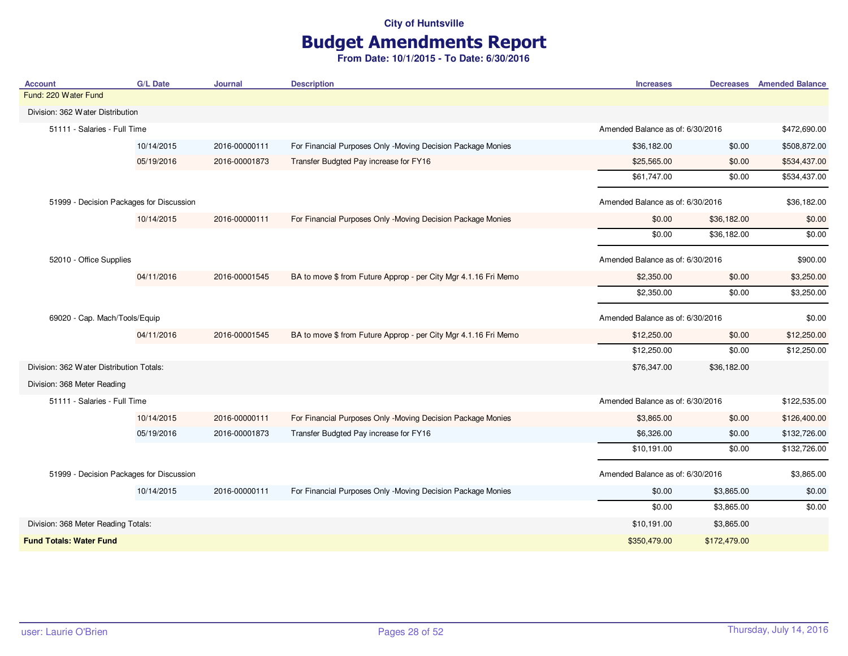# Budget Amendments Report

| <b>Account</b>                           | <b>G/L Date</b> | <b>Journal</b> | <b>Description</b>                                              | <b>Increases</b>                 |              | <b>Decreases</b> Amended Balance |
|------------------------------------------|-----------------|----------------|-----------------------------------------------------------------|----------------------------------|--------------|----------------------------------|
| Fund: 220 Water Fund                     |                 |                |                                                                 |                                  |              |                                  |
| Division: 362 Water Distribution         |                 |                |                                                                 |                                  |              |                                  |
| 51111 - Salaries - Full Time             |                 |                |                                                                 | Amended Balance as of: 6/30/2016 |              | \$472,690.00                     |
|                                          | 10/14/2015      | 2016-00000111  | For Financial Purposes Only -Moving Decision Package Monies     | \$36,182.00                      | \$0.00       | \$508,872.00                     |
|                                          | 05/19/2016      | 2016-00001873  | Transfer Budgted Pay increase for FY16                          | \$25,565.00                      | \$0.00       | \$534,437.00                     |
|                                          |                 |                |                                                                 | \$61,747.00                      | \$0.00       | \$534,437.00                     |
| 51999 - Decision Packages for Discussion |                 |                |                                                                 | Amended Balance as of: 6/30/2016 |              | \$36,182.00                      |
|                                          | 10/14/2015      | 2016-00000111  | For Financial Purposes Only -Moving Decision Package Monies     | \$0.00                           | \$36,182.00  | \$0.00                           |
|                                          |                 |                |                                                                 | \$0.00                           | \$36,182.00  | \$0.00                           |
| 52010 - Office Supplies                  |                 |                |                                                                 | Amended Balance as of: 6/30/2016 |              | \$900.00                         |
|                                          | 04/11/2016      | 2016-00001545  | BA to move \$ from Future Approp - per City Mgr 4.1.16 Fri Memo | \$2,350.00                       | \$0.00       | \$3,250.00                       |
|                                          |                 |                |                                                                 | \$2,350.00                       | \$0.00       | \$3,250.00                       |
| 69020 - Cap. Mach/Tools/Equip            |                 |                | Amended Balance as of: 6/30/2016                                |                                  | \$0.00       |                                  |
|                                          | 04/11/2016      | 2016-00001545  | BA to move \$ from Future Approp - per City Mgr 4.1.16 Fri Memo | \$12,250.00                      | \$0.00       | \$12,250.00                      |
|                                          |                 |                |                                                                 | \$12,250.00                      | \$0.00       | \$12,250.00                      |
| Division: 362 Water Distribution Totals: |                 |                |                                                                 | \$76,347.00                      | \$36,182.00  |                                  |
| Division: 368 Meter Reading              |                 |                |                                                                 |                                  |              |                                  |
| 51111 - Salaries - Full Time             |                 |                |                                                                 | Amended Balance as of: 6/30/2016 |              | \$122,535.00                     |
|                                          | 10/14/2015      | 2016-00000111  | For Financial Purposes Only -Moving Decision Package Monies     | \$3,865.00                       | \$0.00       | \$126,400.00                     |
|                                          | 05/19/2016      | 2016-00001873  | Transfer Budgted Pay increase for FY16                          | \$6,326.00                       | \$0.00       | \$132,726.00                     |
|                                          |                 |                |                                                                 | \$10,191.00                      | \$0.00       | \$132,726.00                     |
| 51999 - Decision Packages for Discussion |                 |                |                                                                 | Amended Balance as of: 6/30/2016 |              | \$3,865.00                       |
|                                          | 10/14/2015      | 2016-00000111  | For Financial Purposes Only -Moving Decision Package Monies     | \$0.00                           | \$3,865.00   | \$0.00                           |
|                                          |                 |                |                                                                 | \$0.00                           | \$3,865.00   | \$0.00                           |
| Division: 368 Meter Reading Totals:      |                 |                |                                                                 | \$10,191.00                      | \$3,865.00   |                                  |
| <b>Fund Totals: Water Fund</b>           |                 |                |                                                                 | \$350,479.00                     | \$172,479.00 |                                  |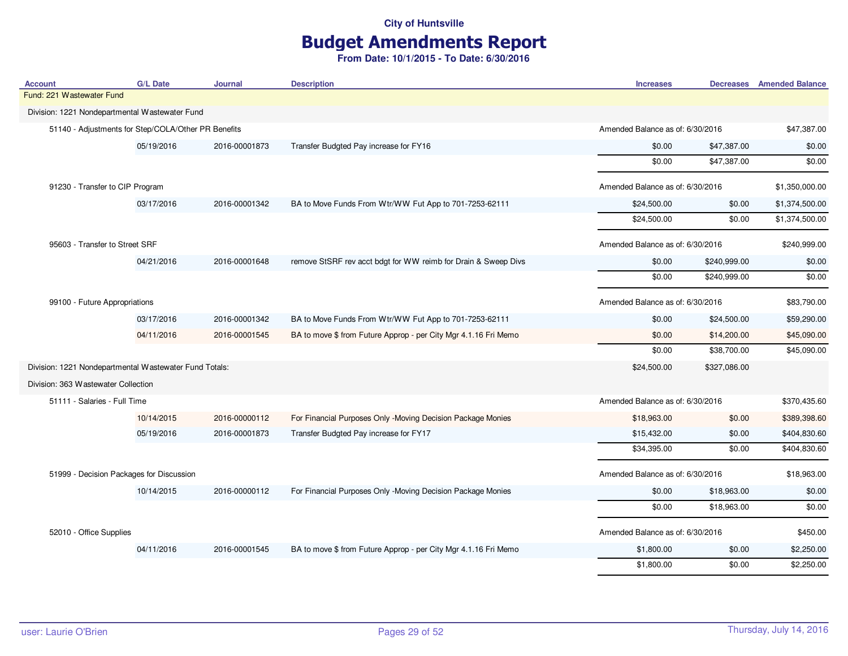# Budget Amendments Report

| <b>Account</b>                                         | <b>G/L Date</b> | <b>Journal</b> | <b>Description</b>                                              | <b>Increases</b>                 |              | <b>Decreases</b> Amended Balance |
|--------------------------------------------------------|-----------------|----------------|-----------------------------------------------------------------|----------------------------------|--------------|----------------------------------|
| Fund: 221 Wastewater Fund                              |                 |                |                                                                 |                                  |              |                                  |
| Division: 1221 Nondepartmental Wastewater Fund         |                 |                |                                                                 |                                  |              |                                  |
| 51140 - Adjustments for Step/COLA/Other PR Benefits    |                 |                |                                                                 | Amended Balance as of: 6/30/2016 |              | \$47,387.00                      |
|                                                        | 05/19/2016      | 2016-00001873  | Transfer Budgted Pay increase for FY16                          | \$0.00                           | \$47,387.00  | \$0.00                           |
|                                                        |                 |                |                                                                 | \$0.00                           | \$47,387.00  | \$0.00                           |
| 91230 - Transfer to CIP Program                        |                 |                |                                                                 | Amended Balance as of: 6/30/2016 |              | \$1,350,000.00                   |
|                                                        | 03/17/2016      | 2016-00001342  | BA to Move Funds From Wtr/WW Fut App to 701-7253-62111          | \$24,500.00                      | \$0.00       | \$1,374,500.00                   |
|                                                        |                 |                |                                                                 | \$24,500.00                      | \$0.00       | \$1,374,500.00                   |
| 95603 - Transfer to Street SRF                         |                 |                |                                                                 | Amended Balance as of: 6/30/2016 |              | \$240,999.00                     |
|                                                        | 04/21/2016      | 2016-00001648  | remove StSRF rev acct bdgt for WW reimb for Drain & Sweep Divs  | \$0.00                           | \$240,999.00 | \$0.00                           |
|                                                        |                 |                |                                                                 | \$0.00                           | \$240,999.00 | \$0.00                           |
| 99100 - Future Appropriations                          |                 |                | Amended Balance as of: 6/30/2016                                |                                  | \$83,790.00  |                                  |
|                                                        | 03/17/2016      | 2016-00001342  | BA to Move Funds From Wtr/WW Fut App to 701-7253-62111          | \$0.00                           | \$24,500.00  | \$59,290.00                      |
|                                                        | 04/11/2016      | 2016-00001545  | BA to move \$ from Future Approp - per City Mgr 4.1.16 Fri Memo | \$0.00                           | \$14,200.00  | \$45,090.00                      |
|                                                        |                 |                |                                                                 | \$0.00                           | \$38,700.00  | \$45,090.00                      |
| Division: 1221 Nondepartmental Wastewater Fund Totals: |                 |                |                                                                 | \$24,500.00                      | \$327,086.00 |                                  |
| Division: 363 Wastewater Collection                    |                 |                |                                                                 |                                  |              |                                  |
| 51111 - Salaries - Full Time                           |                 |                |                                                                 | Amended Balance as of: 6/30/2016 |              | \$370,435.60                     |
|                                                        | 10/14/2015      | 2016-00000112  | For Financial Purposes Only -Moving Decision Package Monies     | \$18,963.00                      | \$0.00       | \$389,398.60                     |
|                                                        | 05/19/2016      | 2016-00001873  | Transfer Budgted Pay increase for FY17                          | \$15,432.00                      | \$0.00       | \$404,830.60                     |
|                                                        |                 |                |                                                                 | \$34,395.00                      | \$0.00       | \$404,830.60                     |
| 51999 - Decision Packages for Discussion               |                 |                |                                                                 | Amended Balance as of: 6/30/2016 |              | \$18,963.00                      |
|                                                        | 10/14/2015      | 2016-00000112  | For Financial Purposes Only -Moving Decision Package Monies     | \$0.00                           | \$18,963.00  | \$0.00                           |
|                                                        |                 |                |                                                                 | \$0.00                           | \$18,963.00  | \$0.00                           |
| 52010 - Office Supplies                                |                 |                |                                                                 | Amended Balance as of: 6/30/2016 |              | \$450.00                         |
|                                                        | 04/11/2016      | 2016-00001545  | BA to move \$ from Future Approp - per City Mgr 4.1.16 Fri Memo | \$1,800.00                       | \$0.00       | \$2,250.00                       |
|                                                        |                 |                |                                                                 | \$1,800.00                       | \$0.00       | \$2,250.00                       |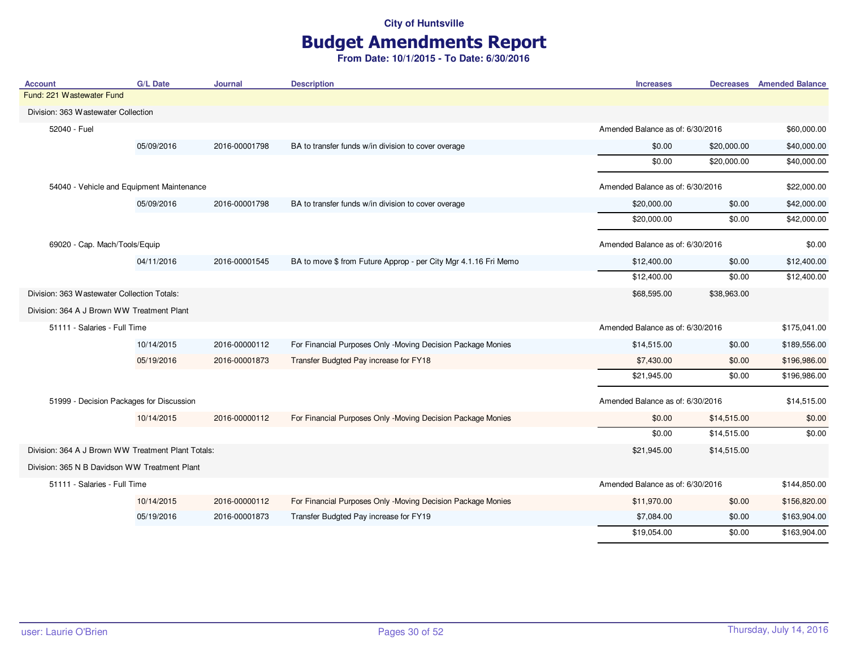# Budget Amendments Report

| <b>Account</b>                                     | <b>G/L Date</b> | <b>Journal</b> | <b>Description</b>                                              | <b>Increases</b>                 |             | <b>Decreases</b> Amended Balance |
|----------------------------------------------------|-----------------|----------------|-----------------------------------------------------------------|----------------------------------|-------------|----------------------------------|
| Fund: 221 Wastewater Fund                          |                 |                |                                                                 |                                  |             |                                  |
| Division: 363 Wastewater Collection                |                 |                |                                                                 |                                  |             |                                  |
| 52040 - Fuel                                       |                 |                |                                                                 | Amended Balance as of: 6/30/2016 |             | \$60,000.00                      |
|                                                    | 05/09/2016      | 2016-00001798  | BA to transfer funds w/in division to cover overage             | \$0.00                           | \$20,000.00 | \$40,000.00                      |
|                                                    |                 |                |                                                                 | \$0.00                           | \$20,000.00 | \$40,000.00                      |
| 54040 - Vehicle and Equipment Maintenance          |                 |                |                                                                 | Amended Balance as of: 6/30/2016 |             | \$22,000.00                      |
|                                                    | 05/09/2016      | 2016-00001798  | BA to transfer funds w/in division to cover overage             | \$20,000.00                      | \$0.00      | \$42,000.00                      |
|                                                    |                 |                |                                                                 | \$20,000.00                      | \$0.00      | \$42,000.00                      |
| 69020 - Cap. Mach/Tools/Equip                      |                 |                |                                                                 | Amended Balance as of: 6/30/2016 |             | \$0.00                           |
|                                                    | 04/11/2016      | 2016-00001545  | BA to move \$ from Future Approp - per City Mgr 4.1.16 Fri Memo | \$12,400.00                      | \$0.00      | \$12,400.00                      |
|                                                    |                 |                |                                                                 | \$12,400.00                      | \$0.00      | \$12,400.00                      |
| Division: 363 Wastewater Collection Totals:        |                 |                |                                                                 | \$68,595.00                      | \$38,963.00 |                                  |
| Division: 364 A J Brown WW Treatment Plant         |                 |                |                                                                 |                                  |             |                                  |
| 51111 - Salaries - Full Time                       |                 |                |                                                                 | Amended Balance as of: 6/30/2016 |             | \$175,041.00                     |
|                                                    | 10/14/2015      | 2016-00000112  | For Financial Purposes Only -Moving Decision Package Monies     | \$14,515.00                      | \$0.00      | \$189,556.00                     |
|                                                    | 05/19/2016      | 2016-00001873  | Transfer Budgted Pay increase for FY18                          | \$7,430.00                       | \$0.00      | \$196,986.00                     |
|                                                    |                 |                |                                                                 | \$21,945.00                      | \$0.00      | \$196,986.00                     |
| 51999 - Decision Packages for Discussion           |                 |                |                                                                 | Amended Balance as of: 6/30/2016 |             | \$14,515.00                      |
|                                                    | 10/14/2015      | 2016-00000112  | For Financial Purposes Only -Moving Decision Package Monies     | \$0.00                           | \$14,515.00 | \$0.00                           |
|                                                    |                 |                |                                                                 | \$0.00                           | \$14,515.00 | \$0.00                           |
| Division: 364 A J Brown WW Treatment Plant Totals: |                 |                |                                                                 | \$21,945.00                      | \$14,515.00 |                                  |
| Division: 365 N B Davidson WW Treatment Plant      |                 |                |                                                                 |                                  |             |                                  |
| 51111 - Salaries - Full Time                       |                 |                |                                                                 | Amended Balance as of: 6/30/2016 |             | \$144,850.00                     |
|                                                    | 10/14/2015      | 2016-00000112  | For Financial Purposes Only -Moving Decision Package Monies     | \$11,970.00                      | \$0.00      | \$156,820.00                     |
|                                                    | 05/19/2016      | 2016-00001873  | Transfer Budgted Pay increase for FY19                          | \$7,084.00                       | \$0.00      | \$163,904.00                     |
|                                                    |                 |                |                                                                 | \$19,054.00                      | \$0.00      | \$163,904.00                     |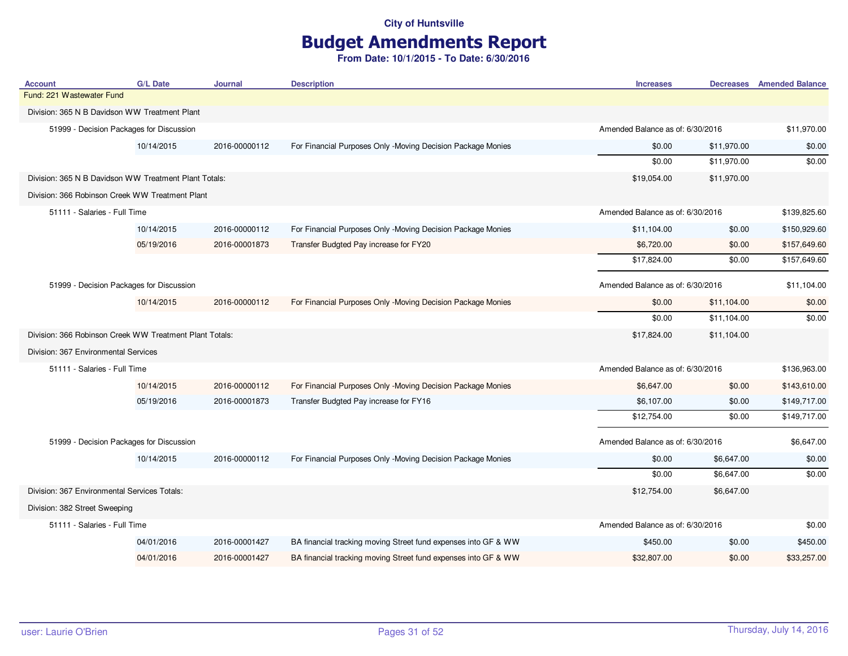# Budget Amendments Report

| <b>Account</b>                                          | <b>G/L Date</b>                          | <b>Journal</b> | <b>Description</b>                                             | <b>Increases</b>                 | <b>Decreases</b>                 | <b>Amended Balance</b> |
|---------------------------------------------------------|------------------------------------------|----------------|----------------------------------------------------------------|----------------------------------|----------------------------------|------------------------|
| Fund: 221 Wastewater Fund                               |                                          |                |                                                                |                                  |                                  |                        |
| Division: 365 N B Davidson WW Treatment Plant           |                                          |                |                                                                |                                  |                                  |                        |
|                                                         | 51999 - Decision Packages for Discussion |                |                                                                | Amended Balance as of: 6/30/2016 |                                  | \$11,970.00            |
|                                                         | 10/14/2015                               | 2016-00000112  | For Financial Purposes Only -Moving Decision Package Monies    | \$0.00                           | \$11,970.00                      | \$0.00                 |
|                                                         |                                          |                |                                                                | \$0.00                           | \$11,970.00                      | \$0.00                 |
| Division: 365 N B Davidson WW Treatment Plant Totals:   |                                          |                |                                                                | \$19,054.00                      | \$11,970.00                      |                        |
| Division: 366 Robinson Creek WW Treatment Plant         |                                          |                |                                                                |                                  |                                  |                        |
| 51111 - Salaries - Full Time                            |                                          |                |                                                                |                                  | Amended Balance as of: 6/30/2016 |                        |
|                                                         | 10/14/2015                               | 2016-00000112  | For Financial Purposes Only -Moving Decision Package Monies    | \$11,104.00                      | \$0.00                           | \$150,929.60           |
|                                                         | 05/19/2016                               | 2016-00001873  | Transfer Budgted Pay increase for FY20                         | \$6,720.00                       | \$0.00                           | \$157,649.60           |
|                                                         |                                          |                |                                                                | \$17,824.00                      | \$0.00                           | \$157,649.60           |
|                                                         | 51999 - Decision Packages for Discussion |                |                                                                | Amended Balance as of: 6/30/2016 |                                  | \$11,104.00            |
|                                                         | 10/14/2015                               | 2016-00000112  | For Financial Purposes Only -Moving Decision Package Monies    | \$0.00                           | \$11,104.00                      | \$0.00                 |
|                                                         |                                          |                |                                                                | \$0.00                           | \$11,104.00                      | \$0.00                 |
| Division: 366 Robinson Creek WW Treatment Plant Totals: |                                          |                |                                                                | \$17,824.00                      | \$11,104.00                      |                        |
| Division: 367 Environmental Services                    |                                          |                |                                                                |                                  |                                  |                        |
| 51111 - Salaries - Full Time                            |                                          |                |                                                                | Amended Balance as of: 6/30/2016 |                                  |                        |
|                                                         |                                          |                |                                                                |                                  |                                  | \$136,963.00           |
|                                                         | 10/14/2015                               | 2016-00000112  | For Financial Purposes Only -Moving Decision Package Monies    | \$6,647.00                       | \$0.00                           | \$143,610.00           |
|                                                         | 05/19/2016                               | 2016-00001873  | Transfer Budgted Pay increase for FY16                         | \$6,107.00                       | \$0.00                           | \$149,717.00           |
|                                                         |                                          |                |                                                                | \$12,754.00                      | \$0.00                           | \$149,717.00           |
|                                                         | 51999 - Decision Packages for Discussion |                |                                                                | Amended Balance as of: 6/30/2016 |                                  | \$6,647.00             |
|                                                         | 10/14/2015                               | 2016-00000112  | For Financial Purposes Only -Moving Decision Package Monies    | \$0.00                           | \$6,647.00                       | \$0.00                 |
|                                                         |                                          |                |                                                                | \$0.00                           | \$6,647.00                       | \$0.00                 |
| Division: 367 Environmental Services Totals:            |                                          |                |                                                                | \$12,754.00                      | \$6,647.00                       |                        |
| Division: 382 Street Sweeping                           |                                          |                |                                                                |                                  |                                  |                        |
| 51111 - Salaries - Full Time                            |                                          |                |                                                                | Amended Balance as of: 6/30/2016 |                                  | \$0.00                 |
|                                                         | 04/01/2016                               | 2016-00001427  | BA financial tracking moving Street fund expenses into GF & WW | \$450.00                         | \$0.00                           | \$450.00               |
|                                                         | 04/01/2016                               | 2016-00001427  | BA financial tracking moving Street fund expenses into GF & WW | \$32,807.00                      | \$0.00                           | \$33,257.00            |
|                                                         |                                          |                |                                                                |                                  |                                  |                        |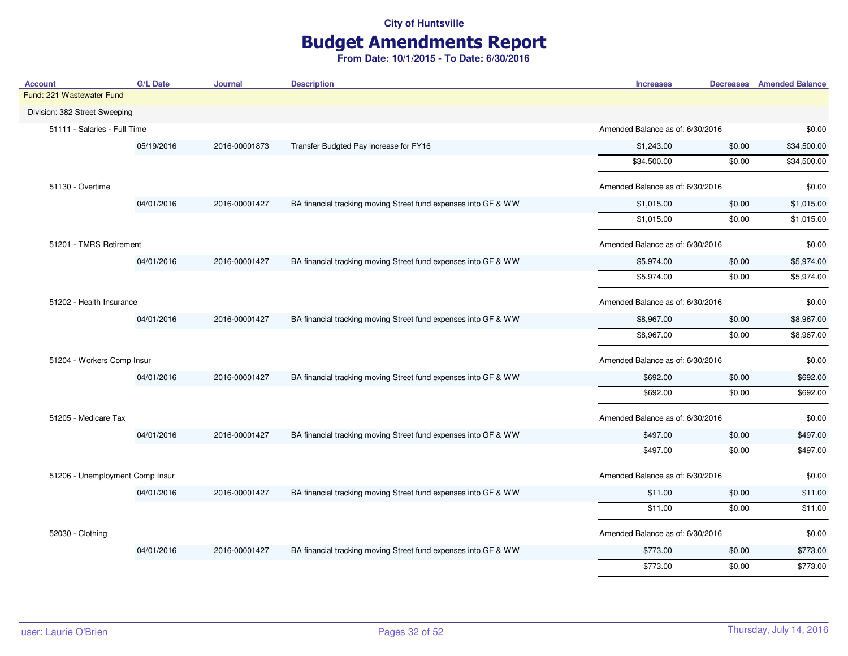# Budget Amendments Report

| <b>Account</b>                  | <b>G/L Date</b>          | Journal       | <b>Description</b>                                             | <b>Increases</b>                 |                                  | <b>Decreases</b> Amended Balance |
|---------------------------------|--------------------------|---------------|----------------------------------------------------------------|----------------------------------|----------------------------------|----------------------------------|
| Fund: 221 Wastewater Fund       |                          |               |                                                                |                                  |                                  |                                  |
| Division: 382 Street Sweeping   |                          |               |                                                                |                                  |                                  |                                  |
| 51111 - Salaries - Full Time    |                          |               |                                                                |                                  | Amended Balance as of: 6/30/2016 |                                  |
|                                 | 05/19/2016               | 2016-00001873 | Transfer Budgted Pay increase for FY16                         | \$1,243.00                       | \$0.00                           | \$34,500.00                      |
|                                 |                          |               |                                                                | \$34,500.00                      | \$0.00                           | \$34,500.00                      |
| 51130 - Overtime                |                          |               |                                                                | Amended Balance as of: 6/30/2016 |                                  | \$0.00                           |
|                                 | 04/01/2016               | 2016-00001427 | BA financial tracking moving Street fund expenses into GF & WW | \$1,015.00                       | \$0.00                           | \$1,015.00                       |
|                                 |                          |               |                                                                | \$1,015.00                       | \$0.00                           | \$1,015.00                       |
| 51201 - TMRS Retirement         |                          |               |                                                                | Amended Balance as of: 6/30/2016 |                                  | \$0.00                           |
|                                 | 04/01/2016               | 2016-00001427 | BA financial tracking moving Street fund expenses into GF & WW | \$5,974.00                       | \$0.00                           | \$5,974.00                       |
|                                 |                          |               |                                                                | \$5,974.00                       | \$0.00                           | \$5,974.00                       |
|                                 | 51202 - Health Insurance |               | Amended Balance as of: 6/30/2016                               |                                  | \$0.00                           |                                  |
|                                 | 04/01/2016               | 2016-00001427 | BA financial tracking moving Street fund expenses into GF & WW | \$8,967.00                       | \$0.00                           | \$8,967.00                       |
|                                 |                          |               |                                                                | \$8,967.00                       | \$0.00                           | \$8,967.00                       |
| 51204 - Workers Comp Insur      |                          |               |                                                                | Amended Balance as of: 6/30/2016 |                                  | \$0.00                           |
|                                 | 04/01/2016               | 2016-00001427 | BA financial tracking moving Street fund expenses into GF & WW | \$692.00                         | \$0.00                           | \$692.00                         |
|                                 |                          |               |                                                                | \$692.00                         | \$0.00                           | \$692.00                         |
| 51205 - Medicare Tax            |                          |               |                                                                | Amended Balance as of: 6/30/2016 |                                  | \$0.00                           |
|                                 | 04/01/2016               | 2016-00001427 | BA financial tracking moving Street fund expenses into GF & WW | \$497.00                         | \$0.00                           | \$497.00                         |
|                                 |                          |               |                                                                | \$497.00                         | \$0.00                           | \$497.00                         |
| 51206 - Unemployment Comp Insur |                          |               |                                                                | Amended Balance as of: 6/30/2016 |                                  | \$0.00                           |
|                                 | 04/01/2016               | 2016-00001427 | BA financial tracking moving Street fund expenses into GF & WW | \$11.00                          | \$0.00                           | \$11.00                          |
|                                 |                          |               |                                                                | \$11.00                          | \$0.00                           | \$11.00                          |
| 52030 - Clothing                |                          |               |                                                                | Amended Balance as of: 6/30/2016 |                                  | \$0.00                           |
|                                 | 04/01/2016               | 2016-00001427 | BA financial tracking moving Street fund expenses into GF & WW | \$773.00                         | \$0.00                           | \$773.00                         |
|                                 |                          |               |                                                                | \$773.00                         | \$0.00                           | \$773.00                         |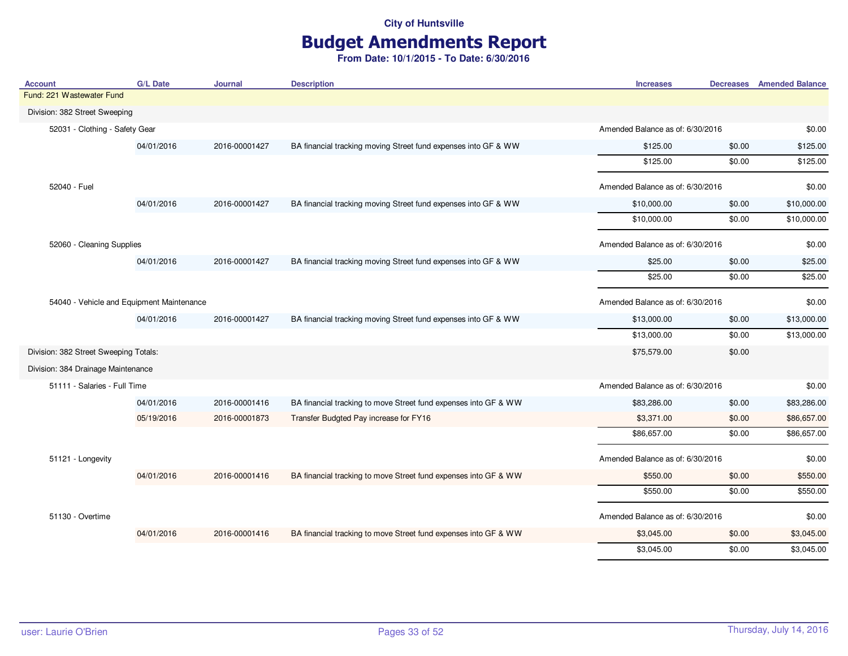# Budget Amendments Report

|                                           |            |               |                                                                 |                                  |                                  | <b>Decreases</b> Amended Balance |
|-------------------------------------------|------------|---------------|-----------------------------------------------------------------|----------------------------------|----------------------------------|----------------------------------|
| Fund: 221 Wastewater Fund                 |            |               |                                                                 |                                  |                                  |                                  |
| Division: 382 Street Sweeping             |            |               |                                                                 |                                  |                                  |                                  |
| 52031 - Clothing - Safety Gear            |            |               |                                                                 |                                  | Amended Balance as of: 6/30/2016 |                                  |
|                                           | 04/01/2016 | 2016-00001427 | BA financial tracking moving Street fund expenses into GF & WW  | \$125.00                         | \$0.00                           | \$125.00                         |
|                                           |            |               |                                                                 | \$125.00                         | \$0.00                           | \$125.00                         |
| 52040 - Fuel                              |            |               |                                                                 |                                  | Amended Balance as of: 6/30/2016 |                                  |
|                                           | 04/01/2016 | 2016-00001427 | BA financial tracking moving Street fund expenses into GF & WW  | \$10,000.00                      | \$0.00                           | \$10,000.00                      |
|                                           |            |               |                                                                 | \$10,000.00                      | \$0.00                           | \$10,000.00                      |
| 52060 - Cleaning Supplies                 |            |               |                                                                 | Amended Balance as of: 6/30/2016 |                                  | \$0.00                           |
|                                           | 04/01/2016 | 2016-00001427 | BA financial tracking moving Street fund expenses into GF & WW  | \$25.00                          | \$0.00                           | \$25.00                          |
|                                           |            |               |                                                                 | \$25.00                          | \$0.00                           | \$25.00                          |
| 54040 - Vehicle and Equipment Maintenance |            |               |                                                                 | Amended Balance as of: 6/30/2016 |                                  | \$0.00                           |
|                                           | 04/01/2016 | 2016-00001427 | BA financial tracking moving Street fund expenses into GF & WW  | \$13,000.00                      | \$0.00                           | \$13,000.00                      |
|                                           |            |               |                                                                 | \$13,000.00                      | \$0.00                           | \$13,000.00                      |
| Division: 382 Street Sweeping Totals:     |            |               |                                                                 | \$75,579.00                      | \$0.00                           |                                  |
| Division: 384 Drainage Maintenance        |            |               |                                                                 |                                  |                                  |                                  |
| 51111 - Salaries - Full Time              |            |               |                                                                 | Amended Balance as of: 6/30/2016 |                                  | \$0.00                           |
|                                           | 04/01/2016 | 2016-00001416 | BA financial tracking to move Street fund expenses into GF & WW | \$83,286.00                      | \$0.00                           | \$83,286.00                      |
|                                           | 05/19/2016 | 2016-00001873 | Transfer Budgted Pay increase for FY16                          | \$3,371.00                       | \$0.00                           | \$86,657.00                      |
|                                           |            |               |                                                                 | \$86,657.00                      | \$0.00                           | \$86,657.00                      |
| 51121 - Longevity                         |            |               |                                                                 | Amended Balance as of: 6/30/2016 |                                  | \$0.00                           |
|                                           | 04/01/2016 | 2016-00001416 | BA financial tracking to move Street fund expenses into GF & WW | \$550.00                         | \$0.00                           | \$550.00                         |
|                                           |            |               |                                                                 | \$550.00                         | \$0.00                           | \$550.00                         |
| 51130 - Overtime                          |            |               |                                                                 | Amended Balance as of: 6/30/2016 |                                  | \$0.00                           |
|                                           | 04/01/2016 | 2016-00001416 | BA financial tracking to move Street fund expenses into GF & WW | \$3,045.00                       | \$0.00                           | \$3,045.00                       |
|                                           |            |               |                                                                 | \$3,045.00                       | \$0.00                           | \$3,045.00                       |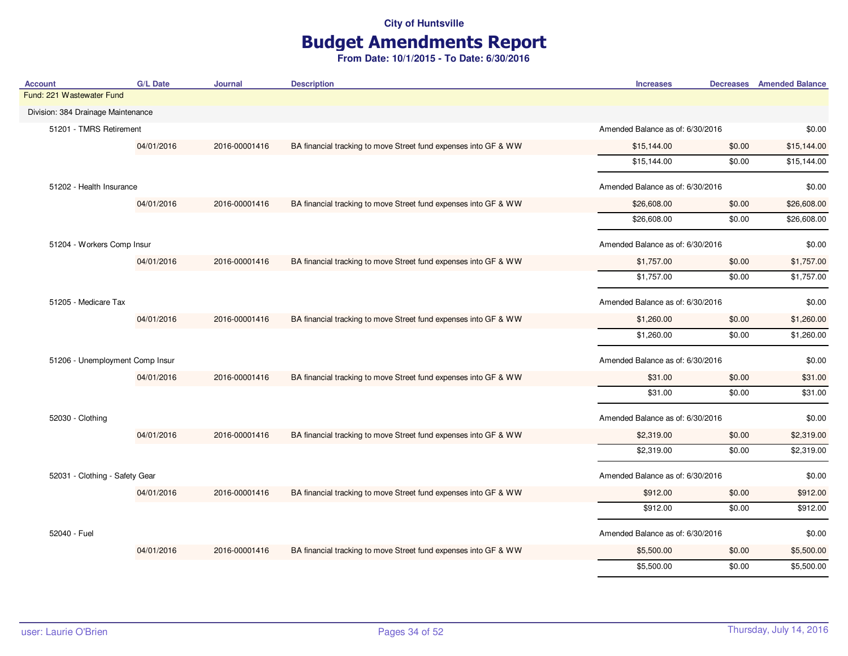# Budget Amendments Report

| Account                            | <b>G/L Date</b> | <b>Journal</b> | <b>Description</b>                                              | <b>Increases</b>                 |                                  | <b>Decreases</b> Amended Balance |
|------------------------------------|-----------------|----------------|-----------------------------------------------------------------|----------------------------------|----------------------------------|----------------------------------|
| Fund: 221 Wastewater Fund          |                 |                |                                                                 |                                  |                                  |                                  |
| Division: 384 Drainage Maintenance |                 |                |                                                                 |                                  |                                  |                                  |
| 51201 - TMRS Retirement            |                 |                |                                                                 |                                  | Amended Balance as of: 6/30/2016 |                                  |
|                                    | 04/01/2016      | 2016-00001416  | BA financial tracking to move Street fund expenses into GF & WW | \$15,144.00                      | \$0.00                           | \$15,144.00                      |
|                                    |                 |                |                                                                 | \$15,144.00                      | \$0.00                           | \$15,144.00                      |
| 51202 - Health Insurance           |                 |                |                                                                 | Amended Balance as of: 6/30/2016 |                                  | \$0.00                           |
|                                    | 04/01/2016      | 2016-00001416  | BA financial tracking to move Street fund expenses into GF & WW | \$26,608.00                      | \$0.00                           | \$26,608.00                      |
|                                    |                 |                |                                                                 | \$26,608.00                      | \$0.00                           | \$26,608.00                      |
| 51204 - Workers Comp Insur         |                 |                |                                                                 | Amended Balance as of: 6/30/2016 |                                  | \$0.00                           |
|                                    | 04/01/2016      | 2016-00001416  | BA financial tracking to move Street fund expenses into GF & WW | \$1,757.00                       | \$0.00                           | \$1,757.00                       |
|                                    |                 |                |                                                                 | \$1,757.00                       | \$0.00                           | \$1,757.00                       |
| 51205 - Medicare Tax               |                 |                |                                                                 | Amended Balance as of: 6/30/2016 |                                  | \$0.00                           |
|                                    | 04/01/2016      | 2016-00001416  | BA financial tracking to move Street fund expenses into GF & WW | \$1,260.00                       | \$0.00                           | \$1,260.00                       |
|                                    |                 |                |                                                                 | \$1,260.00                       | \$0.00                           | \$1,260.00                       |
| 51206 - Unemployment Comp Insur    |                 |                |                                                                 | Amended Balance as of: 6/30/2016 |                                  | \$0.00                           |
|                                    | 04/01/2016      | 2016-00001416  | BA financial tracking to move Street fund expenses into GF & WW | \$31.00                          | \$0.00                           | \$31.00                          |
|                                    |                 |                |                                                                 | \$31.00                          | \$0.00                           | \$31.00                          |
| 52030 - Clothing                   |                 |                |                                                                 | Amended Balance as of: 6/30/2016 |                                  | \$0.00                           |
|                                    | 04/01/2016      | 2016-00001416  | BA financial tracking to move Street fund expenses into GF & WW | \$2,319.00                       | \$0.00                           | \$2,319.00                       |
|                                    |                 |                |                                                                 | \$2,319.00                       | \$0.00                           | \$2,319.00                       |
| 52031 - Clothing - Safety Gear     |                 |                |                                                                 | Amended Balance as of: 6/30/2016 |                                  | \$0.00                           |
|                                    | 04/01/2016      | 2016-00001416  | BA financial tracking to move Street fund expenses into GF & WW | \$912.00                         | \$0.00                           | \$912.00                         |
|                                    |                 |                |                                                                 | \$912.00                         | \$0.00                           | \$912.00                         |
| 52040 - Fuel                       |                 |                |                                                                 | Amended Balance as of: 6/30/2016 |                                  | \$0.00                           |
|                                    | 04/01/2016      | 2016-00001416  | BA financial tracking to move Street fund expenses into GF & WW | \$5,500.00                       | \$0.00                           | \$5,500.00                       |
|                                    |                 |                |                                                                 | \$5,500.00                       | \$0.00                           | \$5,500.00                       |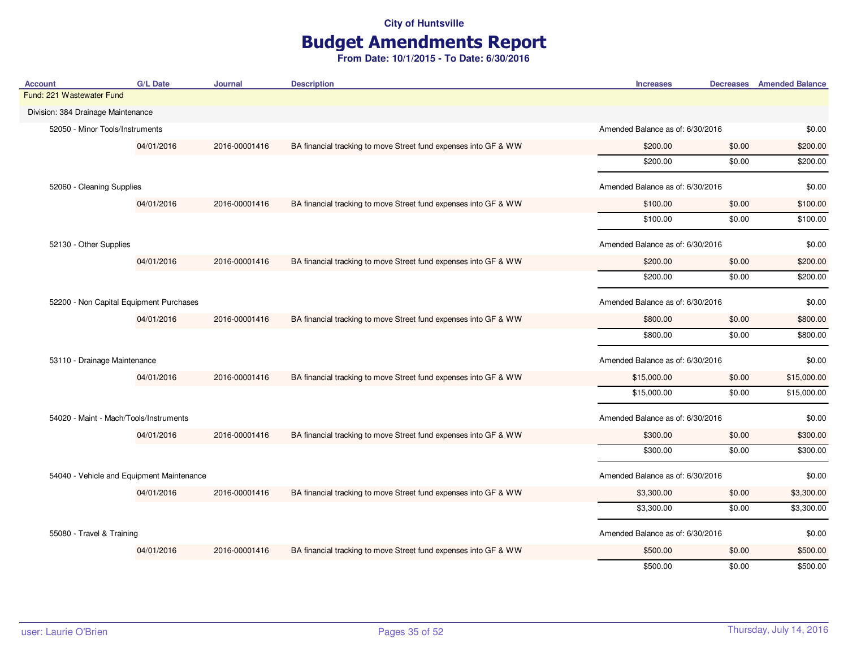# Budget Amendments Report

| <b>Account</b>                            | <b>G/L Date</b> | Journal       | <b>Description</b>                                              | <b>Increases</b>                 |                                  | <b>Decreases</b> Amended Balance |
|-------------------------------------------|-----------------|---------------|-----------------------------------------------------------------|----------------------------------|----------------------------------|----------------------------------|
| Fund: 221 Wastewater Fund                 |                 |               |                                                                 |                                  |                                  |                                  |
| Division: 384 Drainage Maintenance        |                 |               |                                                                 |                                  |                                  |                                  |
| 52050 - Minor Tools/Instruments           |                 |               |                                                                 |                                  | Amended Balance as of: 6/30/2016 |                                  |
|                                           | 04/01/2016      | 2016-00001416 | BA financial tracking to move Street fund expenses into GF & WW | \$200.00                         | \$0.00                           | \$200.00                         |
|                                           |                 |               |                                                                 | \$200.00                         | \$0.00                           | \$200.00                         |
| 52060 - Cleaning Supplies                 |                 |               |                                                                 | Amended Balance as of: 6/30/2016 |                                  | \$0.00                           |
|                                           | 04/01/2016      | 2016-00001416 | BA financial tracking to move Street fund expenses into GF & WW | \$100.00                         | \$0.00                           | \$100.00                         |
|                                           |                 |               |                                                                 | \$100.00                         | \$0.00                           | \$100.00                         |
| 52130 - Other Supplies                    |                 |               |                                                                 | Amended Balance as of: 6/30/2016 |                                  | \$0.00                           |
|                                           | 04/01/2016      | 2016-00001416 | BA financial tracking to move Street fund expenses into GF & WW | \$200.00                         | \$0.00                           | \$200.00                         |
|                                           |                 |               |                                                                 | \$200.00                         | \$0.00                           | \$200.00                         |
| 52200 - Non Capital Equipment Purchases   |                 |               |                                                                 | Amended Balance as of: 6/30/2016 |                                  | \$0.00                           |
|                                           | 04/01/2016      | 2016-00001416 | BA financial tracking to move Street fund expenses into GF & WW | \$800.00                         | \$0.00                           | \$800.00                         |
|                                           |                 |               |                                                                 | \$800.00                         | \$0.00                           | \$800.00                         |
| 53110 - Drainage Maintenance              |                 |               |                                                                 | Amended Balance as of: 6/30/2016 |                                  | \$0.00                           |
|                                           | 04/01/2016      | 2016-00001416 | BA financial tracking to move Street fund expenses into GF & WW | \$15,000.00                      | \$0.00                           | \$15,000.00                      |
|                                           |                 |               |                                                                 | \$15,000.00                      | \$0.00                           | \$15,000.00                      |
| 54020 - Maint - Mach/Tools/Instruments    |                 |               |                                                                 | Amended Balance as of: 6/30/2016 |                                  | \$0.00                           |
|                                           | 04/01/2016      | 2016-00001416 | BA financial tracking to move Street fund expenses into GF & WW | \$300.00                         | \$0.00                           | \$300.00                         |
|                                           |                 |               |                                                                 | \$300.00                         | \$0.00                           | \$300.00                         |
| 54040 - Vehicle and Equipment Maintenance |                 |               |                                                                 | Amended Balance as of: 6/30/2016 |                                  | \$0.00                           |
|                                           | 04/01/2016      | 2016-00001416 | BA financial tracking to move Street fund expenses into GF & WW | \$3,300.00                       | \$0.00                           | \$3,300.00                       |
|                                           |                 |               |                                                                 | \$3,300.00                       | \$0.00                           | \$3,300.00                       |
| 55080 - Travel & Training                 |                 |               |                                                                 | Amended Balance as of: 6/30/2016 |                                  | \$0.00                           |
|                                           | 04/01/2016      | 2016-00001416 | BA financial tracking to move Street fund expenses into GF & WW | \$500.00                         | \$0.00                           | \$500.00                         |
|                                           |                 |               |                                                                 | \$500.00                         | \$0.00                           | \$500.00                         |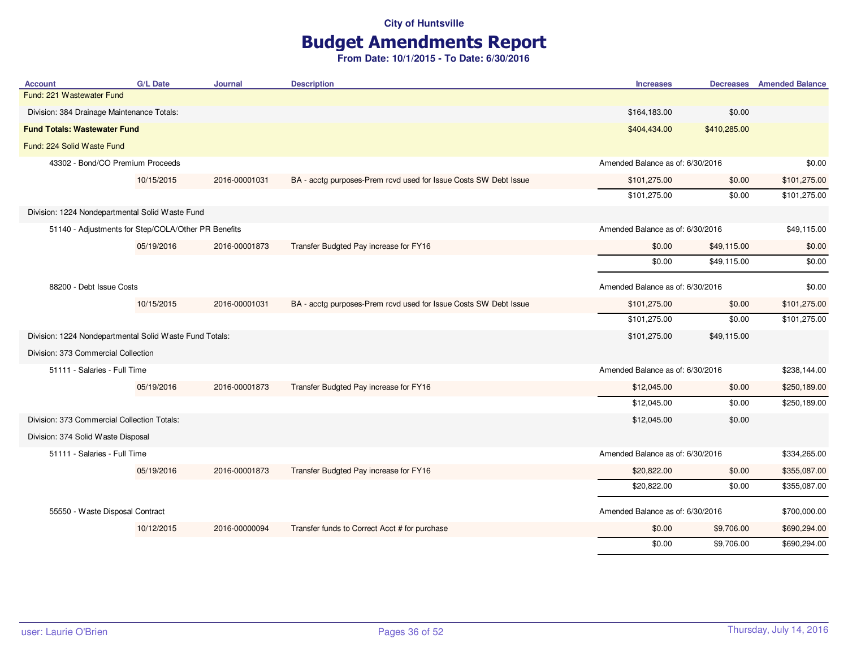# Budget Amendments Report

| <b>Account</b>                                          | <b>G/L Date</b> | <b>Journal</b> | <b>Description</b>                                               | <b>Increases</b>                 |                                  | <b>Decreases</b> Amended Balance |
|---------------------------------------------------------|-----------------|----------------|------------------------------------------------------------------|----------------------------------|----------------------------------|----------------------------------|
| Fund: 221 Wastewater Fund                               |                 |                |                                                                  |                                  |                                  |                                  |
| Division: 384 Drainage Maintenance Totals:              |                 |                |                                                                  | \$164,183.00                     | \$0.00                           |                                  |
| <b>Fund Totals: Wastewater Fund</b>                     |                 |                |                                                                  | \$404,434.00                     | \$410,285.00                     |                                  |
| Fund: 224 Solid Waste Fund                              |                 |                |                                                                  |                                  |                                  |                                  |
| 43302 - Bond/CO Premium Proceeds                        |                 |                |                                                                  | Amended Balance as of: 6/30/2016 |                                  | \$0.00                           |
|                                                         | 10/15/2015      | 2016-00001031  | BA - acctg purposes-Prem rcvd used for Issue Costs SW Debt Issue | \$101,275.00                     | \$0.00                           | \$101,275.00                     |
|                                                         |                 |                |                                                                  | \$101,275.00                     | \$0.00                           | \$101,275.00                     |
| Division: 1224 Nondepartmental Solid Waste Fund         |                 |                |                                                                  |                                  |                                  |                                  |
| 51140 - Adjustments for Step/COLA/Other PR Benefits     |                 |                |                                                                  | Amended Balance as of: 6/30/2016 |                                  | \$49,115.00                      |
|                                                         | 05/19/2016      | 2016-00001873  | Transfer Budgted Pay increase for FY16                           | \$0.00                           | \$49,115.00                      | \$0.00                           |
|                                                         |                 |                |                                                                  | \$0.00                           | \$49,115.00                      | \$0.00                           |
| 88200 - Debt Issue Costs                                |                 |                |                                                                  | Amended Balance as of: 6/30/2016 |                                  | \$0.00                           |
|                                                         | 10/15/2015      | 2016-00001031  | BA - acctg purposes-Prem rcvd used for Issue Costs SW Debt Issue | \$101,275.00                     | \$0.00                           | \$101,275.00                     |
|                                                         |                 |                |                                                                  | \$101,275.00                     | \$0.00                           | \$101,275.00                     |
| Division: 1224 Nondepartmental Solid Waste Fund Totals: |                 |                |                                                                  | \$101,275.00                     | \$49,115.00                      |                                  |
| Division: 373 Commercial Collection                     |                 |                |                                                                  |                                  |                                  |                                  |
| 51111 - Salaries - Full Time                            |                 |                |                                                                  |                                  | Amended Balance as of: 6/30/2016 |                                  |
|                                                         | 05/19/2016      | 2016-00001873  | Transfer Budgted Pay increase for FY16                           | \$12,045.00                      | \$0.00                           | \$250,189.00                     |
|                                                         |                 |                |                                                                  | \$12,045.00                      | \$0.00                           | \$250,189.00                     |
| Division: 373 Commercial Collection Totals:             |                 |                |                                                                  | \$12,045.00                      | \$0.00                           |                                  |
| Division: 374 Solid Waste Disposal                      |                 |                |                                                                  |                                  |                                  |                                  |
| 51111 - Salaries - Full Time                            |                 |                |                                                                  | Amended Balance as of: 6/30/2016 |                                  | \$334,265.00                     |
|                                                         | 05/19/2016      | 2016-00001873  | Transfer Budgted Pay increase for FY16                           | \$20,822.00                      | \$0.00                           | \$355,087.00                     |
|                                                         |                 |                |                                                                  | \$20,822.00                      | \$0.00                           | \$355,087.00                     |
| 55550 - Waste Disposal Contract                         |                 |                |                                                                  | Amended Balance as of: 6/30/2016 |                                  | \$700,000.00                     |
|                                                         | 10/12/2015      | 2016-00000094  | Transfer funds to Correct Acct # for purchase                    | \$0.00                           | \$9,706.00                       | \$690,294.00                     |
|                                                         |                 |                |                                                                  | \$0.00                           | \$9,706.00                       | \$690,294.00                     |
|                                                         |                 |                |                                                                  |                                  |                                  |                                  |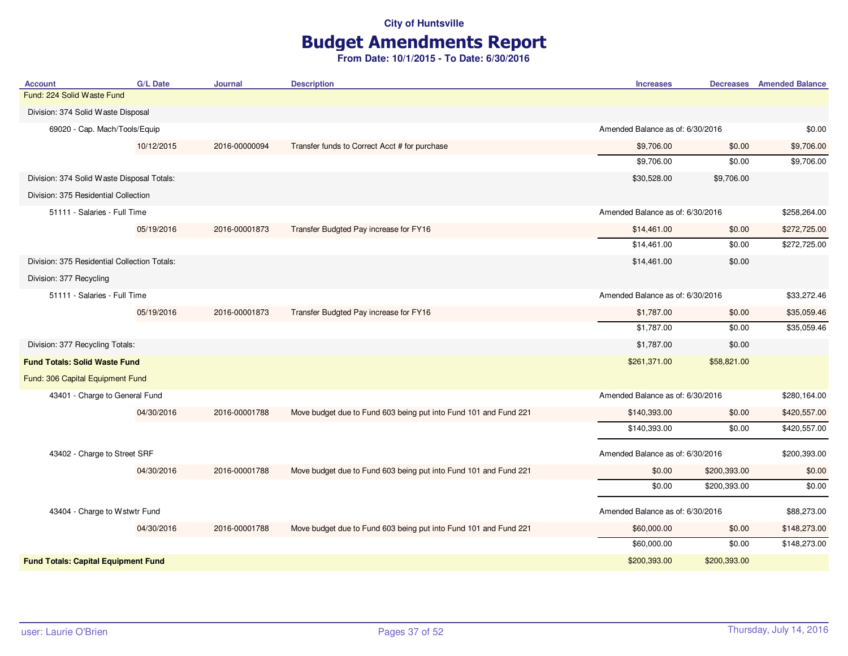# Budget Amendments Report

| Fund: 224 Solid Waste Fund                   |                                                                  |                                  |              |              |
|----------------------------------------------|------------------------------------------------------------------|----------------------------------|--------------|--------------|
|                                              |                                                                  |                                  |              |              |
| Division: 374 Solid Waste Disposal           |                                                                  |                                  |              |              |
| 69020 - Cap. Mach/Tools/Equip                |                                                                  | Amended Balance as of: 6/30/2016 |              | \$0.00       |
| 10/12/2015<br>2016-00000094                  | Transfer funds to Correct Acct # for purchase                    | \$9,706.00                       | \$0.00       | \$9,706.00   |
|                                              |                                                                  | \$9,706.00                       | \$0.00       | \$9,706.00   |
| Division: 374 Solid Waste Disposal Totals:   |                                                                  | \$30,528.00                      | \$9,706.00   |              |
| Division: 375 Residential Collection         |                                                                  |                                  |              |              |
| 51111 - Salaries - Full Time                 |                                                                  | Amended Balance as of: 6/30/2016 |              | \$258,264.00 |
| 05/19/2016<br>2016-00001873                  | Transfer Budgted Pay increase for FY16                           | \$14,461.00                      | \$0.00       | \$272,725.00 |
|                                              |                                                                  | \$14,461.00                      | \$0.00       | \$272,725.00 |
| Division: 375 Residential Collection Totals: |                                                                  | \$14,461.00                      | \$0.00       |              |
| Division: 377 Recycling                      |                                                                  |                                  |              |              |
| 51111 - Salaries - Full Time                 |                                                                  | Amended Balance as of: 6/30/2016 |              | \$33,272.46  |
| 05/19/2016<br>2016-00001873                  | Transfer Budgted Pay increase for FY16                           | \$1,787.00                       | \$0.00       | \$35,059.46  |
|                                              |                                                                  | \$1,787.00                       | \$0.00       | \$35,059.46  |
| Division: 377 Recycling Totals:              |                                                                  | \$1,787.00                       | \$0.00       |              |
| <b>Fund Totals: Solid Waste Fund</b>         |                                                                  | \$261,371.00                     | \$58,821.00  |              |
| Fund: 306 Capital Equipment Fund             |                                                                  |                                  |              |              |
| 43401 - Charge to General Fund               |                                                                  | Amended Balance as of: 6/30/2016 |              | \$280,164.00 |
| 04/30/2016<br>2016-00001788                  | Move budget due to Fund 603 being put into Fund 101 and Fund 221 | \$140,393.00                     | \$0.00       | \$420,557.00 |
|                                              |                                                                  | \$140,393.00                     | \$0.00       | \$420,557.00 |
| 43402 - Charge to Street SRF                 |                                                                  | Amended Balance as of: 6/30/2016 |              | \$200,393.00 |
| 04/30/2016<br>2016-00001788                  | Move budget due to Fund 603 being put into Fund 101 and Fund 221 | \$0.00                           | \$200,393.00 | \$0.00       |
|                                              |                                                                  | \$0.00                           | \$200,393.00 | \$0.00       |
|                                              |                                                                  |                                  |              |              |
| 43404 - Charge to Wstwtr Fund                |                                                                  | Amended Balance as of: 6/30/2016 |              | \$88,273.00  |
| 04/30/2016<br>2016-00001788                  | Move budget due to Fund 603 being put into Fund 101 and Fund 221 | \$60,000.00                      | \$0.00       | \$148,273.00 |
|                                              |                                                                  | \$60,000.00                      | \$0.00       | \$148,273.00 |
| <b>Fund Totals: Capital Equipment Fund</b>   |                                                                  | \$200,393.00                     | \$200,393.00 |              |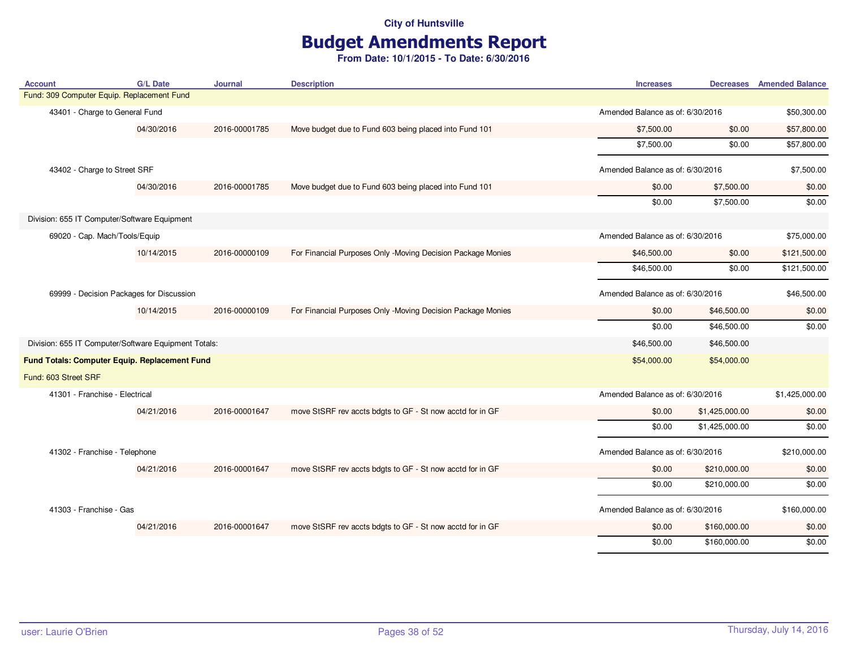# Budget Amendments Report

| <b>Account</b>                                       | <b>G/L Date</b> | Journal       | <b>Description</b>                                          | <b>Increases</b>                 |                | <b>Decreases</b> Amended Balance |
|------------------------------------------------------|-----------------|---------------|-------------------------------------------------------------|----------------------------------|----------------|----------------------------------|
| Fund: 309 Computer Equip. Replacement Fund           |                 |               |                                                             |                                  |                |                                  |
| 43401 - Charge to General Fund                       |                 |               |                                                             | Amended Balance as of: 6/30/2016 |                | \$50,300.00                      |
|                                                      | 04/30/2016      | 2016-00001785 | Move budget due to Fund 603 being placed into Fund 101      | \$7,500.00                       | \$0.00         | \$57,800.00                      |
|                                                      |                 |               |                                                             | \$7,500.00                       | \$0.00         | \$57,800.00                      |
| 43402 - Charge to Street SRF                         |                 |               |                                                             | Amended Balance as of: 6/30/2016 |                | \$7,500.00                       |
|                                                      | 04/30/2016      | 2016-00001785 | Move budget due to Fund 603 being placed into Fund 101      | \$0.00                           | \$7,500.00     | \$0.00                           |
|                                                      |                 |               |                                                             | \$0.00                           | \$7,500.00     | \$0.00                           |
| Division: 655 IT Computer/Software Equipment         |                 |               |                                                             |                                  |                |                                  |
| 69020 - Cap. Mach/Tools/Equip                        |                 |               |                                                             | Amended Balance as of: 6/30/2016 |                | \$75,000.00                      |
|                                                      | 10/14/2015      | 2016-00000109 | For Financial Purposes Only -Moving Decision Package Monies | \$46,500.00                      | \$0.00         | \$121,500.00                     |
|                                                      |                 |               |                                                             | \$46,500.00                      | \$0.00         | \$121,500.00                     |
| 69999 - Decision Packages for Discussion             |                 |               |                                                             | Amended Balance as of: 6/30/2016 |                | \$46,500.00                      |
|                                                      | 10/14/2015      | 2016-00000109 | For Financial Purposes Only -Moving Decision Package Monies | \$0.00                           | \$46,500.00    | \$0.00                           |
|                                                      |                 |               |                                                             | \$0.00                           | \$46,500.00    | \$0.00                           |
| Division: 655 IT Computer/Software Equipment Totals: |                 |               |                                                             | \$46,500.00                      | \$46,500.00    |                                  |
| Fund Totals: Computer Equip. Replacement Fund        |                 |               |                                                             | \$54,000.00                      | \$54,000.00    |                                  |
| Fund: 603 Street SRF                                 |                 |               |                                                             |                                  |                |                                  |
| 41301 - Franchise - Electrical                       |                 |               |                                                             | Amended Balance as of: 6/30/2016 |                | \$1,425,000.00                   |
|                                                      | 04/21/2016      | 2016-00001647 | move StSRF rev accts bdgts to GF - St now acctd for in GF   | \$0.00                           | \$1,425,000.00 | \$0.00                           |
|                                                      |                 |               |                                                             | \$0.00                           | \$1,425,000.00 | \$0.00                           |
| 41302 - Franchise - Telephone                        |                 |               |                                                             | Amended Balance as of: 6/30/2016 |                | \$210,000.00                     |
|                                                      | 04/21/2016      | 2016-00001647 | move StSRF rev accts bdgts to GF - St now acctd for in GF   | \$0.00                           | \$210,000.00   | \$0.00                           |
|                                                      |                 |               |                                                             | \$0.00                           | \$210,000.00   | \$0.00                           |
| 41303 - Franchise - Gas                              |                 |               |                                                             | Amended Balance as of: 6/30/2016 |                | \$160,000.00                     |
|                                                      | 04/21/2016      | 2016-00001647 | move StSRF rev accts bdgts to GF - St now acctd for in GF   | \$0.00                           | \$160,000.00   | \$0.00                           |
|                                                      |                 |               |                                                             | \$0.00                           | \$160,000.00   | \$0.00                           |
|                                                      |                 |               |                                                             |                                  |                |                                  |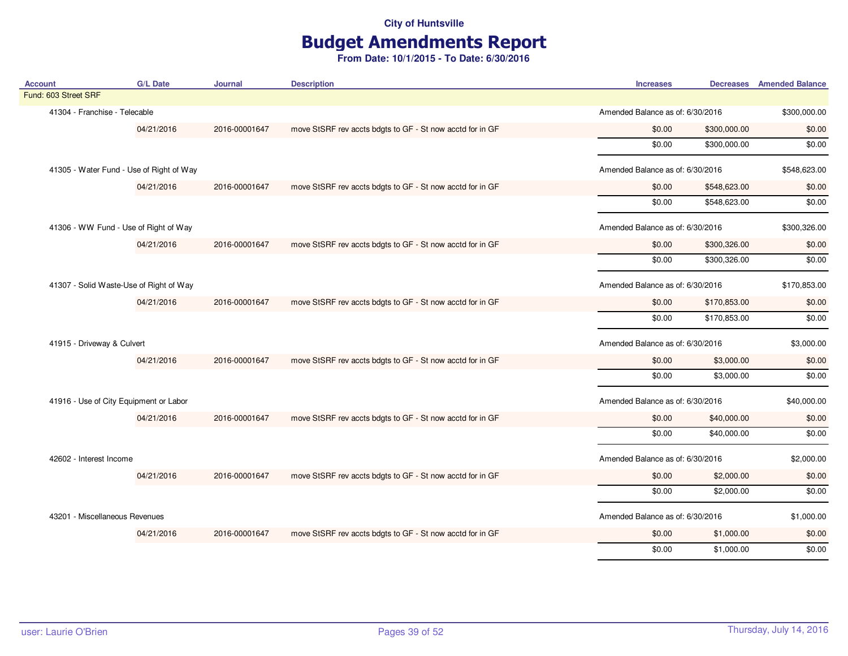## Budget Amendments Report

| <b>Account</b>                         | <b>G/L Date</b>                          | <b>Journal</b> | <b>Description</b>                                        | <b>Increases</b>                 | <b>Decreases</b> Amended Balance |
|----------------------------------------|------------------------------------------|----------------|-----------------------------------------------------------|----------------------------------|----------------------------------|
| Fund: 603 Street SRF                   |                                          |                |                                                           |                                  |                                  |
| 41304 - Franchise - Telecable          |                                          |                |                                                           | Amended Balance as of: 6/30/2016 | \$300,000.00                     |
|                                        | 04/21/2016                               | 2016-00001647  | move StSRF rev accts bdgts to GF - St now acctd for in GF | \$0.00<br>\$300,000.00           | \$0.00                           |
|                                        |                                          |                |                                                           | \$0.00<br>\$300,000.00           | \$0.00                           |
|                                        | 41305 - Water Fund - Use of Right of Way |                |                                                           | Amended Balance as of: 6/30/2016 | \$548,623.00                     |
|                                        | 04/21/2016                               | 2016-00001647  | move StSRF rev accts bdgts to GF - St now acctd for in GF | \$0.00<br>\$548,623.00           | \$0.00                           |
|                                        |                                          |                |                                                           | \$0.00<br>\$548,623.00           | \$0.00                           |
|                                        | 41306 - WW Fund - Use of Right of Way    |                |                                                           | Amended Balance as of: 6/30/2016 | \$300,326.00                     |
|                                        | 04/21/2016                               | 2016-00001647  | move StSRF rev accts bdgts to GF - St now acctd for in GF | \$0.00<br>\$300,326.00           | \$0.00                           |
|                                        |                                          |                |                                                           | \$0.00<br>\$300,326.00           | \$0.00                           |
|                                        | 41307 - Solid Waste-Use of Right of Way  |                |                                                           | Amended Balance as of: 6/30/2016 | \$170,853.00                     |
| 04/21/2016                             |                                          | 2016-00001647  | move StSRF rev accts bdgts to GF - St now acctd for in GF | \$0.00<br>\$170,853.00           | \$0.00                           |
|                                        |                                          |                |                                                           | \$0.00<br>\$170,853.00           | \$0.00                           |
| 41915 - Driveway & Culvert             |                                          |                |                                                           | Amended Balance as of: 6/30/2016 | \$3,000.00                       |
|                                        | 04/21/2016                               | 2016-00001647  | move StSRF rev accts bdgts to GF - St now acctd for in GF | \$0.00<br>\$3,000.00             | \$0.00                           |
|                                        |                                          |                |                                                           | \$0.00<br>\$3,000.00             | \$0.00                           |
| 41916 - Use of City Equipment or Labor |                                          |                |                                                           | Amended Balance as of: 6/30/2016 | \$40,000.00                      |
|                                        | 04/21/2016                               | 2016-00001647  | move StSRF rev accts bdgts to GF - St now acctd for in GF | \$0.00<br>\$40,000.00            | \$0.00                           |
|                                        |                                          |                |                                                           | \$0.00<br>\$40,000.00            | \$0.00                           |
| 42602 - Interest Income                |                                          |                |                                                           | Amended Balance as of: 6/30/2016 | \$2,000.00                       |
|                                        | 04/21/2016                               | 2016-00001647  | move StSRF rev accts bdgts to GF - St now acctd for in GF | \$0.00<br>\$2,000.00             | \$0.00                           |
|                                        |                                          |                |                                                           | \$2,000.00<br>\$0.00             | \$0.00                           |
| 43201 - Miscellaneous Revenues         |                                          |                |                                                           | Amended Balance as of: 6/30/2016 | \$1,000.00                       |
|                                        | 04/21/2016                               | 2016-00001647  | move StSRF rev accts bdgts to GF - St now acctd for in GF | \$0.00<br>\$1,000.00             | \$0.00                           |
|                                        |                                          |                |                                                           | \$0.00<br>\$1,000.00             | \$0.00                           |
|                                        |                                          |                |                                                           |                                  |                                  |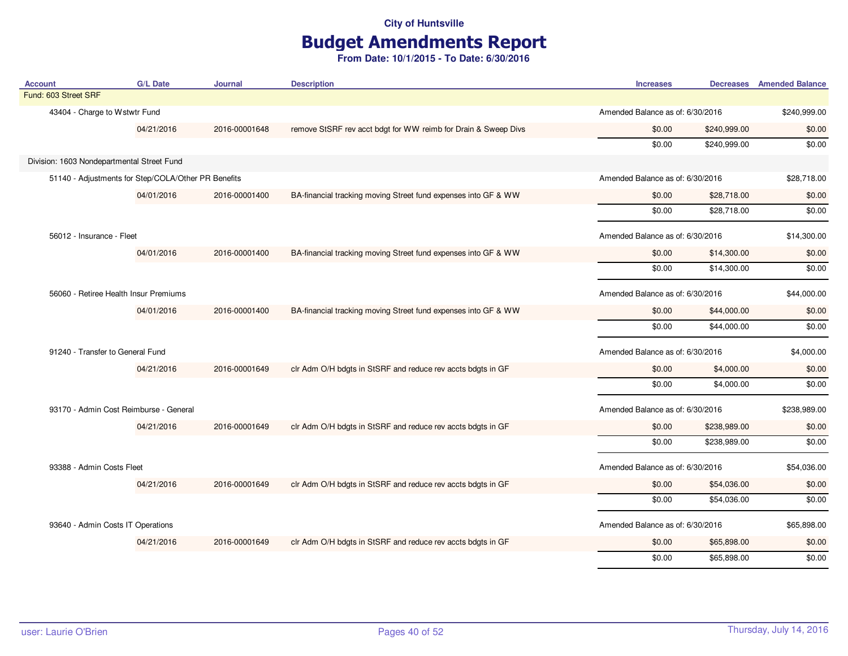## Budget Amendments Report

| <b>Account</b>                                      | <b>G/L Date</b> | Journal       | <b>Description</b>                                             | <b>Increases</b>                 |                                  | <b>Decreases</b> Amended Balance |
|-----------------------------------------------------|-----------------|---------------|----------------------------------------------------------------|----------------------------------|----------------------------------|----------------------------------|
| Fund: 603 Street SRF                                |                 |               |                                                                |                                  |                                  |                                  |
| 43404 - Charge to Wstwtr Fund                       |                 |               |                                                                | Amended Balance as of: 6/30/2016 |                                  | \$240,999.00                     |
|                                                     | 04/21/2016      | 2016-00001648 | remove StSRF rev acct bdgt for WW reimb for Drain & Sweep Divs | \$0.00                           | \$240,999.00                     | \$0.00                           |
|                                                     |                 |               |                                                                | \$0.00                           | \$240,999.00                     | \$0.00                           |
| Division: 1603 Nondepartmental Street Fund          |                 |               |                                                                |                                  |                                  |                                  |
| 51140 - Adjustments for Step/COLA/Other PR Benefits |                 |               |                                                                | Amended Balance as of: 6/30/2016 |                                  | \$28,718.00                      |
|                                                     | 04/01/2016      | 2016-00001400 | BA-financial tracking moving Street fund expenses into GF & WW | \$0.00                           | \$28,718.00                      | \$0.00                           |
|                                                     |                 |               |                                                                | \$0.00                           | \$28,718.00                      | \$0.00                           |
| 56012 - Insurance - Fleet                           |                 |               |                                                                | Amended Balance as of: 6/30/2016 |                                  | \$14,300.00                      |
|                                                     | 04/01/2016      | 2016-00001400 | BA-financial tracking moving Street fund expenses into GF & WW | \$0.00                           | \$14,300.00                      | \$0.00                           |
|                                                     |                 |               |                                                                | \$0.00                           | \$14,300.00                      | \$0.00                           |
| 56060 - Retiree Health Insur Premiums               |                 |               |                                                                | Amended Balance as of: 6/30/2016 |                                  | \$44,000.00                      |
|                                                     | 04/01/2016      | 2016-00001400 | BA-financial tracking moving Street fund expenses into GF & WW | \$0.00                           | \$44,000.00                      | \$0.00                           |
|                                                     |                 |               |                                                                | \$0.00                           | \$44,000.00                      | \$0.00                           |
| 91240 - Transfer to General Fund                    |                 |               |                                                                |                                  | Amended Balance as of: 6/30/2016 |                                  |
|                                                     | 04/21/2016      | 2016-00001649 | clr Adm O/H bdgts in StSRF and reduce rev accts bdgts in GF    | \$0.00                           | \$4,000.00                       | \$0.00                           |
|                                                     |                 |               |                                                                | \$0.00                           | \$4,000.00                       | \$0.00                           |
| 93170 - Admin Cost Reimburse - General              |                 |               |                                                                | Amended Balance as of: 6/30/2016 |                                  | \$238,989.00                     |
|                                                     | 04/21/2016      | 2016-00001649 | clr Adm O/H bdgts in StSRF and reduce rev accts bdgts in GF    | \$0.00                           | \$238,989.00                     | \$0.00                           |
|                                                     |                 |               |                                                                | \$0.00                           | \$238,989.00                     | \$0.00                           |
| 93388 - Admin Costs Fleet                           |                 |               |                                                                | Amended Balance as of: 6/30/2016 |                                  | \$54,036.00                      |
|                                                     | 04/21/2016      | 2016-00001649 | clr Adm O/H bdgts in StSRF and reduce rev accts bdgts in GF    | \$0.00                           | \$54,036.00                      | \$0.00                           |
|                                                     |                 |               |                                                                | \$0.00                           | \$54,036.00                      | \$0.00                           |
| 93640 - Admin Costs IT Operations                   |                 |               |                                                                | Amended Balance as of: 6/30/2016 |                                  | \$65,898.00                      |
|                                                     | 04/21/2016      | 2016-00001649 | clr Adm O/H bdgts in StSRF and reduce rev accts bdgts in GF    | \$0.00                           | \$65,898.00                      | \$0.00                           |
|                                                     |                 |               |                                                                | \$0.00                           | \$65,898.00                      | \$0.00                           |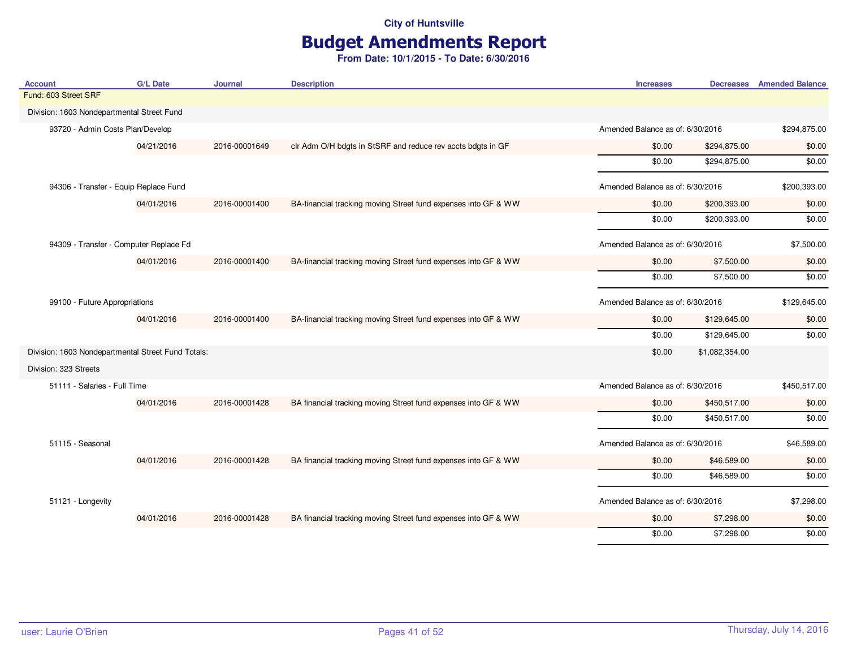# Budget Amendments Report

| <b>Account</b>                                     | <b>G/L Date</b> | Journal       | <b>Description</b>                                             | <b>Increases</b>                 |                | <b>Decreases</b> Amended Balance |
|----------------------------------------------------|-----------------|---------------|----------------------------------------------------------------|----------------------------------|----------------|----------------------------------|
| Fund: 603 Street SRF                               |                 |               |                                                                |                                  |                |                                  |
| Division: 1603 Nondepartmental Street Fund         |                 |               |                                                                |                                  |                |                                  |
| 93720 - Admin Costs Plan/Develop                   |                 |               |                                                                | Amended Balance as of: 6/30/2016 |                | \$294,875.00                     |
|                                                    | 04/21/2016      | 2016-00001649 | clr Adm O/H bdgts in StSRF and reduce rev accts bdgts in GF    | \$0.00                           | \$294,875.00   | \$0.00                           |
|                                                    |                 |               |                                                                | \$0.00                           | \$294,875.00   | \$0.00                           |
| 94306 - Transfer - Equip Replace Fund              |                 |               |                                                                | Amended Balance as of: 6/30/2016 |                | \$200,393.00                     |
|                                                    | 04/01/2016      | 2016-00001400 | BA-financial tracking moving Street fund expenses into GF & WW | \$0.00                           | \$200,393.00   | \$0.00                           |
|                                                    |                 |               |                                                                | \$0.00                           | \$200,393.00   | \$0.00                           |
| 94309 - Transfer - Computer Replace Fd             |                 |               |                                                                | Amended Balance as of: 6/30/2016 |                | \$7,500.00                       |
|                                                    | 04/01/2016      | 2016-00001400 | BA-financial tracking moving Street fund expenses into GF & WW | \$0.00                           | \$7,500.00     | \$0.00                           |
|                                                    |                 |               |                                                                | \$0.00                           | \$7,500.00     | \$0.00                           |
| 99100 - Future Appropriations                      |                 |               |                                                                | Amended Balance as of: 6/30/2016 |                | \$129,645.00                     |
|                                                    | 04/01/2016      | 2016-00001400 | BA-financial tracking moving Street fund expenses into GF & WW | \$0.00                           | \$129,645.00   | \$0.00                           |
|                                                    |                 |               |                                                                | \$0.00                           | \$129,645.00   | \$0.00                           |
| Division: 1603 Nondepartmental Street Fund Totals: |                 |               |                                                                | \$0.00                           | \$1,082,354.00 |                                  |
| Division: 323 Streets                              |                 |               |                                                                |                                  |                |                                  |
| 51111 - Salaries - Full Time                       |                 |               |                                                                | Amended Balance as of: 6/30/2016 |                | \$450,517.00                     |
|                                                    | 04/01/2016      | 2016-00001428 | BA financial tracking moving Street fund expenses into GF & WW | \$0.00                           | \$450,517.00   | \$0.00                           |
|                                                    |                 |               |                                                                | \$0.00                           | \$450,517.00   | \$0.00                           |
| 51115 - Seasonal                                   |                 |               |                                                                | Amended Balance as of: 6/30/2016 |                | \$46,589.00                      |
|                                                    | 04/01/2016      | 2016-00001428 | BA financial tracking moving Street fund expenses into GF & WW | \$0.00                           | \$46,589.00    | \$0.00                           |
|                                                    |                 |               |                                                                | \$0.00                           | \$46,589.00    | \$0.00                           |
| 51121 - Longevity                                  |                 |               |                                                                | Amended Balance as of: 6/30/2016 |                | \$7,298.00                       |
|                                                    | 04/01/2016      | 2016-00001428 | BA financial tracking moving Street fund expenses into GF & WW | \$0.00                           | \$7,298.00     | \$0.00                           |
|                                                    |                 |               |                                                                | \$0.00                           | \$7,298.00     | \$0.00                           |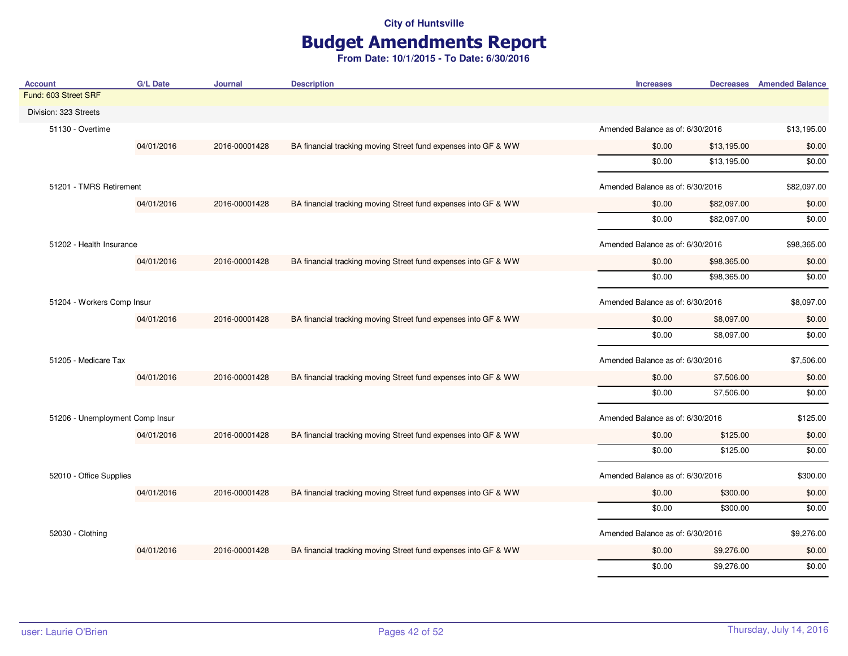# Budget Amendments Report

| <b>Account</b>                  | <b>G/L Date</b> | Journal       | <b>Description</b>                                             | <b>Increases</b>                 |                                  | <b>Decreases</b> Amended Balance |
|---------------------------------|-----------------|---------------|----------------------------------------------------------------|----------------------------------|----------------------------------|----------------------------------|
| Fund: 603 Street SRF            |                 |               |                                                                |                                  |                                  |                                  |
| Division: 323 Streets           |                 |               |                                                                |                                  |                                  |                                  |
| 51130 - Overtime                |                 |               |                                                                |                                  | Amended Balance as of: 6/30/2016 |                                  |
|                                 | 04/01/2016      | 2016-00001428 | BA financial tracking moving Street fund expenses into GF & WW | \$0.00                           | \$13,195.00                      | \$0.00                           |
|                                 |                 |               |                                                                | \$0.00                           | \$13,195.00                      | \$0.00                           |
| 51201 - TMRS Retirement         |                 |               |                                                                | Amended Balance as of: 6/30/2016 |                                  | \$82,097.00                      |
|                                 | 04/01/2016      | 2016-00001428 | BA financial tracking moving Street fund expenses into GF & WW | \$0.00                           | \$82,097.00                      | \$0.00                           |
|                                 |                 |               |                                                                | \$0.00                           | \$82,097.00                      | \$0.00                           |
| 51202 - Health Insurance        |                 |               |                                                                | Amended Balance as of: 6/30/2016 |                                  | \$98,365.00                      |
|                                 | 04/01/2016      | 2016-00001428 | BA financial tracking moving Street fund expenses into GF & WW | \$0.00                           | \$98,365.00                      | \$0.00                           |
|                                 |                 |               |                                                                | \$0.00                           | \$98,365.00                      | \$0.00                           |
| 51204 - Workers Comp Insur      |                 |               |                                                                | Amended Balance as of: 6/30/2016 |                                  | \$8,097.00                       |
|                                 | 04/01/2016      | 2016-00001428 | BA financial tracking moving Street fund expenses into GF & WW | \$0.00                           | \$8,097.00                       | \$0.00                           |
|                                 |                 |               |                                                                | \$0.00                           | \$8,097.00                       | \$0.00                           |
| 51205 - Medicare Tax            |                 |               |                                                                | Amended Balance as of: 6/30/2016 |                                  | \$7,506.00                       |
|                                 | 04/01/2016      | 2016-00001428 | BA financial tracking moving Street fund expenses into GF & WW | \$0.00                           | \$7,506.00                       | \$0.00                           |
|                                 |                 |               |                                                                | \$0.00                           | \$7,506.00                       | \$0.00                           |
| 51206 - Unemployment Comp Insur |                 |               |                                                                | Amended Balance as of: 6/30/2016 |                                  | \$125.00                         |
|                                 | 04/01/2016      | 2016-00001428 | BA financial tracking moving Street fund expenses into GF & WW | \$0.00                           | \$125.00                         | \$0.00                           |
|                                 |                 |               |                                                                | \$0.00                           | \$125.00                         | \$0.00                           |
| 52010 - Office Supplies         |                 |               |                                                                | Amended Balance as of: 6/30/2016 |                                  | \$300.00                         |
|                                 | 04/01/2016      | 2016-00001428 | BA financial tracking moving Street fund expenses into GF & WW | \$0.00                           | \$300.00                         | \$0.00                           |
|                                 |                 |               |                                                                | \$0.00                           | \$300.00                         | \$0.00                           |
| 52030 - Clothing                |                 |               |                                                                | Amended Balance as of: 6/30/2016 |                                  | \$9,276.00                       |
|                                 | 04/01/2016      | 2016-00001428 | BA financial tracking moving Street fund expenses into GF & WW | \$0.00                           | \$9,276.00                       | \$0.00                           |
|                                 |                 |               |                                                                | \$0.00                           | \$9,276.00                       | \$0.00                           |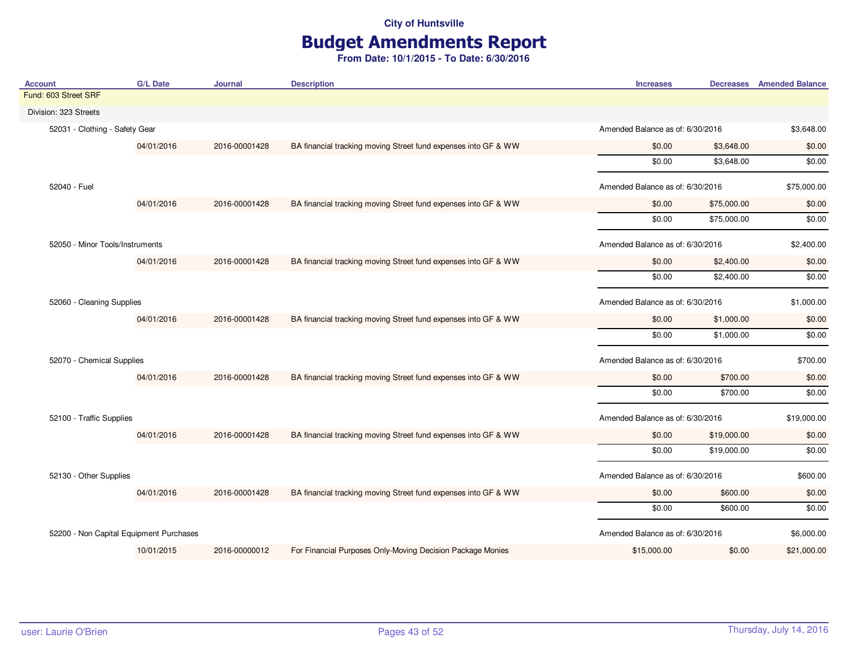# Budget Amendments Report

| <b>Account</b>                          | G/L Date   | Journal                          | <b>Description</b>                                             | <b>Increases</b>                 |             | Decreases Amended Balance |
|-----------------------------------------|------------|----------------------------------|----------------------------------------------------------------|----------------------------------|-------------|---------------------------|
| Fund: 603 Street SRF                    |            |                                  |                                                                |                                  |             |                           |
| Division: 323 Streets                   |            |                                  |                                                                |                                  |             |                           |
| 52031 - Clothing - Safety Gear          |            |                                  |                                                                | Amended Balance as of: 6/30/2016 |             | \$3,648.00                |
|                                         | 04/01/2016 | 2016-00001428                    | BA financial tracking moving Street fund expenses into GF & WW | \$0.00                           | \$3,648.00  | \$0.00                    |
|                                         |            |                                  |                                                                | \$0.00                           | \$3,648.00  | \$0.00                    |
| 52040 - Fuel                            |            |                                  |                                                                | Amended Balance as of: 6/30/2016 |             | \$75,000.00               |
|                                         | 04/01/2016 | 2016-00001428                    | BA financial tracking moving Street fund expenses into GF & WW | \$0.00                           | \$75,000.00 | \$0.00                    |
|                                         |            |                                  |                                                                | \$0.00                           | \$75,000.00 | \$0.00                    |
| 52050 - Minor Tools/Instruments         |            |                                  |                                                                | Amended Balance as of: 6/30/2016 |             | \$2,400.00                |
|                                         | 04/01/2016 | 2016-00001428                    | BA financial tracking moving Street fund expenses into GF & WW | \$0.00                           | \$2,400.00  | \$0.00                    |
|                                         |            |                                  |                                                                | \$0.00                           | \$2,400.00  | \$0.00                    |
| 52060 - Cleaning Supplies               |            | Amended Balance as of: 6/30/2016 |                                                                | \$1,000.00                       |             |                           |
|                                         | 04/01/2016 | 2016-00001428                    | BA financial tracking moving Street fund expenses into GF & WW | \$0.00                           | \$1,000.00  | \$0.00                    |
|                                         |            |                                  |                                                                | \$0.00                           | \$1,000.00  | \$0.00                    |
| 52070 - Chemical Supplies               |            |                                  |                                                                | Amended Balance as of: 6/30/2016 |             | \$700.00                  |
|                                         | 04/01/2016 | 2016-00001428                    | BA financial tracking moving Street fund expenses into GF & WW | \$0.00                           | \$700.00    | \$0.00                    |
|                                         |            |                                  |                                                                | \$0.00                           | \$700.00    | \$0.00                    |
| 52100 - Traffic Supplies                |            |                                  |                                                                | Amended Balance as of: 6/30/2016 |             | \$19,000.00               |
|                                         | 04/01/2016 | 2016-00001428                    | BA financial tracking moving Street fund expenses into GF & WW | \$0.00                           | \$19,000.00 | \$0.00                    |
|                                         |            |                                  |                                                                | \$0.00                           | \$19,000.00 | \$0.00                    |
| 52130 - Other Supplies                  |            |                                  |                                                                | Amended Balance as of: 6/30/2016 |             | \$600.00                  |
|                                         | 04/01/2016 | 2016-00001428                    | BA financial tracking moving Street fund expenses into GF & WW | \$0.00                           | \$600.00    | \$0.00                    |
|                                         |            |                                  |                                                                | \$0.00                           | \$600.00    | \$0.00                    |
| 52200 - Non Capital Equipment Purchases |            |                                  |                                                                | Amended Balance as of: 6/30/2016 |             | \$6,000.00                |
|                                         | 10/01/2015 | 2016-00000012                    | For Financial Purposes Only-Moving Decision Package Monies     | \$15,000.00                      | \$0.00      | \$21,000.00               |
|                                         |            |                                  |                                                                |                                  |             |                           |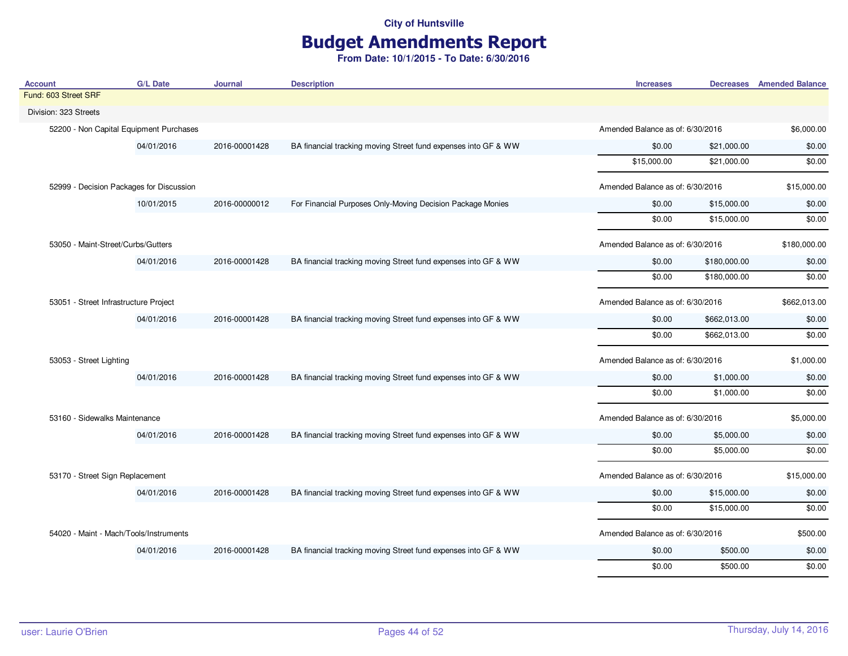## Budget Amendments Report

| <b>Account</b>                           | <b>G/L Date</b> | Journal       | <b>Description</b>                                             | <b>Increases</b>                 |              | <b>Decreases</b> Amended Balance |
|------------------------------------------|-----------------|---------------|----------------------------------------------------------------|----------------------------------|--------------|----------------------------------|
| Fund: 603 Street SRF                     |                 |               |                                                                |                                  |              |                                  |
| Division: 323 Streets                    |                 |               |                                                                |                                  |              |                                  |
| 52200 - Non Capital Equipment Purchases  |                 |               |                                                                | Amended Balance as of: 6/30/2016 |              | \$6,000.00                       |
|                                          | 04/01/2016      | 2016-00001428 | BA financial tracking moving Street fund expenses into GF & WW | \$0.00                           | \$21,000.00  | \$0.00                           |
|                                          |                 |               |                                                                | \$15,000.00                      | \$21,000.00  | \$0.00                           |
| 52999 - Decision Packages for Discussion |                 |               |                                                                | Amended Balance as of: 6/30/2016 |              | \$15,000.00                      |
|                                          | 10/01/2015      | 2016-00000012 | For Financial Purposes Only-Moving Decision Package Monies     | \$0.00                           | \$15,000.00  | \$0.00                           |
|                                          |                 |               |                                                                | \$0.00                           | \$15,000.00  | \$0.00                           |
| 53050 - Maint-Street/Curbs/Gutters       |                 |               |                                                                | Amended Balance as of: 6/30/2016 |              | \$180,000.00                     |
|                                          | 04/01/2016      | 2016-00001428 | BA financial tracking moving Street fund expenses into GF & WW | \$0.00                           | \$180,000.00 | \$0.00                           |
|                                          |                 |               |                                                                | \$0.00                           | \$180,000.00 | \$0.00                           |
| 53051 - Street Infrastructure Project    |                 |               |                                                                | Amended Balance as of: 6/30/2016 |              | \$662,013.00                     |
|                                          | 04/01/2016      | 2016-00001428 | BA financial tracking moving Street fund expenses into GF & WW | \$0.00                           | \$662,013.00 | \$0.00                           |
|                                          |                 |               |                                                                | \$0.00                           | \$662,013.00 | \$0.00                           |
| 53053 - Street Lighting                  |                 |               |                                                                | Amended Balance as of: 6/30/2016 |              | \$1,000.00                       |
|                                          | 04/01/2016      | 2016-00001428 | BA financial tracking moving Street fund expenses into GF & WW | \$0.00                           | \$1,000.00   | \$0.00                           |
|                                          |                 |               |                                                                | \$0.00                           | \$1,000.00   | \$0.00                           |
| 53160 - Sidewalks Maintenance            |                 |               |                                                                | Amended Balance as of: 6/30/2016 |              | \$5,000.00                       |
|                                          | 04/01/2016      | 2016-00001428 | BA financial tracking moving Street fund expenses into GF & WW | \$0.00                           | \$5,000.00   | \$0.00                           |
|                                          |                 |               |                                                                | \$0.00                           | \$5,000.00   | \$0.00                           |
| 53170 - Street Sign Replacement          |                 |               |                                                                | Amended Balance as of: 6/30/2016 |              | \$15,000.00                      |
|                                          | 04/01/2016      | 2016-00001428 | BA financial tracking moving Street fund expenses into GF & WW | \$0.00                           | \$15,000.00  | \$0.00                           |
|                                          |                 |               |                                                                | \$0.00                           | \$15,000.00  | \$0.00                           |
| 54020 - Maint - Mach/Tools/Instruments   |                 |               |                                                                | Amended Balance as of: 6/30/2016 |              | \$500.00                         |
|                                          | 04/01/2016      | 2016-00001428 | BA financial tracking moving Street fund expenses into GF & WW | \$0.00                           | \$500.00     | \$0.00                           |
|                                          |                 |               |                                                                | \$0.00                           | \$500.00     | \$0.00                           |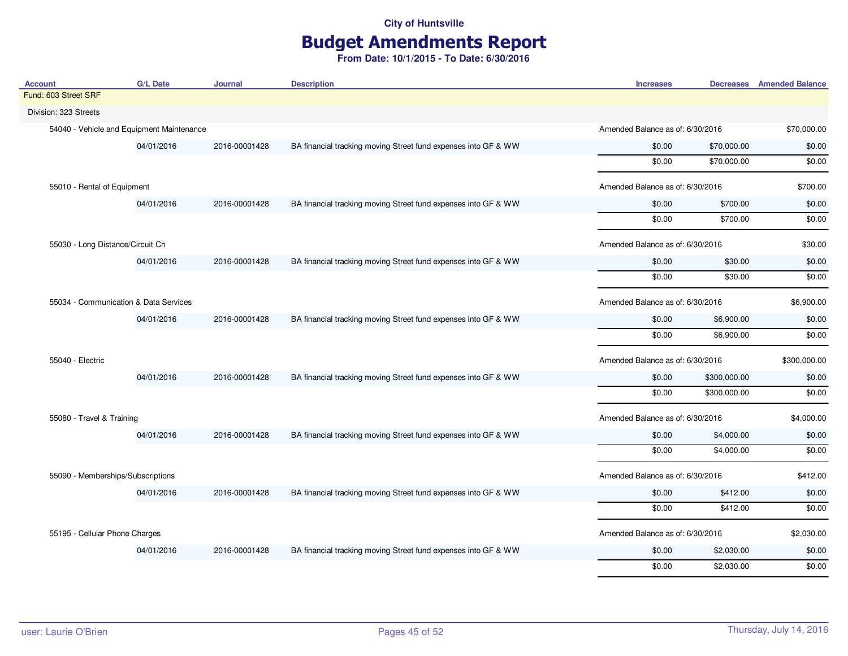## Budget Amendments Report

| Account                                   | G/L Date   | Journal       | <b>Description</b>                                             | <b>Increases</b>                 |                                  | <b>Decreases</b> Amended Balance |
|-------------------------------------------|------------|---------------|----------------------------------------------------------------|----------------------------------|----------------------------------|----------------------------------|
| Fund: 603 Street SRF                      |            |               |                                                                |                                  |                                  |                                  |
| Division: 323 Streets                     |            |               |                                                                |                                  |                                  |                                  |
| 54040 - Vehicle and Equipment Maintenance |            |               |                                                                |                                  | Amended Balance as of: 6/30/2016 |                                  |
|                                           | 04/01/2016 | 2016-00001428 | BA financial tracking moving Street fund expenses into GF & WW | \$0.00                           | \$70,000.00                      | \$0.00                           |
|                                           |            |               |                                                                | \$0.00                           | \$70,000.00                      | \$0.00                           |
| 55010 - Rental of Equipment               |            |               |                                                                | Amended Balance as of: 6/30/2016 |                                  | \$700.00                         |
|                                           | 04/01/2016 | 2016-00001428 | BA financial tracking moving Street fund expenses into GF & WW | \$0.00                           | \$700.00                         | \$0.00                           |
|                                           |            |               |                                                                | \$0.00                           | \$700.00                         | \$0.00                           |
| 55030 - Long Distance/Circuit Ch          |            |               |                                                                | Amended Balance as of: 6/30/2016 |                                  | \$30.00                          |
|                                           | 04/01/2016 | 2016-00001428 | BA financial tracking moving Street fund expenses into GF & WW | \$0.00                           | \$30.00                          | \$0.00                           |
|                                           |            |               |                                                                | \$0.00                           | \$30.00                          | \$0.00                           |
| 55034 - Communication & Data Services     |            |               |                                                                | Amended Balance as of: 6/30/2016 |                                  | \$6,900.00                       |
|                                           | 04/01/2016 | 2016-00001428 | BA financial tracking moving Street fund expenses into GF & WW | \$0.00                           | \$6,900.00                       | \$0.00                           |
|                                           |            |               |                                                                | \$0.00                           | \$6,900.00                       | \$0.00                           |
| 55040 - Electric                          |            |               |                                                                |                                  | Amended Balance as of: 6/30/2016 |                                  |
|                                           | 04/01/2016 | 2016-00001428 | BA financial tracking moving Street fund expenses into GF & WW | \$0.00                           | \$300,000.00                     | \$0.00                           |
|                                           |            |               |                                                                | \$0.00                           | \$300,000.00                     | \$0.00                           |
| 55080 - Travel & Training                 |            |               |                                                                | Amended Balance as of: 6/30/2016 |                                  | \$4,000.00                       |
|                                           | 04/01/2016 | 2016-00001428 | BA financial tracking moving Street fund expenses into GF & WW | \$0.00                           | \$4,000.00                       | \$0.00                           |
|                                           |            |               |                                                                | \$0.00                           | \$4,000.00                       | \$0.00                           |
| 55090 - Memberships/Subscriptions         |            |               |                                                                | Amended Balance as of: 6/30/2016 |                                  | \$412.00                         |
|                                           | 04/01/2016 | 2016-00001428 | BA financial tracking moving Street fund expenses into GF & WW | \$0.00                           | \$412.00                         | \$0.00                           |
|                                           |            |               |                                                                | \$0.00                           | \$412.00                         | \$0.00                           |
| 55195 - Cellular Phone Charges            |            |               |                                                                | Amended Balance as of: 6/30/2016 |                                  | \$2,030.00                       |
|                                           | 04/01/2016 | 2016-00001428 | BA financial tracking moving Street fund expenses into GF & WW | \$0.00                           | \$2,030.00                       | \$0.00                           |
|                                           |            |               |                                                                | \$0.00                           | \$2,030.00                       | \$0.00                           |
|                                           |            |               |                                                                |                                  |                                  |                                  |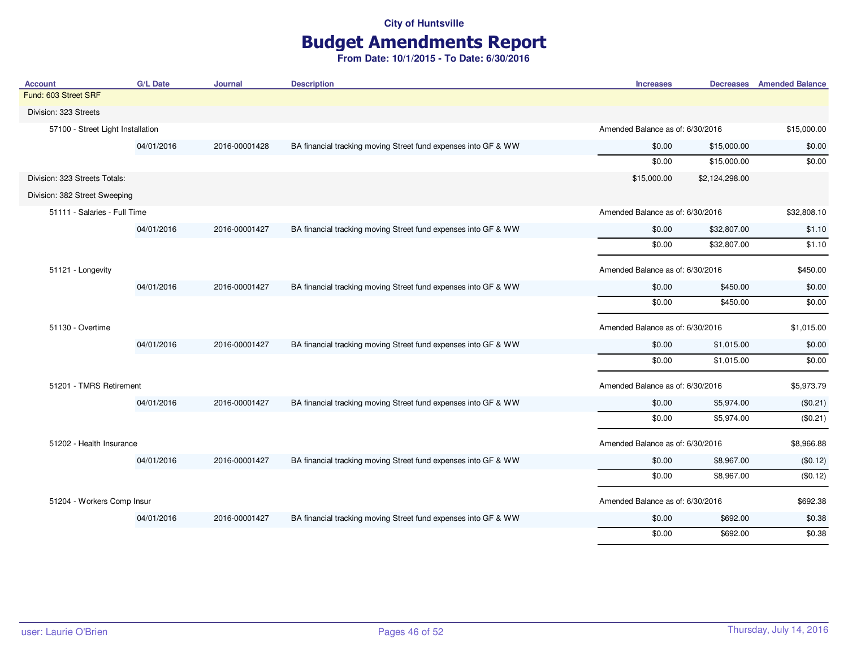# Budget Amendments Report

| <b>Account</b>                    | <b>G/L Date</b> | <b>Journal</b> | <b>Description</b>                                             | <b>Increases</b>                 |                                  | <b>Decreases</b> Amended Balance |
|-----------------------------------|-----------------|----------------|----------------------------------------------------------------|----------------------------------|----------------------------------|----------------------------------|
| Fund: 603 Street SRF              |                 |                |                                                                |                                  |                                  |                                  |
| Division: 323 Streets             |                 |                |                                                                |                                  |                                  |                                  |
| 57100 - Street Light Installation |                 |                |                                                                | Amended Balance as of: 6/30/2016 |                                  | \$15,000.00                      |
|                                   | 04/01/2016      | 2016-00001428  | BA financial tracking moving Street fund expenses into GF & WW | \$0.00                           | \$15,000.00                      | \$0.00                           |
|                                   |                 |                |                                                                | \$0.00                           | \$15,000.00                      | \$0.00                           |
| Division: 323 Streets Totals:     |                 |                |                                                                | \$15,000.00                      | \$2,124,298.00                   |                                  |
| Division: 382 Street Sweeping     |                 |                |                                                                |                                  |                                  |                                  |
| 51111 - Salaries - Full Time      |                 |                |                                                                | Amended Balance as of: 6/30/2016 |                                  | \$32,808.10                      |
|                                   | 04/01/2016      | 2016-00001427  | BA financial tracking moving Street fund expenses into GF & WW | \$0.00                           | \$32,807.00                      | \$1.10                           |
|                                   |                 |                |                                                                | \$0.00                           | \$32,807.00                      | \$1.10                           |
| 51121 - Longevity                 |                 |                |                                                                |                                  | Amended Balance as of: 6/30/2016 |                                  |
|                                   | 04/01/2016      | 2016-00001427  | BA financial tracking moving Street fund expenses into GF & WW | \$0.00                           | \$450.00                         | \$0.00                           |
|                                   |                 |                |                                                                | \$0.00                           | \$450.00                         | \$0.00                           |
| 51130 - Overtime                  |                 |                |                                                                | Amended Balance as of: 6/30/2016 |                                  | \$1,015.00                       |
|                                   | 04/01/2016      | 2016-00001427  | BA financial tracking moving Street fund expenses into GF & WW | \$0.00                           | \$1,015.00                       | \$0.00                           |
|                                   |                 |                |                                                                | \$0.00                           | \$1,015.00                       | \$0.00                           |
| 51201 - TMRS Retirement           |                 |                |                                                                | Amended Balance as of: 6/30/2016 |                                  | \$5,973.79                       |
|                                   | 04/01/2016      | 2016-00001427  | BA financial tracking moving Street fund expenses into GF & WW | \$0.00                           | \$5,974.00                       | (\$0.21)                         |
|                                   |                 |                |                                                                | \$0.00                           | \$5,974.00                       | (\$0.21)                         |
| 51202 - Health Insurance          |                 |                |                                                                | Amended Balance as of: 6/30/2016 |                                  | \$8,966.88                       |
|                                   | 04/01/2016      | 2016-00001427  | BA financial tracking moving Street fund expenses into GF & WW | \$0.00                           | \$8,967.00                       | (\$0.12)                         |
|                                   |                 |                |                                                                | \$0.00                           | \$8,967.00                       | (\$0.12)                         |
| 51204 - Workers Comp Insur        |                 |                |                                                                | Amended Balance as of: 6/30/2016 |                                  | \$692.38                         |
|                                   | 04/01/2016      | 2016-00001427  | BA financial tracking moving Street fund expenses into GF & WW | \$0.00                           | \$692.00                         | \$0.38                           |
|                                   |                 |                |                                                                | \$0.00                           | \$692.00                         | \$0.38                           |
|                                   |                 |                |                                                                |                                  |                                  |                                  |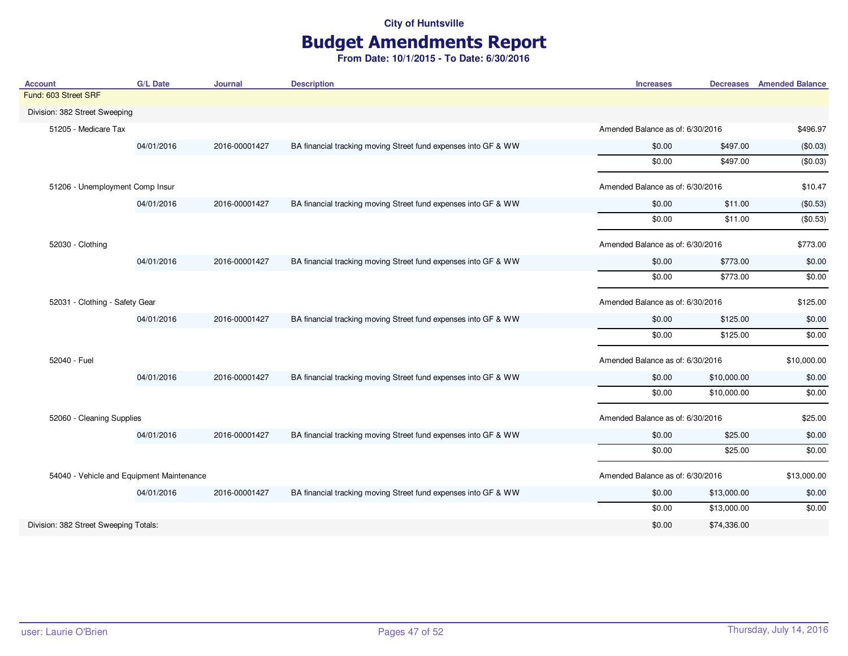# Budget Amendments Report

| <b>Account</b>                            | <b>G/L Date</b>                 | <b>Journal</b> | <b>Description</b>                                             | <b>Increases</b>                 |                                  | <b>Decreases</b> Amended Balance |
|-------------------------------------------|---------------------------------|----------------|----------------------------------------------------------------|----------------------------------|----------------------------------|----------------------------------|
| Fund: 603 Street SRF                      |                                 |                |                                                                |                                  |                                  |                                  |
| Division: 382 Street Sweeping             |                                 |                |                                                                |                                  |                                  |                                  |
| 51205 - Medicare Tax                      |                                 |                |                                                                |                                  | Amended Balance as of: 6/30/2016 |                                  |
|                                           | 04/01/2016                      | 2016-00001427  | BA financial tracking moving Street fund expenses into GF & WW | \$0.00                           | \$497.00                         | (\$0.03)                         |
|                                           |                                 |                |                                                                | \$0.00                           | \$497.00                         | (\$0.03)                         |
|                                           | 51206 - Unemployment Comp Insur |                |                                                                | Amended Balance as of: 6/30/2016 |                                  | \$10.47                          |
|                                           | 04/01/2016                      | 2016-00001427  | BA financial tracking moving Street fund expenses into GF & WW | \$0.00                           | \$11.00                          | (\$0.53)                         |
|                                           |                                 |                |                                                                | \$0.00                           | \$11.00                          | (\$0.53)                         |
| 52030 - Clothing                          |                                 |                |                                                                | Amended Balance as of: 6/30/2016 |                                  | \$773.00                         |
|                                           | 04/01/2016                      | 2016-00001427  | BA financial tracking moving Street fund expenses into GF & WW | \$0.00                           | \$773.00                         | \$0.00                           |
|                                           |                                 |                |                                                                | \$0.00                           | \$773.00                         | \$0.00                           |
| 52031 - Clothing - Safety Gear            |                                 |                |                                                                | Amended Balance as of: 6/30/2016 |                                  | \$125.00                         |
|                                           | 04/01/2016                      | 2016-00001427  | BA financial tracking moving Street fund expenses into GF & WW | \$0.00                           | \$125.00                         | \$0.00                           |
|                                           |                                 |                |                                                                | \$0.00                           | \$125.00                         | \$0.00                           |
| 52040 - Fuel                              |                                 |                |                                                                | Amended Balance as of: 6/30/2016 |                                  | \$10,000.00                      |
|                                           | 04/01/2016                      | 2016-00001427  | BA financial tracking moving Street fund expenses into GF & WW | \$0.00                           | \$10,000.00                      | \$0.00                           |
|                                           |                                 |                |                                                                | \$0.00                           | \$10,000.00                      | \$0.00                           |
| 52060 - Cleaning Supplies                 |                                 |                |                                                                | Amended Balance as of: 6/30/2016 |                                  | \$25.00                          |
|                                           | 04/01/2016                      | 2016-00001427  | BA financial tracking moving Street fund expenses into GF & WW | \$0.00                           | \$25.00                          | \$0.00                           |
|                                           |                                 |                |                                                                | \$0.00                           | \$25.00                          | \$0.00                           |
| 54040 - Vehicle and Equipment Maintenance |                                 |                |                                                                | Amended Balance as of: 6/30/2016 |                                  | \$13,000.00                      |
|                                           | 04/01/2016                      | 2016-00001427  | BA financial tracking moving Street fund expenses into GF & WW | \$0.00                           | \$13,000.00                      | \$0.00                           |
|                                           |                                 |                |                                                                | \$0.00                           | \$13,000.00                      | \$0.00                           |
| Division: 382 Street Sweeping Totals:     |                                 |                |                                                                | \$0.00                           | \$74,336.00                      |                                  |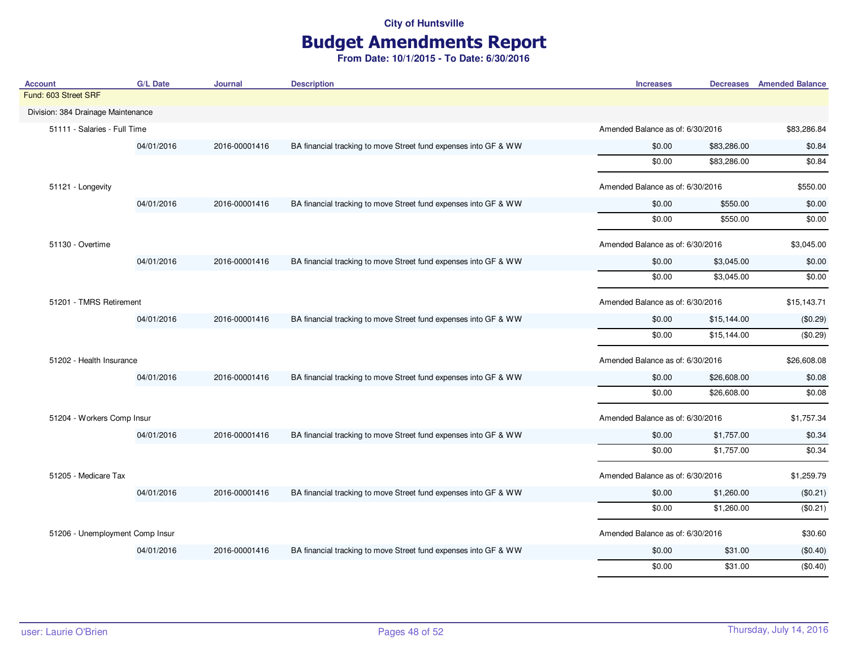# Budget Amendments Report

| <b>Account</b>                     | <b>G/L Date</b> | <b>Journal</b> | <b>Description</b>                                              | <b>Increases</b>                 |             | <b>Decreases</b> Amended Balance |
|------------------------------------|-----------------|----------------|-----------------------------------------------------------------|----------------------------------|-------------|----------------------------------|
| Fund: 603 Street SRF               |                 |                |                                                                 |                                  |             |                                  |
| Division: 384 Drainage Maintenance |                 |                |                                                                 |                                  |             |                                  |
| 51111 - Salaries - Full Time       |                 |                |                                                                 | Amended Balance as of: 6/30/2016 |             | \$83,286.84                      |
|                                    | 04/01/2016      | 2016-00001416  | BA financial tracking to move Street fund expenses into GF & WW | \$0.00                           | \$83,286.00 | \$0.84                           |
|                                    |                 |                |                                                                 | \$0.00                           | \$83,286.00 | \$0.84                           |
| 51121 - Longevity                  |                 |                |                                                                 | Amended Balance as of: 6/30/2016 |             | \$550.00                         |
|                                    | 04/01/2016      | 2016-00001416  | BA financial tracking to move Street fund expenses into GF & WW | \$0.00                           | \$550.00    | \$0.00                           |
|                                    |                 |                |                                                                 | \$0.00                           | \$550.00    | \$0.00                           |
| 51130 - Overtime                   |                 |                |                                                                 | Amended Balance as of: 6/30/2016 |             | \$3,045.00                       |
|                                    | 04/01/2016      | 2016-00001416  | BA financial tracking to move Street fund expenses into GF & WW | \$0.00                           | \$3,045.00  | \$0.00                           |
|                                    |                 |                |                                                                 | \$0.00                           | \$3,045.00  | \$0.00                           |
| 51201 - TMRS Retirement            |                 |                |                                                                 | Amended Balance as of: 6/30/2016 |             | \$15,143.71                      |
|                                    | 04/01/2016      | 2016-00001416  | BA financial tracking to move Street fund expenses into GF & WW | \$0.00                           | \$15,144.00 | (\$0.29)                         |
|                                    |                 |                |                                                                 | \$0.00                           | \$15,144.00 | (\$0.29)                         |
| 51202 - Health Insurance           |                 |                |                                                                 | Amended Balance as of: 6/30/2016 |             | \$26,608.08                      |
|                                    | 04/01/2016      | 2016-00001416  | BA financial tracking to move Street fund expenses into GF & WW | \$0.00                           | \$26,608.00 | \$0.08                           |
|                                    |                 |                |                                                                 | \$0.00                           | \$26,608.00 | \$0.08                           |
| 51204 - Workers Comp Insur         |                 |                |                                                                 | Amended Balance as of: 6/30/2016 |             | \$1,757.34                       |
|                                    | 04/01/2016      | 2016-00001416  | BA financial tracking to move Street fund expenses into GF & WW | \$0.00                           | \$1,757.00  | \$0.34                           |
|                                    |                 |                |                                                                 | \$0.00                           | \$1,757.00  | \$0.34                           |
| 51205 - Medicare Tax               |                 |                |                                                                 | Amended Balance as of: 6/30/2016 |             | \$1,259.79                       |
|                                    | 04/01/2016      | 2016-00001416  | BA financial tracking to move Street fund expenses into GF & WW | \$0.00                           | \$1,260.00  | (\$0.21)                         |
|                                    |                 |                |                                                                 | \$0.00                           | \$1,260.00  | (\$0.21)                         |
| 51206 - Unemployment Comp Insur    |                 |                |                                                                 | Amended Balance as of: 6/30/2016 |             | \$30.60                          |
|                                    | 04/01/2016      | 2016-00001416  | BA financial tracking to move Street fund expenses into GF & WW | \$0.00                           | \$31.00     | (\$0.40)                         |
|                                    |                 |                |                                                                 | \$0.00                           | \$31.00     | (\$0.40)                         |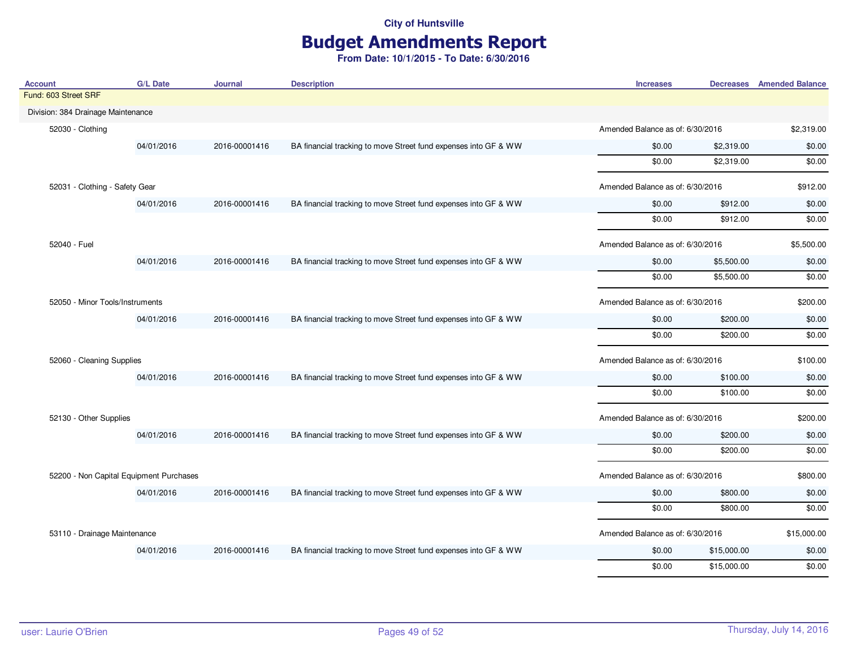# Budget Amendments Report

| <b>Account</b>                                                               | <b>G/L Date</b>                                                                                | <b>Journal</b> | <b>Description</b>                                              | <b>Increases</b>                 |                                  | <b>Decreases</b> Amended Balance |
|------------------------------------------------------------------------------|------------------------------------------------------------------------------------------------|----------------|-----------------------------------------------------------------|----------------------------------|----------------------------------|----------------------------------|
| Fund: 603 Street SRF                                                         |                                                                                                |                |                                                                 |                                  |                                  |                                  |
| Division: 384 Drainage Maintenance                                           |                                                                                                |                |                                                                 |                                  |                                  |                                  |
| 52030 - Clothing                                                             |                                                                                                |                |                                                                 |                                  | Amended Balance as of: 6/30/2016 |                                  |
|                                                                              | 04/01/2016                                                                                     | 2016-00001416  | BA financial tracking to move Street fund expenses into GF & WW | \$0.00                           | \$2,319.00                       | \$0.00                           |
|                                                                              |                                                                                                |                |                                                                 | \$0.00                           | \$2,319.00                       | \$0.00                           |
|                                                                              | 52031 - Clothing - Safety Gear                                                                 |                | Amended Balance as of: 6/30/2016                                |                                  | \$912.00                         |                                  |
|                                                                              | 04/01/2016                                                                                     | 2016-00001416  | BA financial tracking to move Street fund expenses into GF & WW | \$0.00                           | \$912.00                         | \$0.00                           |
|                                                                              |                                                                                                |                |                                                                 | \$0.00                           | \$912.00                         | \$0.00                           |
| 52040 - Fuel<br>52050 - Minor Tools/Instruments<br>52060 - Cleaning Supplies |                                                                                                |                |                                                                 | Amended Balance as of: 6/30/2016 |                                  | \$5,500.00                       |
|                                                                              | 04/01/2016                                                                                     | 2016-00001416  | BA financial tracking to move Street fund expenses into GF & WW | \$0.00                           | \$5,500.00                       | \$0.00                           |
|                                                                              |                                                                                                |                |                                                                 | \$0.00                           | \$5,500.00                       | \$0.00                           |
|                                                                              |                                                                                                |                |                                                                 | Amended Balance as of: 6/30/2016 |                                  | \$200.00                         |
|                                                                              | 04/01/2016                                                                                     | 2016-00001416  | BA financial tracking to move Street fund expenses into GF & WW | \$0.00                           | \$200.00                         | \$0.00                           |
|                                                                              |                                                                                                |                |                                                                 | \$0.00                           | \$200.00                         | \$0.00                           |
|                                                                              |                                                                                                |                |                                                                 |                                  |                                  | \$100.00                         |
|                                                                              | 04/01/2016                                                                                     | 2016-00001416  | BA financial tracking to move Street fund expenses into GF & WW | \$0.00                           | \$100.00                         | \$0.00                           |
|                                                                              |                                                                                                |                |                                                                 | \$0.00                           | \$100.00                         | \$0.00                           |
|                                                                              | Amended Balance as of: 6/30/2016<br>52130 - Other Supplies<br>Amended Balance as of: 6/30/2016 | \$200.00       |                                                                 |                                  |                                  |                                  |
|                                                                              | 04/01/2016                                                                                     | 2016-00001416  | BA financial tracking to move Street fund expenses into GF & WW | \$0.00                           | \$200.00                         | \$0.00                           |
|                                                                              |                                                                                                |                |                                                                 | \$0.00                           | \$200.00                         | \$0.00                           |
| 52200 - Non Capital Equipment Purchases                                      |                                                                                                |                |                                                                 | Amended Balance as of: 6/30/2016 |                                  | \$800.00                         |
|                                                                              | 04/01/2016                                                                                     | 2016-00001416  | BA financial tracking to move Street fund expenses into GF & WW | \$0.00                           | \$800.00                         | \$0.00                           |
|                                                                              |                                                                                                |                |                                                                 | \$0.00                           | \$800.00                         | \$0.00                           |
| 53110 - Drainage Maintenance                                                 |                                                                                                |                |                                                                 | Amended Balance as of: 6/30/2016 |                                  | \$15,000.00                      |
|                                                                              | 04/01/2016                                                                                     | 2016-00001416  | BA financial tracking to move Street fund expenses into GF & WW | \$0.00                           | \$15,000.00                      | \$0.00                           |
|                                                                              |                                                                                                |                |                                                                 | \$0.00                           | \$15,000.00                      | \$0.00                           |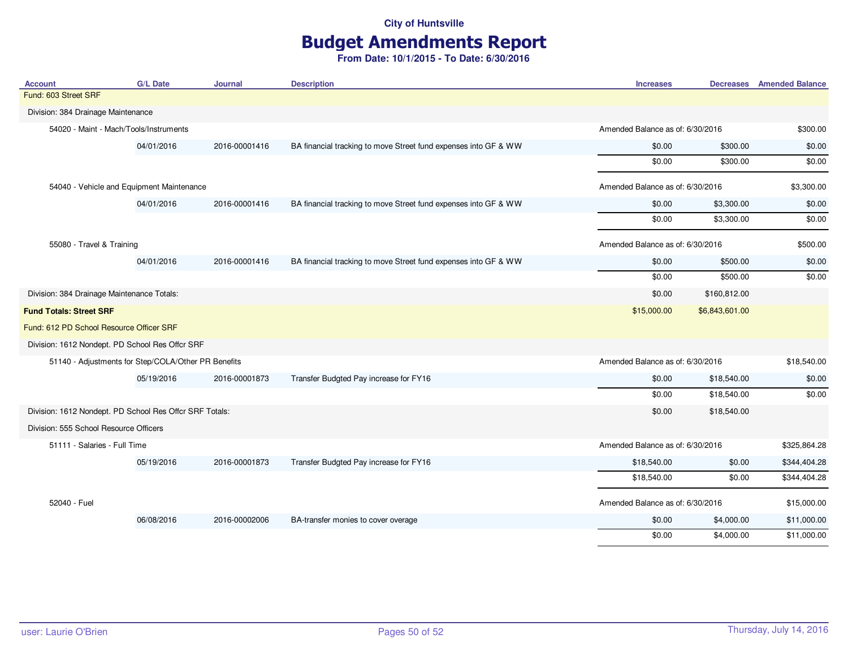# Budget Amendments Report

| <b>Account</b>                                          | <b>G/L Date</b> | <b>Journal</b> | <b>Description</b>                                              | <b>Increases</b>                 |                                  | <b>Decreases</b> Amended Balance |
|---------------------------------------------------------|-----------------|----------------|-----------------------------------------------------------------|----------------------------------|----------------------------------|----------------------------------|
| Fund: 603 Street SRF                                    |                 |                |                                                                 |                                  |                                  |                                  |
| Division: 384 Drainage Maintenance                      |                 |                |                                                                 |                                  |                                  |                                  |
| 54020 - Maint - Mach/Tools/Instruments                  |                 |                |                                                                 | Amended Balance as of: 6/30/2016 |                                  | \$300.00                         |
|                                                         | 04/01/2016      | 2016-00001416  | BA financial tracking to move Street fund expenses into GF & WW | \$0.00                           | \$300.00                         | \$0.00                           |
|                                                         |                 |                |                                                                 | \$0.00                           | \$300.00                         | \$0.00                           |
| 54040 - Vehicle and Equipment Maintenance               |                 |                | Amended Balance as of: 6/30/2016                                |                                  | \$3,300.00                       |                                  |
|                                                         | 04/01/2016      | 2016-00001416  | BA financial tracking to move Street fund expenses into GF & WW | \$0.00                           | \$3,300.00                       | \$0.00                           |
|                                                         |                 |                |                                                                 | \$0.00                           | \$3,300.00                       | \$0.00                           |
| 55080 - Travel & Training                               |                 |                |                                                                 | Amended Balance as of: 6/30/2016 |                                  | \$500.00                         |
|                                                         | 04/01/2016      | 2016-00001416  | BA financial tracking to move Street fund expenses into GF & WW | \$0.00                           | \$500.00                         | \$0.00                           |
|                                                         |                 |                |                                                                 | \$0.00                           | \$500.00                         | \$0.00                           |
| Division: 384 Drainage Maintenance Totals:              |                 |                |                                                                 | \$0.00                           | \$160,812.00                     |                                  |
| <b>Fund Totals: Street SRF</b>                          |                 |                |                                                                 | \$15,000.00                      | \$6,843,601.00                   |                                  |
| Fund: 612 PD School Resource Officer SRF                |                 |                |                                                                 |                                  |                                  |                                  |
| Division: 1612 Nondept. PD School Res Offcr SRF         |                 |                |                                                                 |                                  |                                  |                                  |
| 51140 - Adjustments for Step/COLA/Other PR Benefits     |                 |                |                                                                 | Amended Balance as of: 6/30/2016 |                                  | \$18,540.00                      |
|                                                         | 05/19/2016      | 2016-00001873  | Transfer Budgted Pay increase for FY16                          | \$0.00                           | \$18,540.00                      | \$0.00                           |
|                                                         |                 |                |                                                                 | \$0.00                           | \$18,540.00                      | \$0.00                           |
| Division: 1612 Nondept. PD School Res Offer SRF Totals: |                 |                |                                                                 | \$0.00                           | \$18,540.00                      |                                  |
| Division: 555 School Resource Officers                  |                 |                |                                                                 |                                  |                                  |                                  |
| 51111 - Salaries - Full Time                            |                 |                |                                                                 | Amended Balance as of: 6/30/2016 |                                  | \$325,864.28                     |
|                                                         | 05/19/2016      | 2016-00001873  | Transfer Budgted Pay increase for FY16                          | \$18,540.00                      | \$0.00                           | \$344,404.28                     |
|                                                         |                 |                |                                                                 | \$18,540.00                      | \$0.00                           | \$344,404.28                     |
| 52040 - Fuel                                            |                 |                |                                                                 |                                  | Amended Balance as of: 6/30/2016 |                                  |
|                                                         | 06/08/2016      | 2016-00002006  | BA-transfer monies to cover overage                             | \$0.00                           | \$4,000.00                       | \$11,000.00                      |
|                                                         |                 |                |                                                                 | \$0.00                           | \$4,000.00                       | \$11,000.00                      |
|                                                         |                 |                |                                                                 |                                  |                                  |                                  |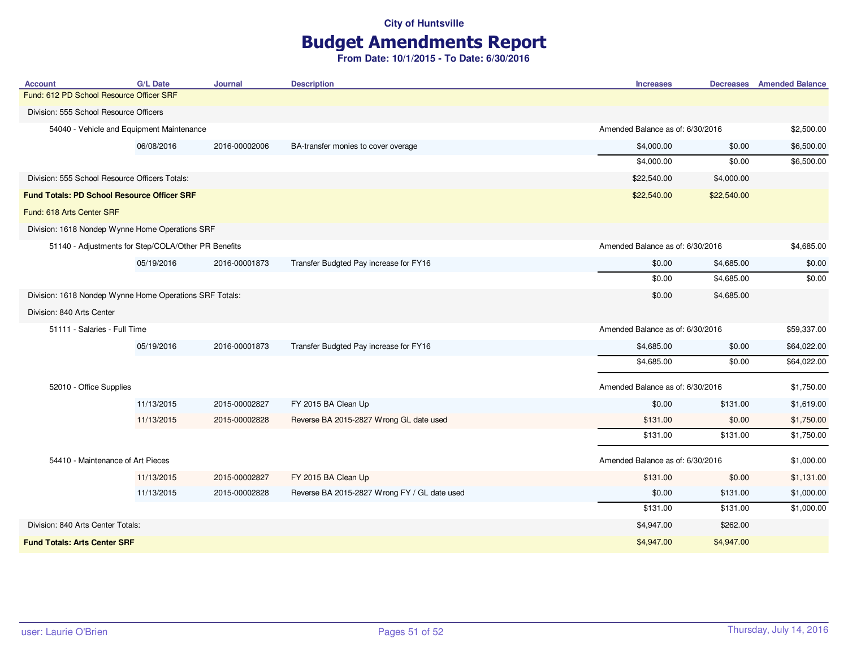# Budget Amendments Report

| <b>Account</b>                                                                                                                                                                                                                                                                                                                                                                                                                                                                                                                                                                                                                                                                                                                                                                                                                                                                                                                                                                                                                         | <b>G/L Date</b> | Journal       | <b>Description</b>                  | <b>Increases</b>                                                                                                                                                                                                                                                                                                       |             | <b>Decreases</b> Amended Balance |
|----------------------------------------------------------------------------------------------------------------------------------------------------------------------------------------------------------------------------------------------------------------------------------------------------------------------------------------------------------------------------------------------------------------------------------------------------------------------------------------------------------------------------------------------------------------------------------------------------------------------------------------------------------------------------------------------------------------------------------------------------------------------------------------------------------------------------------------------------------------------------------------------------------------------------------------------------------------------------------------------------------------------------------------|-----------------|---------------|-------------------------------------|------------------------------------------------------------------------------------------------------------------------------------------------------------------------------------------------------------------------------------------------------------------------------------------------------------------------|-------------|----------------------------------|
| Fund: 612 PD School Resource Officer SRF                                                                                                                                                                                                                                                                                                                                                                                                                                                                                                                                                                                                                                                                                                                                                                                                                                                                                                                                                                                               |                 |               |                                     |                                                                                                                                                                                                                                                                                                                        |             |                                  |
|                                                                                                                                                                                                                                                                                                                                                                                                                                                                                                                                                                                                                                                                                                                                                                                                                                                                                                                                                                                                                                        |                 |               |                                     |                                                                                                                                                                                                                                                                                                                        |             |                                  |
|                                                                                                                                                                                                                                                                                                                                                                                                                                                                                                                                                                                                                                                                                                                                                                                                                                                                                                                                                                                                                                        |                 |               |                                     |                                                                                                                                                                                                                                                                                                                        |             | \$2,500.00                       |
|                                                                                                                                                                                                                                                                                                                                                                                                                                                                                                                                                                                                                                                                                                                                                                                                                                                                                                                                                                                                                                        | 06/08/2016      | 2016-00002006 | BA-transfer monies to cover overage | \$4,000.00                                                                                                                                                                                                                                                                                                             | \$0.00      | \$6,500.00                       |
|                                                                                                                                                                                                                                                                                                                                                                                                                                                                                                                                                                                                                                                                                                                                                                                                                                                                                                                                                                                                                                        |                 |               |                                     | \$4,000.00                                                                                                                                                                                                                                                                                                             | \$0.00      | \$6,500.00                       |
|                                                                                                                                                                                                                                                                                                                                                                                                                                                                                                                                                                                                                                                                                                                                                                                                                                                                                                                                                                                                                                        |                 |               |                                     | \$22,540.00                                                                                                                                                                                                                                                                                                            | \$4,000.00  |                                  |
|                                                                                                                                                                                                                                                                                                                                                                                                                                                                                                                                                                                                                                                                                                                                                                                                                                                                                                                                                                                                                                        |                 |               |                                     | \$22,540.00                                                                                                                                                                                                                                                                                                            | \$22,540.00 |                                  |
| Fund: 618 Arts Center SRF                                                                                                                                                                                                                                                                                                                                                                                                                                                                                                                                                                                                                                                                                                                                                                                                                                                                                                                                                                                                              |                 |               |                                     |                                                                                                                                                                                                                                                                                                                        |             |                                  |
|                                                                                                                                                                                                                                                                                                                                                                                                                                                                                                                                                                                                                                                                                                                                                                                                                                                                                                                                                                                                                                        |                 |               |                                     |                                                                                                                                                                                                                                                                                                                        |             |                                  |
| Division: 555 School Resource Officers<br>54040 - Vehicle and Equipment Maintenance<br>Division: 555 School Resource Officers Totals:<br><b>Fund Totals: PD School Resource Officer SRF</b><br>Division: 1618 Nondep Wynne Home Operations SRF<br>51140 - Adjustments for Step/COLA/Other PR Benefits<br>05/19/2016<br>2016-00001873<br>Transfer Budgted Pay increase for FY16<br>\$0.00<br>\$0.00<br>Division: 1618 Nondep Wynne Home Operations SRF Totals:<br>\$0.00<br>Division: 840 Arts Center<br>51111 - Salaries - Full Time<br>05/19/2016<br>2016-00001873<br>Transfer Budgted Pay increase for FY16<br>\$4,685.00<br>\$4,685.00<br>52010 - Office Supplies<br>11/13/2015<br>2015-00002827<br>FY 2015 BA Clean Up<br>\$0.00<br>11/13/2015<br>2015-00002828<br>Reverse BA 2015-2827 Wrong GL date used<br>\$131.00<br>\$131.00<br>54410 - Maintenance of Art Pieces<br>FY 2015 BA Clean Up<br>11/13/2015<br>2015-00002827<br>\$131.00<br>11/13/2015<br>2015-00002828<br>Reverse BA 2015-2827 Wrong FY / GL date used<br>\$0.00 |                 | \$4,685.00    |                                     |                                                                                                                                                                                                                                                                                                                        |             |                                  |
|                                                                                                                                                                                                                                                                                                                                                                                                                                                                                                                                                                                                                                                                                                                                                                                                                                                                                                                                                                                                                                        |                 |               |                                     |                                                                                                                                                                                                                                                                                                                        | \$4,685.00  | \$0.00                           |
|                                                                                                                                                                                                                                                                                                                                                                                                                                                                                                                                                                                                                                                                                                                                                                                                                                                                                                                                                                                                                                        |                 |               |                                     |                                                                                                                                                                                                                                                                                                                        | \$4,685.00  | \$0.00                           |
|                                                                                                                                                                                                                                                                                                                                                                                                                                                                                                                                                                                                                                                                                                                                                                                                                                                                                                                                                                                                                                        |                 |               |                                     |                                                                                                                                                                                                                                                                                                                        | \$4,685.00  |                                  |
|                                                                                                                                                                                                                                                                                                                                                                                                                                                                                                                                                                                                                                                                                                                                                                                                                                                                                                                                                                                                                                        |                 |               |                                     |                                                                                                                                                                                                                                                                                                                        |             |                                  |
|                                                                                                                                                                                                                                                                                                                                                                                                                                                                                                                                                                                                                                                                                                                                                                                                                                                                                                                                                                                                                                        |                 |               |                                     |                                                                                                                                                                                                                                                                                                                        |             | \$59,337.00                      |
|                                                                                                                                                                                                                                                                                                                                                                                                                                                                                                                                                                                                                                                                                                                                                                                                                                                                                                                                                                                                                                        |                 |               |                                     |                                                                                                                                                                                                                                                                                                                        | \$0.00      | \$64,022.00                      |
|                                                                                                                                                                                                                                                                                                                                                                                                                                                                                                                                                                                                                                                                                                                                                                                                                                                                                                                                                                                                                                        |                 |               |                                     |                                                                                                                                                                                                                                                                                                                        | \$0.00      | \$64,022.00                      |
|                                                                                                                                                                                                                                                                                                                                                                                                                                                                                                                                                                                                                                                                                                                                                                                                                                                                                                                                                                                                                                        |                 |               |                                     | Amended Balance as of: 6/30/2016<br>Amended Balance as of: 6/30/2016<br>Amended Balance as of: 6/30/2016<br>Amended Balance as of: 6/30/2016<br>\$131.00<br>\$0.00<br>\$131.00<br>Amended Balance as of: 6/30/2016<br>\$0.00<br>\$131.00<br>\$131.00<br>\$131.00<br>\$4,947.00<br>\$262.00<br>\$4,947.00<br>\$4,947.00 | \$1,750.00  |                                  |
|                                                                                                                                                                                                                                                                                                                                                                                                                                                                                                                                                                                                                                                                                                                                                                                                                                                                                                                                                                                                                                        |                 |               |                                     |                                                                                                                                                                                                                                                                                                                        |             | \$1,619.00                       |
|                                                                                                                                                                                                                                                                                                                                                                                                                                                                                                                                                                                                                                                                                                                                                                                                                                                                                                                                                                                                                                        |                 |               |                                     |                                                                                                                                                                                                                                                                                                                        |             | \$1,750.00                       |
|                                                                                                                                                                                                                                                                                                                                                                                                                                                                                                                                                                                                                                                                                                                                                                                                                                                                                                                                                                                                                                        |                 |               |                                     |                                                                                                                                                                                                                                                                                                                        |             | \$1,750.00                       |
|                                                                                                                                                                                                                                                                                                                                                                                                                                                                                                                                                                                                                                                                                                                                                                                                                                                                                                                                                                                                                                        |                 |               |                                     |                                                                                                                                                                                                                                                                                                                        |             | \$1,000.00                       |
|                                                                                                                                                                                                                                                                                                                                                                                                                                                                                                                                                                                                                                                                                                                                                                                                                                                                                                                                                                                                                                        |                 |               |                                     |                                                                                                                                                                                                                                                                                                                        |             | \$1,131.00                       |
|                                                                                                                                                                                                                                                                                                                                                                                                                                                                                                                                                                                                                                                                                                                                                                                                                                                                                                                                                                                                                                        |                 |               |                                     |                                                                                                                                                                                                                                                                                                                        |             | \$1,000.00                       |
|                                                                                                                                                                                                                                                                                                                                                                                                                                                                                                                                                                                                                                                                                                                                                                                                                                                                                                                                                                                                                                        |                 |               |                                     |                                                                                                                                                                                                                                                                                                                        |             | \$1,000.00                       |
| Division: 840 Arts Center Totals:                                                                                                                                                                                                                                                                                                                                                                                                                                                                                                                                                                                                                                                                                                                                                                                                                                                                                                                                                                                                      |                 |               |                                     |                                                                                                                                                                                                                                                                                                                        |             |                                  |
| <b>Fund Totals: Arts Center SRF</b>                                                                                                                                                                                                                                                                                                                                                                                                                                                                                                                                                                                                                                                                                                                                                                                                                                                                                                                                                                                                    |                 |               |                                     |                                                                                                                                                                                                                                                                                                                        |             |                                  |
|                                                                                                                                                                                                                                                                                                                                                                                                                                                                                                                                                                                                                                                                                                                                                                                                                                                                                                                                                                                                                                        |                 |               |                                     |                                                                                                                                                                                                                                                                                                                        |             |                                  |